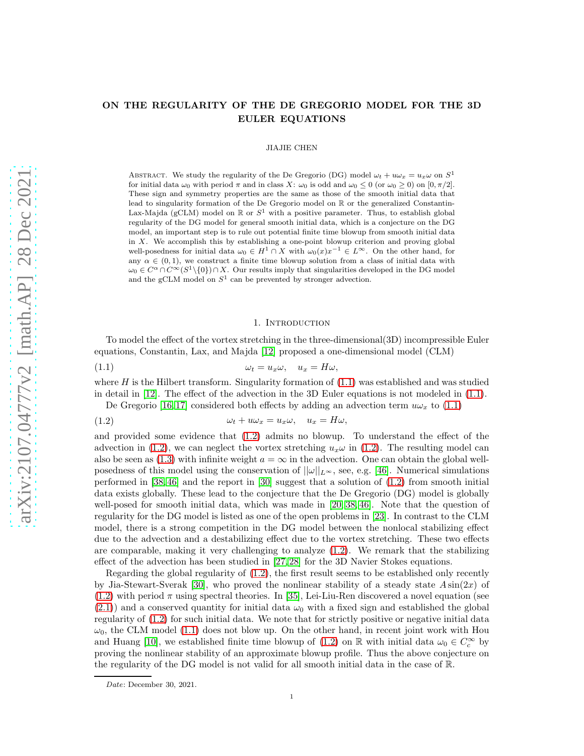## ON THE REGULARITY OF THE DE GREGORIO MODEL FOR THE 3D EULER EQUATIONS

## JIAJIE CHEN

ABSTRACT. We study the regularity of the De Gregorio (DG) model  $\omega_t + u\omega_x = u_x\omega$  on  $S^1$ for initial data  $\omega_0$  with period  $\pi$  and in class X:  $\omega_0$  is odd and  $\omega_0 \leq 0$  (or  $\omega_0 \geq 0$ ) on  $[0, \pi/2]$ . These sign and symmetry properties are the same as those of the smooth initial data that lead to singularity formation of the De Gregorio model on R or the generalized Constantin-Lax-Majda (gCLM) model on  $\mathbb R$  or  $S^1$  with a positive parameter. Thus, to establish global regularity of the DG model for general smooth initial data, which is a conjecture on the DG model, an important step is to rule out potential finite time blowup from smooth initial data in X. We accomplish this by establishing a one-point blowup criterion and proving global well-posedness for initial data  $\omega_0 \in H^1 \cap X$  with  $\omega_0(x)x^{-1} \in L^\infty$ . On the other hand, for any  $\alpha \in (0,1)$ , we construct a finite time blowup solution from a class of initial data with  $\omega_0 \in C^{\alpha} \cap C^{\infty}(S^1 \setminus \{0\}) \cap X$ . Our results imply that singularities developed in the DG model and the gCLM model on  $S^1$  can be prevented by stronger advection.

#### <span id="page-0-1"></span><span id="page-0-0"></span>1. INTRODUCTION

To model the effect of the vortex stretching in the three-dimensional(3D) incompressible Euler equations, Constantin, Lax, and Majda [\[12\]](#page-38-0) proposed a one-dimensional model (CLM)

$$
(1.1) \t\t\t\t\omega_t = u_x \omega, \quad u_x = H \omega,
$$

where  $H$  is the Hilbert transform. Singularity formation of  $(1.1)$  was established and was studied in detail in [\[12\]](#page-38-0). The effect of the advection in the 3D Euler equations is not modeled in [\(1.1\)](#page-0-0).<br> $\Gamma$ 

De Gregorio [16,17] considered both effects by adding an advection term 
$$
u\omega_x
$$
 to (1.1)

(1.2) 
$$
\omega_t + u\omega_x = u_x\omega, \quad u_x = H\omega,
$$

and provided some evidence that [\(1.2\)](#page-0-1) admits no blowup. To understand the effect of the advection in [\(1.2\)](#page-0-1), we can neglect the vortex stretching  $u_x\omega$  in (1.2). The resulting model can also be seen as [\(1.3\)](#page-1-0) with infinite weight  $a = \infty$  in the advection. One can obtain the global wellposedness of this model using the conservation of  $||\omega||_{L^{\infty}}$ , see, e.g. [\[46\]](#page-39-0). Numerical simulations performed in [\[38,](#page-39-1) [46\]](#page-39-0) and the report in [\[30\]](#page-38-3) suggest that a solution of [\(1.2\)](#page-0-1) from smooth initial data exists globally. These lead to the conjecture that the De Gregorio (DG) model is globally well-posed for smooth initial data, which was made in [\[20,](#page-38-4) [38,](#page-39-1) [46\]](#page-39-0). Note that the question of regularity for the DG model is listed as one of the open problems in [\[23\]](#page-38-5). In contrast to the CLM model, there is a strong competition in the DG model between the nonlocal stabilizing effect due to the advection and a destabilizing effect due to the vortex stretching. These two effects are comparable, making it very challenging to analyze  $(1.2)$ . We remark that the stabilizing effect of the advection has been studied in [\[27,](#page-38-6) [28\]](#page-38-7) for the 3D Navier Stokes equations.

Regarding the global regularity of [\(1.2\)](#page-0-1), the first result seems to be established only recently by Jia-Stewart-Sverak [\[30\]](#page-38-3), who proved the nonlinear stability of a steady state  $A\sin(2x)$  of  $(1.2)$  with period  $\pi$  using spectral theories. In [\[35\]](#page-39-2), Lei-Liu-Ren discovered a novel equation (see  $(2.1)$ ) and a conserved quantity for initial data  $\omega_0$  with a fixed sign and established the global regularity of [\(1.2\)](#page-0-1) for such initial data. We note that for strictly positive or negative initial data  $\omega_0$ , the CLM model [\(1.1\)](#page-0-0) does not blow up. On the other hand, in recent joint work with Hou and Huang [\[10\]](#page-38-8), we established finite time blowup of [\(1.2\)](#page-0-1) on R with initial data  $\omega_0 \in C_c^{\infty}$  by proving the nonlinear stability of an approximate blowup profile. Thus the above conjecture on the regularity of the DG model is not valid for all smooth initial data in the case of R.

*Date*: December 30, 2021.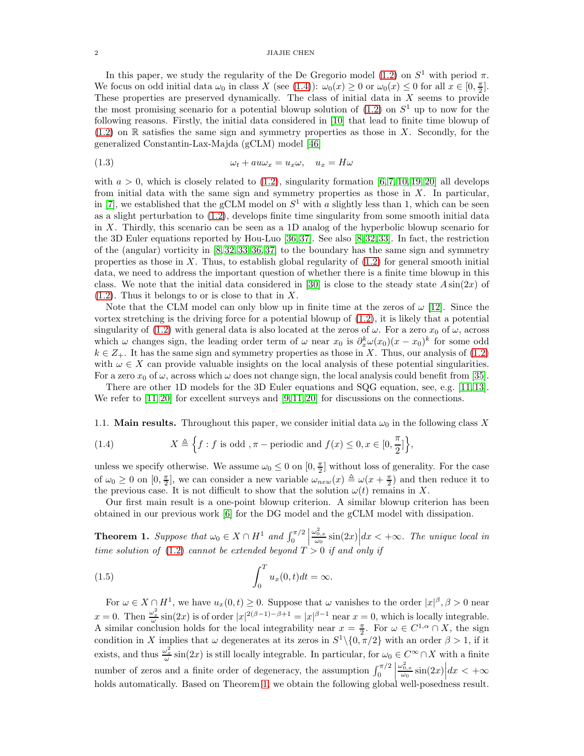### 2 JIAJIE CHEN

In this paper, we study the regularity of the De Gregorio model [\(1.2\)](#page-0-1) on  $S^1$  with period  $\pi$ . We focus on odd initial data  $\omega_0$  in class X (see [\(1.4\)](#page-1-1)):  $\omega_0(x) \ge 0$  or  $\omega_0(x) \le 0$  for all  $x \in [0, \frac{\pi}{2}]$ . These properties are preserved dynamically. The class of initial data in X seems to provide the most promising scenario for a potential blowup solution of  $(1.2)$  on  $S<sup>1</sup>$  up to now for the following reasons. Firstly, the initial data considered in [\[10\]](#page-38-8) that lead to finite time blowup of  $(1.2)$  on R satisfies the same sign and symmetry properties as those in X. Secondly, for the generalized Constantin-Lax-Majda (gCLM) model [\[46\]](#page-39-0)

<span id="page-1-0"></span>
$$
(1.3) \t\t\t\t\t\omega_t + au\omega_x = u_x\omega, \quad u_x = H\omega
$$

with  $a > 0$ , which is closely related to  $(1.2)$ , singularity formation  $[6, 7, 10, 19, 20]$  $[6, 7, 10, 19, 20]$  $[6, 7, 10, 19, 20]$  $[6, 7, 10, 19, 20]$  $[6, 7, 10, 19, 20]$  $[6, 7, 10, 19, 20]$  all develops from initial data with the same sign and symmetry properties as those in X. In particular, in [\[7\]](#page-38-10), we established that the gCLM model on  $S^1$  with a slightly less than 1, which can be seen as a slight perturbation to [\(1.2\)](#page-0-1), develops finite time singularity from some smooth initial data in X. Thirdly, this scenario can be seen as a 1D analog of the hyperbolic blowup scenario for the 3D Euler equations reported by Hou-Luo [\[36,](#page-39-3) [37\]](#page-39-4). See also [\[8,](#page-38-12) [32,](#page-38-13)[33\]](#page-39-5). In fact, the restriction of the (angular) vorticity in [\[8,](#page-38-12) [32,](#page-38-13) [33,](#page-39-5) [36,](#page-39-3) [37\]](#page-39-4) to the boundary has the same sign and symmetry properties as those in  $X$ . Thus, to establish global regularity of  $(1.2)$  for general smooth initial data, we need to address the important question of whether there is a finite time blowup in this class. We note that the initial data considered in [\[30\]](#page-38-3) is close to the steady state  $A\sin(2x)$  of  $(1.2)$ . Thus it belongs to or is close to that in X.

Note that the CLM model can only blow up in finite time at the zeros of  $\omega$  [\[12\]](#page-38-0). Since the vortex stretching is the driving force for a potential blowup of  $(1.2)$ , it is likely that a potential singularity of [\(1.2\)](#page-0-1) with general data is also located at the zeros of  $\omega$ . For a zero  $x_0$  of  $\omega$ , across which  $\omega$  changes sign, the leading order term of  $\omega$  near  $x_0$  is  $\partial_x^k \omega(x_0)(x - x_0)^k$  for some odd  $k \in Z_+$ . It has the same sign and symmetry properties as those in X. Thus, our analysis of [\(1.2\)](#page-0-1) with  $\omega \in X$  can provide valuable insights on the local analysis of these potential singularities. For a zero  $x_0$  of  $\omega$ , across which  $\omega$  does not change sign, the local analysis could benefit from [\[35\]](#page-39-2).

There are other 1D models for the 3D Euler equations and SQG equation, see, e.g. [\[11,](#page-38-14) [13\]](#page-38-15). We refer to [\[11,](#page-38-14) [20\]](#page-38-4) for excellent surveys and [\[9,](#page-38-16) [11,](#page-38-14) 20] for discussions on the connections.

1.1. **Main results.** Throughout this paper, we consider initial data  $\omega_0$  in the following class X

<span id="page-1-1"></span>(1.4) 
$$
X \triangleq \left\{ f : f \text{ is odd }, \pi-\text{periodic and } f(x) \leq 0, x \in [0, \frac{\pi}{2}]\right\},
$$

unless we specify otherwise. We assume  $\omega_0 \leq 0$  on  $[0, \frac{\pi}{2}]$  without loss of generality. For the case of  $\omega_0 \geq 0$  on  $[0, \frac{\pi}{2}]$ , we can consider a new variable  $\omega_{new}(x) \triangleq \omega(x + \frac{\pi}{2})$  and then reduce it to the previous case. It is not difficult to show that the solution  $\omega(t)$  remains in X.

Our first main result is a one-point blowup criterion. A similar blowup criterion has been obtained in our previous work [\[6\]](#page-38-9) for the DG model and the gCLM model with dissipation.

<span id="page-1-2"></span>**Theorem 1.** Suppose that  $\omega_0 \in X \cap H^1$  and  $\int_0^{\pi/2}$   $\frac{\omega_{0,x}^2}{\omega_0} \sin(2x) \Big| dx < +\infty$ . The unique local in time solution of [\(1.2\)](#page-0-1) cannot be extended beyond  $T > 0$  if and only if

(1.5) 
$$
\int_0^T u_x(0,t)dt = \infty.
$$

For  $\omega \in X \cap H^1$ , we have  $u_x(0,t) \geq 0$ . Suppose that  $\omega$  vanishes to the order  $|x|^{\beta}, \beta > 0$  near  $x = 0$ . Then  $\frac{\omega_x^2}{\omega} \sin(2x)$  is of order  $|x|^{2(\beta - 1) - \beta + 1} = |x|^{\beta - 1}$  near  $x = 0$ , which is locally integrable. A similar conclusion holds for the local integrability near  $x = \frac{\pi}{2}$ . For  $\omega \in C^{1,\alpha} \cap X$ , the sign condition in X implies that  $\omega$  degenerates at its zeros in  $S^1\setminus\{0,\pi/2\}$  with an order  $\beta > 1$ , if it exists, and thus  $\frac{\omega_x^2}{\omega} \sin(2x)$  is still locally integrable. In particular, for  $\omega_0 \in C^\infty \cap X$  with a finite number of zeros and a finite order of degeneracy, the assumption  $\int_0^{\pi/2}$   $\frac{\omega_{0,x}^2}{\omega_0} \sin(2x) dx < +\infty$ holds automatically. Based on Theorem [1,](#page-1-2) we obtain the following global well-posedness result.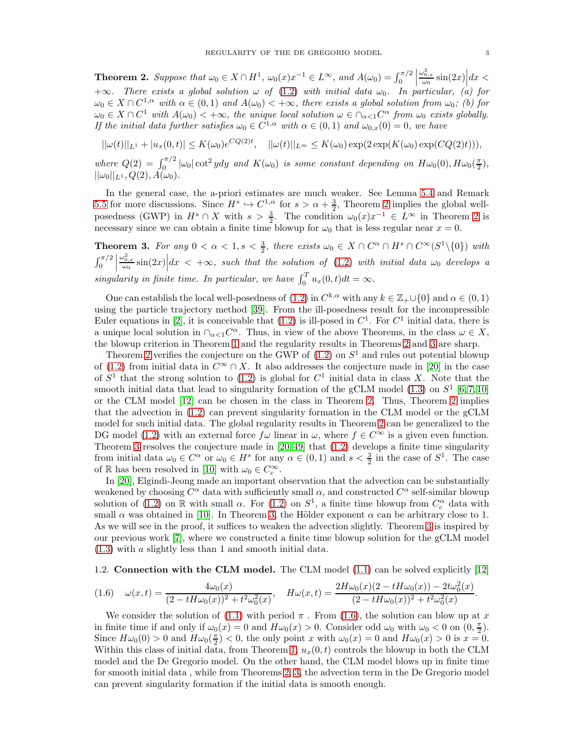<span id="page-2-0"></span>**Theorem 2.** Suppose that  $\omega_0 \in X \cap H^1$ ,  $\omega_0(x)x^{-1} \in L^{\infty}$ , and  $A(\omega_0) = \int_0^{\pi/2}$   $\frac{\omega_{0,x}^2}{\omega_0}\sin(2x)\Big|dx<$ +∞. There exists a global solution  $\omega$  of [\(1.2\)](#page-0-1) with initial data  $\omega_0$ . In particular, (a) for  $\omega_0 \in X \cap C^{1,\alpha}$  with  $\alpha \in (0,1)$  and  $A(\omega_0) < +\infty$ , there exists a global solution from  $\omega_0$ ; (b) for  $\omega_0 \in X \cap C^1$  with  $A(\omega_0) < +\infty$ , the unique local solution  $\omega \in \cap_{\alpha < 1} C^{\alpha}$  from  $\omega_0$  exists globally. If the initial data further satisfies  $\omega_0 \in C^{1,\alpha}$  with  $\alpha \in (0,1)$  and  $\omega_{0,x}(0) = 0$ , we have

$$
||\omega(t)||_{L^1} + |u_x(0,t)| \le K(\omega_0) e^{CQ(2)t}, \quad ||\omega(t)||_{L^\infty} \le K(\omega_0) \exp(2 \exp(K(\omega_0) \exp(CQ(2)t))),
$$

where  $Q(2) = \int_0^{\pi/2} |\omega_0| \cot^2 y dy$  and  $K(\omega_0)$  is some constant depending on  $H\omega_0(0), H\omega_0(\frac{\pi}{2}),$  $||\omega_0||_{L^1}, Q(2), A(\omega_0).$ 

In the general case, the a-priori estimates are much weaker. See Lemma [5.4](#page-20-0) and Remark [5.5](#page-21-0) for more discussions. Since  $H^s \hookrightarrow C^{1,\alpha}$  for  $s > \alpha + \frac{3}{2}$ , Theorem [2](#page-2-0) implies the global wellposedness (GWP) in  $H^s \cap X$  with  $s > \frac{3}{2}$ . The condition  $\omega_0(x)x^{-1} \in L^\infty$  in Theorem [2](#page-2-0) is necessary since we can obtain a finite time blowup for  $\omega_0$  that is less regular near  $x = 0$ .

<span id="page-2-1"></span>**Theorem 3.** For any  $0 < \alpha < 1, s < \frac{3}{2}$ , there exists  $\omega_0 \in X \cap C^{\alpha} \cap H^s \cap C^{\infty}(S^1 \setminus \{0\})$  with  $\int_0^{\pi/2}$   $\int_{\omega_0}^{\omega_{0,x}^2} \sin(2x) dx < +\infty$ , such that the solution of [\(1.2\)](#page-0-1) with initial data  $\omega_0$  develops a singularity in finite time. In particular, we have  $\int_0^T u_x(0,t)dt = \infty$ .

One can establish the local well-posedness of  $(1.2)$  in  $C^{k,\alpha}$  with any  $k \in \mathbb{Z}_+ \cup \{0\}$  and  $\alpha \in (0,1)$ using the particle trajectory method [\[39\]](#page-39-6). From the ill-posedness result for the incompressible Euler equations in [\[2\]](#page-38-17), it is conceivable that  $(1.2)$  is ill-posed in  $C<sup>1</sup>$ . For  $C<sup>1</sup>$  initial data, there is a unique local solution in  $\bigcap_{\alpha < 1} C^{\alpha}$ . Thus, in view of the above Theorems, in the class  $\omega \in X$ , the blowup criterion in Theorem [1](#page-1-2) and the regularity results in Theorems [2](#page-2-0) and [3](#page-2-1) are sharp.

Theorem [2](#page-2-0) verifies the conjecture on the GWP of  $(1.2)$  on  $S<sup>1</sup>$  and rules out potential blowup of [\(1.2\)](#page-0-1) from initial data in  $C^{\infty} \cap X$ . It also addresses the conjecture made in [\[20\]](#page-38-4) in the case of  $S<sup>1</sup>$  that the strong solution to [\(1.2\)](#page-0-1) is global for  $C<sup>1</sup>$  initial data in class X. Note that the smooth initial data that lead to singularity formation of the gCLM model  $(1.3)$  on  $S^1$   $[6, 7, 10]$  $[6, 7, 10]$  $[6, 7, 10]$ or the CLM model [\[12\]](#page-38-0) can be chosen in the class in Theorem [2.](#page-2-0) Thus, Theorem [2](#page-2-0) implies that the advection in [\(1.2\)](#page-0-1) can prevent singularity formation in the CLM model or the gCLM model for such initial data. The global regularity results in Theorem [2](#page-2-0) can be generalized to the DG model [\(1.2\)](#page-0-1) with an external force  $f\omega$  linear in  $\omega$ , where  $f \in C^{\infty}$  is a given even function. Theorem [3](#page-2-1) resolves the conjecture made in  $[20, 49]$  $[20, 49]$  that  $(1.2)$  develops a finite time singularity from initial data  $\omega_0 \in C^{\alpha}$  or  $\omega_0 \in H^s$  for any  $\alpha \in (0,1)$  and  $s < \frac{3}{2}$  in the case of  $S^1$ . The case of R has been resolved in [\[10\]](#page-38-8) with  $\omega_0 \in C_c^{\infty}$ .

In [\[20\]](#page-38-4), Elgindi-Jeong made an important observation that the advection can be substantially weakened by choosing  $C^{\alpha}$  data with sufficiently small  $\alpha$ , and constructed  $C^{\alpha}$  self-similar blowup solution of [\(1.2\)](#page-0-1) on  $\mathbb R$  with small  $\alpha$ . For (1.2) on  $S^1$ , a finite time blowup from  $C_c^{\alpha}$  data with small  $\alpha$  was obtained in [\[10\]](#page-38-8). In Theorem [3,](#page-2-1) the Hölder exponent  $\alpha$  can be arbitrary close to 1. As we will see in the proof, it suffices to weaken the advection slightly. Theorem [3](#page-2-1) is inspired by our previous work [\[7\]](#page-38-10), where we constructed a finite time blowup solution for the gCLM model [\(1.3\)](#page-1-0) with a slightly less than 1 and smooth initial data.

## <span id="page-2-3"></span>1.2. Connection with the CLM model. The CLM model [\(1.1\)](#page-0-0) can be solved explicitly [\[12\]](#page-38-0)

<span id="page-2-2"></span>
$$
(1.6) \quad \omega(x,t) = \frac{4\omega_0(x)}{(2 - tH\omega_0(x))^2 + t^2\omega_0^2(x)}, \quad H\omega(x,t) = \frac{2H\omega_0(x)(2 - tH\omega_0(x)) - 2t\omega_0^2(x)}{(2 - tH\omega_0(x))^2 + t^2\omega_0^2(x)}.
$$

We consider the solution of [\(1.1\)](#page-0-0) with period  $\pi$ . From [\(1.6\)](#page-2-2), the solution can blow up at x in finite time if and only if  $\omega_0(x) = 0$  and  $H\omega_0(x) > 0$ . Consider odd  $\omega_0$  with  $\omega_0 < 0$  on  $(0, \frac{\pi}{2})$ . Since  $H\omega_0(0) > 0$  and  $H\omega_0(\frac{\pi}{2}) < 0$ , the only point x with  $\omega_0(x) = 0$  and  $H\omega_0(x) > 0$  is  $x = 0$ . Within this class of initial data, from Theorem [1,](#page-1-2)  $u_x(0, t)$  controls the blowup in both the CLM model and the De Gregorio model. On the other hand, the CLM model blows up in finite time for smooth initial data , while from Theorems [2,](#page-2-0) [3,](#page-2-1) the advection term in the De Gregorio model can prevent singularity formation if the initial data is smooth enough.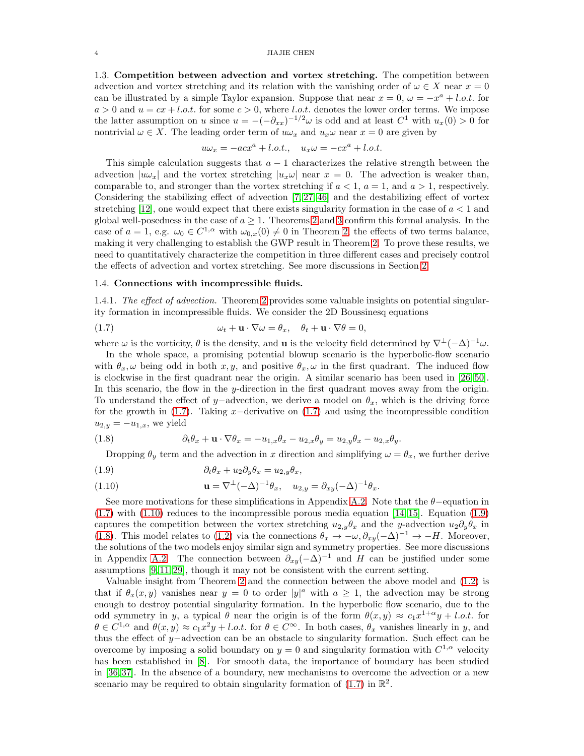<span id="page-3-4"></span>1.3. Competition between advection and vortex stretching. The competition between advection and vortex stretching and its relation with the vanishing order of  $\omega \in X$  near  $x = 0$ can be illustrated by a simple Taylor expansion. Suppose that near  $x = 0$ ,  $\omega = -x^a + l.o.t$ . for  $a > 0$  and  $u = cx + l.o.t.$  for some  $c > 0$ , where l.o.t. denotes the lower order terms. We impose the latter assumption on u since  $u = -(-\partial_{xx})^{-1/2}\omega$  is odd and at least  $C^1$  with  $u_x(0) > 0$  for nontrivial  $\omega \in X$ . The leading order term of  $u\omega_x$  and  $u_x\omega$  near  $x = 0$  are given by

$$
u\omega_x = -acx^a + l.o.t., \quad u_x\omega = -cx^a + l.o.t.
$$

This simple calculation suggests that  $a - 1$  characterizes the relative strength between the advection  $|u\omega_x|$  and the vortex stretching  $|u_x\omega|$  near  $x = 0$ . The advection is weaker than, comparable to, and stronger than the vortex stretching if  $a < 1$ ,  $a = 1$ , and  $a > 1$ , respectively. Considering the stabilizing effect of advection [\[7,](#page-38-10) [27,](#page-38-6) [46\]](#page-39-0) and the destabilizing effect of vortex stretching [\[12\]](#page-38-0), one would expect that there exists singularity formation in the case of  $a < 1$  and global well-posedness in the case of  $a \geq 1$ . Theorems [2](#page-2-0) and [3](#page-2-1) confirm this formal analysis. In the case of  $a = 1$ , e.g.  $\omega_0 \in C^{1,\alpha}$  with  $\omega_{0,x}(0) \neq 0$  in Theorem [2,](#page-2-0) the effects of two terms balance, making it very challenging to establish the GWP result in Theorem [2.](#page-2-0) To prove these results, we need to quantitatively characterize the competition in three different cases and precisely control the effects of advection and vortex stretching. See more discussions in Section [2.](#page-4-0)

## 1.4. Connections with incompressible fluids.

1.4.1. The effect of advection. Theorem [2](#page-2-0) provides some valuable insights on potential singularity formation in incompressible fluids. We consider the 2D Boussinesq equations

<span id="page-3-0"></span>(1.7) 
$$
\omega_t + \mathbf{u} \cdot \nabla \omega = \theta_x, \quad \theta_t + \mathbf{u} \cdot \nabla \theta = 0,
$$

where  $\omega$  is the vorticity,  $\theta$  is the density, and **u** is the velocity field determined by  $\nabla^{\perp}(-\Delta)^{-1}\omega$ .

In the whole space, a promising potential blowup scenario is the hyperbolic-flow scenario with  $\theta_x, \omega$  being odd in both x, y, and positive  $\theta_x, \omega$  in the first quadrant. The induced flow is clockwise in the first quadrant near the origin. A similar scenario has been used in [\[26,](#page-38-18) [50\]](#page-39-8). In this scenario, the flow in the y-direction in the first quadrant moves away from the origin. To understand the effect of y–advection, we derive a model on  $\theta_x$ , which is the driving force for the growth in  $(1.7)$ . Taking x−derivative on  $(1.7)$  and using the incompressible condition  $u_{2,y} = -u_{1,x}$ , we yield

<span id="page-3-3"></span>(1.8) 
$$
\partial_t \theta_x + \mathbf{u} \cdot \nabla \theta_x = -u_{1,x} \theta_x - u_{2,x} \theta_y = u_{2,y} \theta_x - u_{2,x} \theta_y.
$$

Dropping  $\theta_y$  term and the advection in x direction and simplifying  $\omega = \theta_x$ , we further derive

<span id="page-3-2"></span>(1.9) 
$$
\partial_t \theta_x + u_2 \partial_y \theta_x = u_{2,y} \theta_x,
$$

<span id="page-3-1"></span>(1.10) 
$$
\mathbf{u} = \nabla^{\perp}(-\Delta)^{-1}\theta_x, \quad u_{2,y} = \partial_{xy}(-\Delta)^{-1}\theta_x.
$$

See more motivations for these simplifications in Appendix [A.2.](#page-30-0) Note that the  $\theta$ –equation in  $(1.7)$  with  $(1.10)$  reduces to the incompressible porous media equation [\[14,](#page-38-19) [15\]](#page-38-20). Equation  $(1.9)$ captures the competition between the vortex stretching  $u_{2,y}\theta_x$  and the y-advection  $u_2\partial_y\theta_x$  in [\(1.8\)](#page-3-3). This model relates to [\(1.2\)](#page-0-1) via the connections  $\theta_x \to -\omega$ ,  $\partial_{xy}(-\Delta)^{-1} \to -H$ . Moreover, the solutions of the two models enjoy similar sign and symmetry properties. See more discussions in Appendix [A.2.](#page-30-0) The connection between  $\partial_{xy}(-\Delta)^{-1}$  and H can be justified under some assumptions [\[9,](#page-38-16) [11,](#page-38-14) [29\]](#page-38-21), though it may not be consistent with the current setting.

Valuable insight from Theorem [2](#page-2-0) and the connection between the above model and [\(1.2\)](#page-0-1) is that if  $\theta_x(x, y)$  vanishes near  $y = 0$  to order  $|y|^a$  with  $a \ge 1$ , the advection may be strong enough to destroy potential singularity formation. In the hyperbolic flow scenario, due to the odd symmetry in y, a typical  $\theta$  near the origin is of the form  $\theta(x,y) \approx c_1x^{1+\alpha}y + l.o.t.$  for  $\theta \in C^{1,\alpha}$  and  $\theta(x,y) \approx c_1x^2y + l.o.t.$  for  $\theta \in C^{\infty}$ . In both cases,  $\theta_x$  vanishes linearly in y, and thus the effect of y−advection can be an obstacle to singularity formation. Such effect can be overcome by imposing a solid boundary on  $y = 0$  and singularity formation with  $C^{1,\alpha}$  velocity has been established in [\[8\]](#page-38-12). For smooth data, the importance of boundary has been studied in [\[36,](#page-39-3) [37\]](#page-39-4). In the absence of a boundary, new mechanisms to overcome the advection or a new scenario may be required to obtain singularity formation of  $(1.7)$  in  $\mathbb{R}^2$ .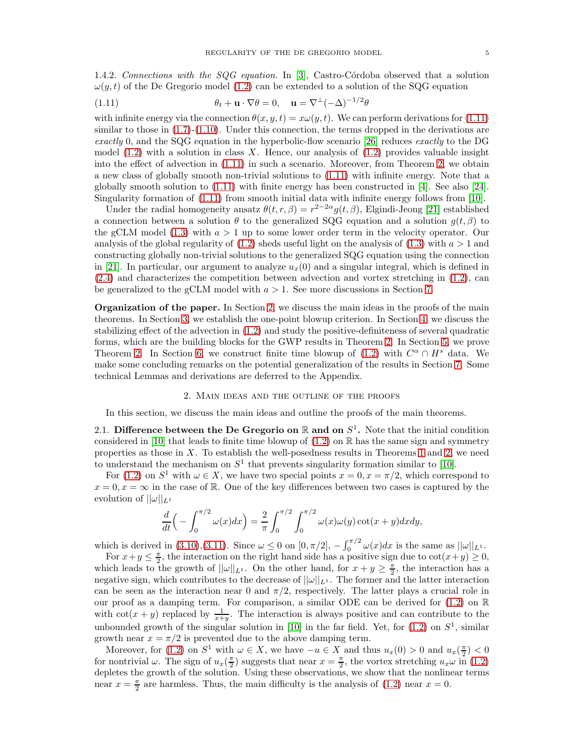1.4.2. Connections with the  $SQG$  equation. In [\[3\]](#page-38-22), Castro-Córdoba observed that a solution  $\omega(y, t)$  of the De Gregorio model [\(1.2\)](#page-0-1) can be extended to a solution of the SQG equation

<span id="page-4-1"></span>(1.11) 
$$
\theta_t + \mathbf{u} \cdot \nabla \theta = 0, \quad \mathbf{u} = \nabla^{\perp} (-\Delta)^{-1/2} \theta
$$

with infinite energy via the connection  $\theta(x, y, t) = x\omega(y, t)$ . We can perform derivations for [\(1.11\)](#page-4-1) similar to those in  $(1.7)-(1.10)$  $(1.7)-(1.10)$ . Under this connection, the terms dropped in the derivations are exactly 0, and the SQG equation in the hyperbolic-flow scenario [\[26\]](#page-38-18) reduces exactly to the DG model  $(1.2)$  with a solution in class X. Hence, our analysis of  $(1.2)$  provides valuable insight into the effect of advection in [\(1.11\)](#page-4-1) in such a scenario. Moreover, from Theorem [2,](#page-2-0) we obtain a new class of globally smooth non-trivial solutions to [\(1.11\)](#page-4-1) with infinite energy. Note that a globally smooth solution to [\(1.11\)](#page-4-1) with finite energy has been constructed in [\[4\]](#page-38-23). See also [\[24\]](#page-38-24). Singularity formation of  $(1.11)$  from smooth initial data with infinite energy follows from [\[10\]](#page-38-8).

Under the radial homogeneity ansatz  $\theta(t, r, \beta) = r^{2-2\alpha} g(t, \beta)$ , Elgindi-Jeong [\[21\]](#page-38-25) established a connection between a solution  $\theta$  to the generalized SQG equation and a solution  $g(t, \beta)$  to the gCLM model [\(1.3\)](#page-1-0) with  $a > 1$  up to some lower order term in the velocity operator. Our analysis of the global regularity of  $(1.2)$  sheds useful light on the analysis of  $(1.3)$  with  $a > 1$  and constructing globally non-trivial solutions to the generalized SQG equation using the connection in [\[21\]](#page-38-25). In particular, our argument to analyze  $u_x(0)$  and a singular integral, which is defined in [\(2.4\)](#page-5-1) and characterizes the competition between advection and vortex stretching in [\(1.2\)](#page-0-1), can be generalized to the gCLM model with  $a > 1$ . See more discussions in Section [7.](#page-28-0)

Organization of the paper. In Section [2,](#page-4-0) we discuss the main ideas in the proofs of the main theorems. In Section [3,](#page-6-0) we establish the one-point blowup criterion. In Section [4,](#page-11-0) we discuss the stabilizing effect of the advection in [\(1.2\)](#page-0-1) and study the positive-definiteness of several quadratic forms, which are the building blocks for the GWP results in Theorem [2.](#page-2-0) In Section [5,](#page-16-0) we prove Theorem [2.](#page-2-0) In Section [6,](#page-21-1) we construct finite time blowup of  $(1.2)$  with  $C^{\alpha} \cap H^s$  data. We make some concluding remarks on the potential generalization of the results in Section [7.](#page-28-0) Some technical Lemmas and derivations are deferred to the Appendix.

## 2. Main ideas and the outline of the proofs

<span id="page-4-0"></span>In this section, we discuss the main ideas and outline the proofs of the main theorems.

<span id="page-4-2"></span>2.1. Difference between the De Gregorio on  $\mathbb R$  and on  $S^1$ . Note that the initial condition considered in [\[10\]](#page-38-8) that leads to finite time blowup of  $(1.2)$  on R has the same sign and symmetry properties as those in X. To establish the well-posedness results in Theorems [1](#page-1-2) and [2,](#page-2-0) we need to understand the mechanism on  $S^1$  that prevents singularity formation similar to [\[10\]](#page-38-8).

For [\(1.2\)](#page-0-1) on  $S^1$  with  $\omega \in X$ , we have two special points  $x = 0, x = \pi/2$ , which correspond to  $x = 0, x = \infty$  in the case of R. One of the key differences between two cases is captured by the evolution of  $||\omega||_{L^1}$ 

$$
\frac{d}{dt}\left(-\int_0^{\pi/2} \omega(x)dx\right) = \frac{2}{\pi} \int_0^{\pi/2} \int_0^{\pi/2} \omega(x)\omega(y)\cot(x+y)dxdy,
$$

which is derived in [\(3.10\)](#page-8-0),[\(3.11\)](#page-8-1). Since  $\omega \leq 0$  on  $[0, \pi/2]$ ,  $-\int_0^{\pi/2} \omega(x) dx$  is the same as  $||\omega||_{L^1}$ .

For  $x+y \leq \frac{\pi}{2}$ , the interaction on the right hand side has a positive sign due to  $\cot(x+y) \geq 0$ , which leads to the growth of  $||\omega||_{L^1}$ . On the other hand, for  $x + y \geq \frac{\pi}{2}$ , the interaction has a negative sign, which contributes to the decrease of  $||\omega||_{L^1}$ . The former and the latter interaction can be seen as the interaction near 0 and  $\pi/2$ , respectively. The latter plays a crucial role in our proof as a damping term. For comparison, a similar ODE can be derived for [\(1.2\)](#page-0-1) on R with  $\cot(x+y)$  replaced by  $\frac{1}{x+y}$ . The interaction is always positive and can contribute to the unbounded growth of the singular solution in [\[10\]](#page-38-8) in the far field. Yet, for  $(1.2)$  on  $S<sup>1</sup>$ , similar growth near  $x = \pi/2$  is prevented due to the above damping term.

Moreover, for [\(1.2\)](#page-0-1) on  $S^1$  with  $\omega \in X$ , we have  $-u \in X$  and thus  $u_x(0) > 0$  and  $u_x(\frac{\pi}{2}) < 0$ for nontrivial  $\omega$ . The sign of  $u_x(\frac{\pi}{2})$  suggests that near  $x = \frac{\pi}{2}$ , the vortex stretching  $u_x \omega$  in [\(1.2\)](#page-0-1) depletes the growth of the solution. Using these observations, we show that the nonlinear terms near  $x = \frac{\pi}{2}$  are harmless. Thus, the main difficulty is the analysis of [\(1.2\)](#page-0-1) near  $x = 0$ .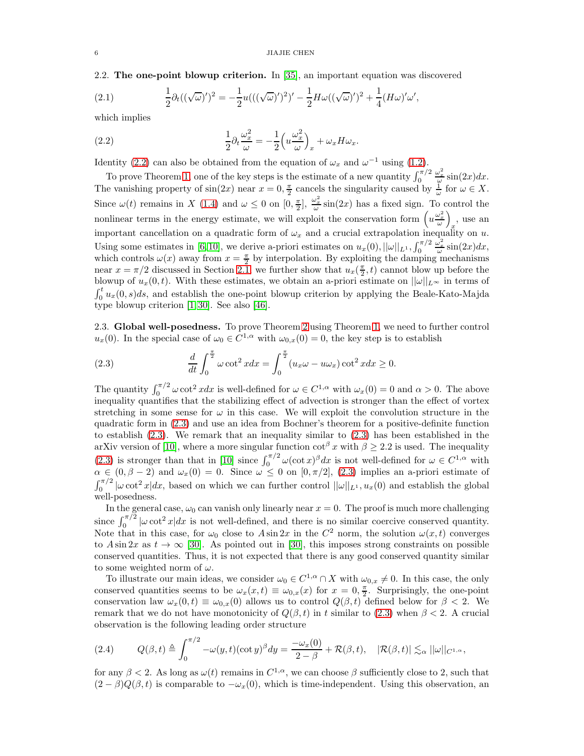2.2. The one-point blowup criterion. In [\[35\]](#page-39-2), an important equation was discovered

<span id="page-5-0"></span>(2.1) 
$$
\frac{1}{2}\partial_t((\sqrt{\omega})')^2 = -\frac{1}{2}u(((\sqrt{\omega})')^2)' - \frac{1}{2}H\omega((\sqrt{\omega})')^2 + \frac{1}{4}(H\omega)'\omega',
$$

which implies

<span id="page-5-2"></span>(2.2) 
$$
\frac{1}{2}\partial_t \frac{\omega_x^2}{\omega} = -\frac{1}{2}\left(u\frac{\omega_x^2}{\omega}\right)_x + \omega_x H \omega_x.
$$

Identity [\(2.2\)](#page-5-2) can also be obtained from the equation of  $\omega_x$  and  $\omega^{-1}$  using [\(1.2\)](#page-0-1).

To prove Theorem [1,](#page-1-2) one of the key steps is the estimate of a new quantity  $\int_0^{\pi/2}$  $\frac{\omega_x^2}{\omega}$  sin(2x)dx. The vanishing property of  $sin(2x)$  near  $x = 0, \frac{\pi}{2}$  cancels the singularity caused by  $\frac{1}{\omega}$  for  $\omega \in X$ . Since  $\omega(t)$  remains in X [\(1.4\)](#page-1-1) and  $\omega \leq 0$  on  $[0, \frac{\pi}{2}]$ ,  $\frac{\omega_x^2}{\omega} \sin(2x)$  has a fixed sign. To control the nonlinear terms in the energy estimate, we will exploit the conservation form  $\left(u\frac{\omega_x^2}{\omega}\right)$  , use an important cancellation on a quadratic form of  $\omega_x$  and a crucial extrapolation inequality on u. Using some estimates in [\[6,](#page-38-9) [10\]](#page-38-8), we derive a-priori estimates on  $u_x(0)$ ,  $||\omega||_{L^1}$ ,  $\int_0^{\pi/2}$  $\frac{\omega_x^2}{\omega}$  sin(2x)dx, which controls  $\omega(x)$  away from  $x = \frac{\pi}{2}$  by interpolation. By exploiting the damping mechanisms near  $x = \pi/2$  discussed in Section [2.1,](#page-4-2) we further show that  $u_x(\frac{\pi}{2}, t)$  cannot blow up before the blowup of  $u_x(0, t)$ . With these estimates, we obtain an a-priori estimate on  $||\omega||_{L^{\infty}}$  in terms of  $\int_0^t u_x(0, s) ds$ , and establish the one-point blowup criterion by applying the Beale-Kato-Majda type blowup criterion [\[1,](#page-38-26) [30\]](#page-38-3). See also [\[46\]](#page-39-0).

<span id="page-5-4"></span>2.3. Global well-posedness. To prove Theorem [2](#page-2-0) using Theorem [1,](#page-1-2) we need to further control  $u_x(0)$ . In the special case of  $\omega_0 \in C^{1,\alpha}$  with  $\omega_{0,x}(0) = 0$ , the key step is to establish

<span id="page-5-3"></span>(2.3) 
$$
\frac{d}{dt} \int_0^{\frac{\pi}{2}} \omega \cot^2 x dx = \int_0^{\frac{\pi}{2}} (u_x \omega - u \omega_x) \cot^2 x dx \ge 0.
$$

The quantity  $\int_0^{\pi/2} \omega \cot^2 x dx$  is well-defined for  $\omega \in C^{1,\alpha}$  with  $\omega_x(0) = 0$  and  $\alpha > 0$ . The above inequality quantifies that the stabilizing effect of advection is stronger than the effect of vortex stretching in some sense for  $\omega$  in this case. We will exploit the convolution structure in the quadratic form in [\(2.3\)](#page-5-3) and use an idea from Bochner's theorem for a positive-definite function to establish [\(2.3\)](#page-5-3). We remark that an inequality similar to [\(2.3\)](#page-5-3) has been established in the arXiv version of [\[10\]](#page-38-8), where a more singular function  $\cot^{\beta} x$  with  $\beta \geq 2.2$  is used. The inequality [\(2.3\)](#page-5-3) is stronger than that in [\[10\]](#page-38-8) since  $\int_0^{\pi/2} \omega(\cot x)^\beta dx$  is not well-defined for  $\omega \in C^{1,\alpha}$  with  $\alpha \in (0, \beta - 2)$  and  $\omega_x(0) = 0$ . Since  $\omega \leq 0$  on  $[0, \pi/2]$ , [\(2.3\)](#page-5-3) implies an a-priori estimate of  $\int_0^{\pi/2} |\omega \cot^2 x| dx$ , based on which we can further control  $||\omega||_{L^1}$ ,  $u_x(0)$  and establish the global well-posedness.

In the general case,  $\omega_0$  can vanish only linearly near  $x = 0$ . The proof is much more challenging since  $\int_0^{\pi/2} |\omega \cot^2 x| dx$  is not well-defined, and there is no similar coercive conserved quantity. Note that in this case, for  $\omega_0$  close to  $A \sin 2x$  in the  $C^2$  norm, the solution  $\omega(x, t)$  converges to  $A \sin 2x$  as  $t \to \infty$  [\[30\]](#page-38-3). As pointed out in [\[30\]](#page-38-3), this imposes strong constraints on possible conserved quantities. Thus, it is not expected that there is any good conserved quantity similar to some weighted norm of  $\omega$ .

To illustrate our main ideas, we consider  $\omega_0 \in C^{1,\alpha} \cap X$  with  $\omega_{0,x} \neq 0$ . In this case, the only conserved quantities seems to be  $\omega_x(x,t) \equiv \omega_{0,x}(x)$  for  $x = 0, \frac{\pi}{2}$ . Surprisingly, the one-point conservation law  $\omega_x(0, t) \equiv \omega_{0,x}(0)$  allows us to control  $Q(\beta, t)$  defined below for  $\beta < 2$ . We remark that we do not have monotonicity of  $Q(\beta, t)$  in t similar to [\(2.3\)](#page-5-3) when  $\beta < 2$ . A crucial observation is the following leading order structure

<span id="page-5-1"></span>
$$
(2.4) \qquad Q(\beta, t) \triangleq \int_0^{\pi/2} -\omega(y, t)(\cot y)^{\beta} dy = \frac{-\omega_x(0)}{2 - \beta} + \mathcal{R}(\beta, t), \quad |\mathcal{R}(\beta, t)| \lesssim_{\alpha} ||\omega||_{C^{1,\alpha}},
$$

for any  $\beta < 2$ . As long as  $\omega(t)$  remains in  $C^{1,\alpha}$ , we can choose  $\beta$  sufficiently close to 2, such that  $(2 - \beta)Q(\beta, t)$  is comparable to  $-\omega_x(0)$ , which is time-independent. Using this observation, an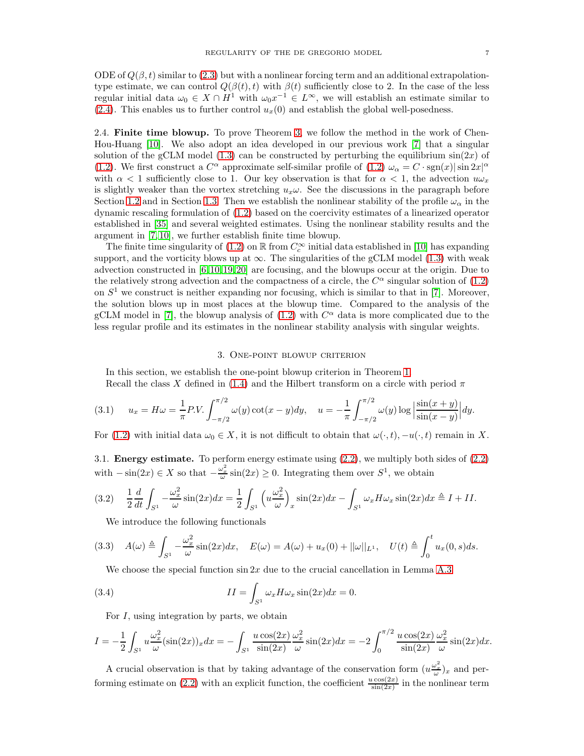ODE of  $Q(\beta, t)$  similar to [\(2.3\)](#page-5-3) but with a nonlinear forcing term and an additional extrapolationtype estimate, we can control  $Q(\beta(t), t)$  with  $\beta(t)$  sufficiently close to 2. In the case of the less regular initial data  $\omega_0 \in X \cap H^1$  with  $\omega_0 x^{-1} \in L^{\infty}$ , we will establish an estimate similar to [\(2.4\)](#page-5-1). This enables us to further control  $u_x(0)$  and establish the global well-posedness.

2.4. Finite time blowup. To prove Theorem [3,](#page-2-1) we follow the method in the work of Chen-Hou-Huang [\[10\]](#page-38-8). We also adopt an idea developed in our previous work [\[7\]](#page-38-10) that a singular solution of the gCLM model [\(1.3\)](#page-1-0) can be constructed by perturbing the equilibrium  $sin(2x)$  of [\(1.2\)](#page-0-1). We first construct a  $C^{\alpha}$  approximate self-similar profile of [\(1.2\)](#page-0-1)  $\omega_{\alpha} = C \cdot \text{sgn}(x) |\sin 2x|^{\alpha}$ with  $\alpha < 1$  sufficiently close to 1. Our key observation is that for  $\alpha < 1$ , the advection  $u\omega_x$ is slightly weaker than the vortex stretching  $u_x\omega$ . See the discussions in the paragraph before Section [1.2](#page-2-3) and in Section [1.3.](#page-3-4) Then we establish the nonlinear stability of the profile  $\omega_{\alpha}$  in the dynamic rescaling formulation of [\(1.2\)](#page-0-1) based on the coercivity estimates of a linearized operator established in [\[35\]](#page-39-2) and several weighted estimates. Using the nonlinear stability results and the argument in [\[7,](#page-38-10) [10\]](#page-38-8), we further establish finite time blowup.

The finite time singularity of [\(1.2\)](#page-0-1) on  $\mathbb R$  from  $C_c^{\infty}$  initial data established in [\[10\]](#page-38-8) has expanding support, and the vorticity blows up at  $\infty$ . The singularities of the gCLM model [\(1.3\)](#page-1-0) with weak advection constructed in [\[6,](#page-38-9) [10,](#page-38-8) [19,](#page-38-11) [20\]](#page-38-4) are focusing, and the blowups occur at the origin. Due to the relatively strong advection and the compactness of a circle, the  $C^{\alpha}$  singular solution of [\(1.2\)](#page-0-1) on  $S<sup>1</sup>$  we construct is neither expanding nor focusing, which is similar to that in [\[7\]](#page-38-10). Moreover, the solution blows up in most places at the blowup time. Compared to the analysis of the gCLM model in [\[7\]](#page-38-10), the blowup analysis of  $(1.2)$  with  $C^{\alpha}$  data is more complicated due to the less regular profile and its estimates in the nonlinear stability analysis with singular weights.

#### 3. One-point blowup criterion

<span id="page-6-0"></span>In this section, we establish the one-point blowup criterion in Theorem [1.](#page-1-2)

<span id="page-6-2"></span>Recall the class X defined in [\(1.4\)](#page-1-1) and the Hilbert transform on a circle with period  $\pi$ 

(3.1) 
$$
u_x = H\omega = \frac{1}{\pi} P.V. \int_{-\pi/2}^{\pi/2} \omega(y) \cot(x - y) dy, \quad u = -\frac{1}{\pi} \int_{-\pi/2}^{\pi/2} \omega(y) \log \left| \frac{\sin(x + y)}{\sin(x - y)} \right| dy.
$$

For [\(1.2\)](#page-0-1) with initial data  $\omega_0 \in X$ , it is not difficult to obtain that  $\omega(\cdot,t)$ ,  $-u(\cdot,t)$  remain in X.

<span id="page-6-5"></span>3.1. Energy estimate. To perform energy estimate using [\(2.2\)](#page-5-2), we multiply both sides of [\(2.2\)](#page-5-2) with  $-\sin(2x) \in X$  so that  $-\frac{\omega_x^2}{\omega} \sin(2x) \ge 0$ . Integrating them over  $S^1$ , we obtain

$$
(3.2) \quad \frac{1}{2}\frac{d}{dt}\int_{S^1} -\frac{\omega_x^2}{\omega}\sin(2x)dx = \frac{1}{2}\int_{S^1} \left(u\frac{\omega_x^2}{\omega}\right)_x \sin(2x)dx - \int_{S^1} \omega_x H\omega_x \sin(2x)dx \triangleq I + II.
$$

<span id="page-6-4"></span><span id="page-6-1"></span>We introduce the following functionals

$$
(3.3) \quad A(\omega) \triangleq \int_{S^1} -\frac{\omega_x^2}{\omega} \sin(2x) dx, \quad E(\omega) = A(\omega) + u_x(0) + ||\omega||_{L^1}, \quad U(t) \triangleq \int_0^t u_x(0, s) ds.
$$

<span id="page-6-3"></span>We choose the special function  $\sin 2x$  due to the crucial cancellation in Lemma [A.3](#page-29-0)

(3.4) 
$$
II = \int_{S^1} \omega_x H \omega_x \sin(2x) dx = 0.
$$

For I, using integration by parts, we obtain

$$
I = -\frac{1}{2} \int_{S^1} u \frac{\omega_x^2}{\omega} (\sin(2x))_x dx = -\int_{S^1} \frac{u \cos(2x)}{\sin(2x)} \frac{\omega_x^2}{\omega} \sin(2x) dx = -2 \int_0^{\pi/2} \frac{u \cos(2x)}{\sin(2x)} \frac{\omega_x^2}{\omega} \sin(2x) dx.
$$

A crucial observation is that by taking advantage of the conservation form  $(u\frac{\omega_x^2}{\omega})_x$  and per-forming estimate on [\(2.2\)](#page-5-2) with an explicit function, the coefficient  $\frac{u \cos(2x)}{\sin(2x)}$  in the nonlinear term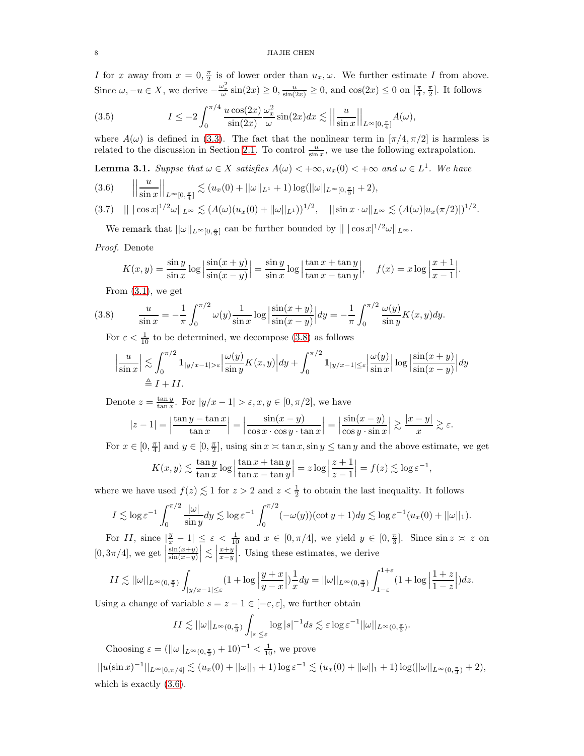I for x away from  $x = 0, \frac{\pi}{2}$  is of lower order than  $u_x, \omega$ . We further estimate I from above. Since  $\omega, -u \in X$ , we derive  $-\frac{\omega_x^2}{\omega}\sin(2x) \ge 0$ ,  $\frac{u}{\sin(2x)} \ge 0$ , and  $\cos(2x) \le 0$  on  $[\frac{\pi}{4}, \frac{\pi}{2}]$ . It follows

<span id="page-7-4"></span>(3.5) 
$$
I \le -2 \int_0^{\pi/4} \frac{u \cos(2x)}{\sin(2x)} \frac{\omega_x^2}{\omega} \sin(2x) dx \lesssim \left| \left| \frac{u}{\sin x} \right| \right|_{L^\infty[0, \frac{\pi}{4}]} A(\omega),
$$

where  $A(\omega)$  is defined in [\(3.3\)](#page-6-1). The fact that the nonlinear term in  $[\pi/4, \pi/2]$  is harmless is related to the discussion in Section [2.1.](#page-4-2) To control  $\frac{u}{\sin x}$ , we use the following extrapolation.

<span id="page-7-3"></span>**Lemma 3.1.** Suppse that  $\omega \in X$  satisfies  $A(\omega) < +\infty$ ,  $u_x(0) < +\infty$  and  $\omega \in L^1$ . We have

<span id="page-7-1"></span>
$$
(3.6) \qquad \left|\left|\frac{u}{\sin x}\right|\right|_{L^{\infty}[0,\frac{\pi}{4}]} \lesssim (u_x(0) + ||\omega||_{L^1} + 1) \log(||\omega||_{L^{\infty}[0,\frac{\pi}{3}]} + 2),
$$

<span id="page-7-2"></span>
$$
(3.7) \quad || \, |\cos x|^{1/2} \omega ||_{L^{\infty}} \lesssim (A(\omega)(u_x(0) + ||\omega||_{L^1}))^{1/2}, \quad || \sin x \cdot \omega ||_{L^{\infty}} \lesssim (A(\omega) |u_x(\pi/2)|)^{1/2}.
$$

We remark that  $||\omega||_{L^{\infty}[0,\frac{\pi}{3}]}$  can be further bounded by  $|| \cdot |\cos x|^{1/2} \omega ||_{L^{\infty}}$ .

## Proof. Denote

$$
K(x,y) = \frac{\sin y}{\sin x} \log \left| \frac{\sin(x+y)}{\sin(x-y)} \right| = \frac{\sin y}{\sin x} \log \left| \frac{\tan x + \tan y}{\tan x - \tan y} \right|, \quad f(x) = x \log \left| \frac{x+1}{x-1} \right|.
$$

<span id="page-7-0"></span>From  $(3.1)$ , we get

(3.8) 
$$
\frac{u}{\sin x} = -\frac{1}{\pi} \int_0^{\pi/2} \omega(y) \frac{1}{\sin x} \log \left| \frac{\sin(x+y)}{\sin(x-y)} \right| dy = -\frac{1}{\pi} \int_0^{\pi/2} \frac{\omega(y)}{\sin y} K(x,y) dy.
$$

For  $\varepsilon < \frac{1}{10}$  to be determined, we decompose [\(3.8\)](#page-7-0) as follows

$$
\left|\frac{u}{\sin x}\right| \lesssim \int_0^{\pi/2} \mathbf{1}_{|y/x-1|>\varepsilon} \left|\frac{\omega(y)}{\sin y} K(x,y)\right| dy + \int_0^{\pi/2} \mathbf{1}_{|y/x-1| \le \varepsilon} \left|\frac{\omega(y)}{\sin x}\right| \log \left|\frac{\sin(x+y)}{\sin(x-y)}\right| dy
$$
  
\n $\stackrel{\triangle}{=} I + II.$ 

Denote  $z = \frac{\tan y}{\tan x}$ . For  $|y/x - 1| > \varepsilon$ ,  $x, y \in [0, \pi/2]$ , we have

$$
|z-1| = \left|\frac{\tan y - \tan x}{\tan x}\right| = \left|\frac{\sin(x-y)}{\cos x \cdot \cos y \cdot \tan x}\right| = \left|\frac{\sin(x-y)}{\cos y \cdot \sin x}\right| \gtrsim \frac{|x-y|}{x} \gtrsim \varepsilon.
$$

For  $x \in [0, \frac{\pi}{4}]$  and  $y \in [0, \frac{\pi}{2}]$ , using  $\sin x \asymp \tan x$ ,  $\sin y \le \tan y$  and the above estimate, we get

,

$$
K(x, y) \lesssim \frac{\tan y}{\tan x} \log \left| \frac{\tan x + \tan y}{\tan x - \tan y} \right| = z \log \left| \frac{z+1}{z-1} \right| = f(z) \lesssim \log \varepsilon^{-1}
$$

where we have used  $f(z) \lesssim 1$  for  $z > 2$  and  $z < \frac{1}{2}$  to obtain the last inequality. It follows

$$
I \lesssim \log \varepsilon^{-1} \int_0^{\pi/2} \frac{|\omega|}{\sin y} dy \lesssim \log \varepsilon^{-1} \int_0^{\pi/2} (-\omega(y)) (\cot y + 1) dy \lesssim \log \varepsilon^{-1} (u_x(0) + ||\omega||_1).
$$

For II, since  $|\frac{y}{x} - 1| \leq \varepsilon < \frac{1}{10}$  and  $x \in [0, \pi/4]$ , we yield  $y \in [0, \frac{\pi}{3}]$ . Since  $\sin z \approx z$  on  $[0, 3\pi/4]$ , we get  $\Big|$  $sin(x+y)$  $sin(x-y)$  $\left|\lesssim \left|\frac{x+y}{x-y}\right|$  $\Big|$ . Using these estimates, we derive

$$
II \lesssim ||\omega||_{L^{\infty}(0,\frac{\pi}{3})} \int_{|y/x-1| \leq \varepsilon} (1+\log \left|\frac{y+x}{y-x}\right|) \frac{1}{x} dy = ||\omega||_{L^{\infty}(0,\frac{\pi}{3})} \int_{1-\varepsilon}^{1+\varepsilon} (1+\log \left|\frac{1+z}{1-z}\right|) dz.
$$

Using a change of variable  $s=z-1\in[-\varepsilon,\varepsilon],$  we further obtain

$$
II \lesssim ||\omega||_{L^{\infty}(0,\frac{\pi}{3})} \int_{|s| \leq \varepsilon} \log |s|^{-1} ds \lesssim \varepsilon \log \varepsilon^{-1} ||\omega||_{L^{\infty}(0,\frac{\pi}{3})}.
$$

Choosing  $\varepsilon = (||\omega||_{L^{\infty}(0, \frac{\pi}{3})} + 10)^{-1} < \frac{1}{10}$ , we prove

 $||u(\sin x)^{-1}||_{L^{\infty}[0,\pi/4]} \lesssim (u_x(0) + ||\omega||_1 + 1) \log \varepsilon^{-1} \lesssim (u_x(0) + ||\omega||_1 + 1) \log(||\omega||_{L^{\infty}(0,\frac{\pi}{3})} + 2),$ which is exactly  $(3.6)$ .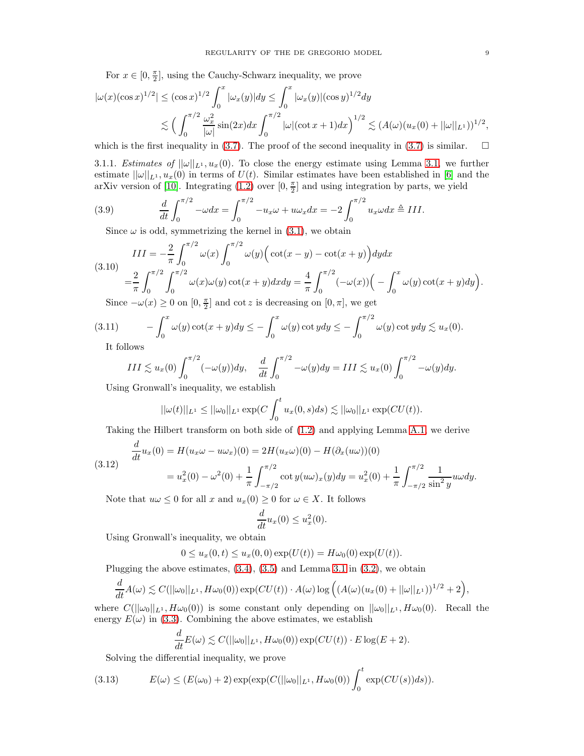For  $x \in [0, \frac{\pi}{2}]$ , using the Cauchy-Schwarz inequality, we prove

$$
|\omega(x)(\cos x)^{1/2}| \leq (\cos x)^{1/2} \int_0^x |\omega_x(y)| dy \leq \int_0^x |\omega_x(y)|(\cos y)^{1/2} dy
$$
  

$$
\lesssim \left(\int_0^{\pi/2} \frac{\omega_x^2}{|\omega|} \sin(2x) dx \int_0^{\pi/2} |\omega|(\cot x + 1) dx\right)^{1/2} \lesssim (A(\omega)(u_x(0) + ||\omega||_{L^1}))^{1/2},
$$

which is the first inequality in [\(3.7\)](#page-7-2). The proof of the second inequality in (3.7) is similar.  $\square$ 

3.1.1. Estimates of  $||\omega||_{L^1}$ ,  $u_x(0)$ . To close the energy estimate using Lemma [3.1,](#page-7-3) we further estimate  $||\omega||_{L^1}$ ,  $u_x(0)$  in terms of  $U(t)$ . Similar estimates have been established in [\[6\]](#page-38-9) and the arXiv version of [\[10\]](#page-38-8). Integrating  $(1.2)$  over  $[0, \frac{\pi}{2}]$  and using integration by parts, we yield

(3.9) 
$$
\frac{d}{dt} \int_0^{\pi/2} -\omega dx = \int_0^{\pi/2} -u_x \omega + u \omega_x dx = -2 \int_0^{\pi/2} u_x \omega dx \triangleq III.
$$

<span id="page-8-4"></span>Since  $\omega$  is odd, symmetrizing the kernel in [\(3.1\)](#page-6-2), we obtain

<span id="page-8-0"></span>
$$
III = -\frac{2}{\pi} \int_0^{\pi/2} \omega(x) \int_0^{\pi/2} \omega(y) \Big( \cot(x - y) - \cot(x + y) \Big) dy dx
$$
  
(3.10)  

$$
= \frac{2}{\pi} \int_0^{\pi/2} \int_0^{\pi/2} \omega(x) \omega(y) \cot(x + y) dx dy = \frac{4}{\pi} \int_0^{\pi/2} (-\omega(x)) \Big( -\int_0^x \omega(y) \cot(x + y) dy \Big).
$$
  
Since  $-\omega(x) \ge 0$  on  $[0, \pm]$  and  $\cot z$  is decreasing on  $[0, \pi]$  we set

Since  $-\omega(x) \ge 0$  on  $[0, \frac{\pi}{2}]$  and cot z is decreasing on  $[0, \pi]$ , we get

$$
(3.11) \qquad -\int_0^x \omega(y)\cot(x+y)dy \le -\int_0^x \omega(y)\cot y dy \le -\int_0^{\pi/2} \omega(y)\cot y dy \lesssim u_x(0).
$$

It follows

<span id="page-8-1"></span>
$$
III \lesssim u_x(0) \int_0^{\pi/2} (-\omega(y)) dy, \quad \frac{d}{dt} \int_0^{\pi/2} -\omega(y) dy = III \lesssim u_x(0) \int_0^{\pi/2} -\omega(y) dy.
$$

Using Gronwall's inequality, we establish

$$
||\omega(t)||_{L^1} \leq ||\omega_0||_{L^1} \exp(C \int_0^t u_x(0,s)ds) \lesssim ||\omega_0||_{L^1} \exp(CU(t)).
$$

Taking the Hilbert transform on both side of [\(1.2\)](#page-0-1) and applying Lemma [A.1,](#page-29-1) we derive

<span id="page-8-2"></span>
$$
\frac{d}{dt}u_x(0) = H(u_x\omega - u\omega_x)(0) = 2H(u_x\omega)(0) - H(\partial_x(u\omega))(0)
$$
\n
$$
= u_x^2(0) - \omega^2(0) + \frac{1}{\pi} \int_{-\pi/2}^{\pi/2} \cot y(u\omega)_x(y) dy = u_x^2(0) + \frac{1}{\pi} \int_{-\pi/2}^{\pi/2} \frac{1}{\sin^2 y} u\omega dy.
$$

Note that  $u\omega \leq 0$  for all x and  $u_x(0) \geq 0$  for  $\omega \in X$ . It follows

$$
\frac{d}{dt}u_x(0) \le u_x^2(0).
$$

Using Gronwall's inequality, we obtain

$$
0 \le u_x(0,t) \le u_x(0,0) \exp(U(t)) = H\omega_0(0) \exp(U(t)).
$$

Plugging the above estimates,  $(3.4)$ ,  $(3.5)$  and Lemma [3.1](#page-7-3) in  $(3.2)$ , we obtain

$$
\frac{d}{dt}A(\omega) \lesssim C(||\omega_0||_{L^1}, H\omega_0(0)) \exp(CU(t)) \cdot A(\omega) \log \Big( (A(\omega)(u_x(0) + ||\omega||_{L^1}))^{1/2} + 2 \Big),
$$

where  $C(||\omega_0||_{L^1}, H\omega_0(0))$  is some constant only depending on  $||\omega_0||_{L^1}, H\omega_0(0)$ . Recall the energy  $E(\omega)$  in [\(3.3\)](#page-6-1). Combining the above estimates, we establish

$$
\frac{d}{dt}E(\omega) \lesssim C(||\omega_0||_{L^1}, H\omega_0(0)) \exp(CU(t)) \cdot E \log(E+2).
$$

<span id="page-8-3"></span>Solving the differential inequality, we prove

(3.13) 
$$
E(\omega) \le (E(\omega_0) + 2) \exp(\exp(C(||\omega_0||_{L^1}, H\omega_0(0))) \int_0^t \exp(CU(s))ds)).
$$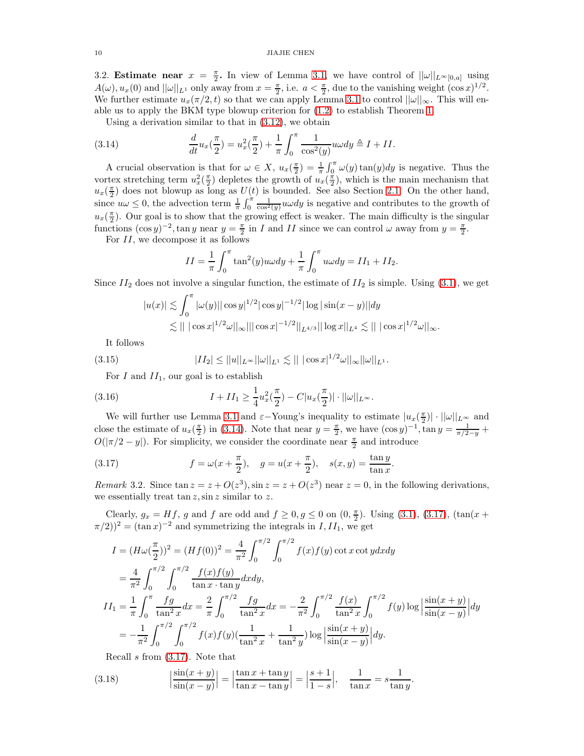## <span id="page-9-4"></span>10 JIAJIE CHEN

3.2. **Estimate near**  $x = \frac{\pi}{2}$ . In view of Lemma [3.1,](#page-7-3) we have control of  $||\omega||_{L^{\infty}[0,a]}$  using  $A(\omega), u_x(0)$  and  $||\omega||_{L^1}$  only away from  $x = \frac{\pi}{2}$ , i.e.  $a < \frac{\pi}{2}$ , due to the vanishing weight  $(\cos x)^{1/2}$ . We further estimate  $u_x(\pi/2, t)$  so that we can apply Lemma [3.1](#page-7-3) to control  $||\omega||_{\infty}$ . This will enable us to apply the BKM type blowup criterion for [\(1.2\)](#page-0-1) to establish Theorem [1.](#page-1-2)

<span id="page-9-0"></span>Using a derivation similar to that in [\(3.12\)](#page-8-2), we obtain

(3.14) 
$$
\frac{d}{dt}u_x(\frac{\pi}{2}) = u_x^2(\frac{\pi}{2}) + \frac{1}{\pi} \int_0^{\pi} \frac{1}{\cos^2(y)} u \omega dy \triangleq I + II.
$$

A crucial observation is that for  $\omega \in X$ ,  $u_x(\frac{\pi}{2}) = \frac{1}{\pi} \int_0^{\pi} \omega(y) \tan(y) dy$  is negative. Thus the vortex stretching term  $u_x^2(\frac{\pi}{2})$  depletes the growth of  $u_x(\frac{\pi}{2})$ , which is the main mechanism that  $u_x(\frac{\pi}{2})$  does not blowup as long as  $U(t)$  is bounded. See also Section [2.1.](#page-4-2) On the other hand, since  $u\omega \leq 0$ , the advection term  $\frac{1}{\pi} \int_0^{\pi} \frac{1}{\cos^2(y)} u \omega dy$  is negative and contributes to the growth of  $u_x(\frac{\pi}{2})$ . Our goal is to show that the growing effect is weaker. The main difficulty is the singular functions  $(\cos y)^{-2}$ ,  $\tan y$  near  $y = \frac{\pi}{2}$  in *I* and *II* since we can control  $\omega$  away from  $y = \frac{\pi}{2}$ .

For  $II$ , we decompose it as follows

$$
II = \frac{1}{\pi} \int_0^{\pi} \tan^2(y) u \omega dy + \frac{1}{\pi} \int_0^{\pi} u \omega dy = II_1 + II_2.
$$

Since  $II_2$  does not involve a singular function, the estimate of  $II_2$  is simple. Using [\(3.1\)](#page-6-2), we get

$$
|u(x)| \lesssim \int_0^{\pi} |\omega(y)| |\cos y|^{1/2} |\cos y|^{-1/2} |\log |\sin(x - y)| |dy
$$
  

$$
\lesssim || |\cos x|^{1/2} \omega ||_{\infty} || |\cos x|^{-1/2} ||_{L^{4/3}} || \log x ||_{L^4} \lesssim || |\cos x|^{1/2} \omega ||_{\infty}.
$$

It follows

(3.15) 
$$
|II_2| \le ||u||_{L^{\infty}} ||\omega||_{L^1} \lesssim |||\cos x|^{1/2} \omega||_{\infty} ||\omega||_{L^1}.
$$

<span id="page-9-3"></span>For I and  $II_1$ , our goal is to establish

(3.16) 
$$
I + II_1 \geq \frac{1}{4} u_x^2(\frac{\pi}{2}) - C|u_x(\frac{\pi}{2})| \cdot ||\omega||_{L^{\infty}}.
$$

We will further use Lemma [3.1](#page-7-3) and  $\varepsilon$ -Young's inequality to estimate  $|u_x(\frac{\pi}{2})| \cdot ||\omega||_{L^{\infty}}$  and close the estimate of  $u_x(\frac{\pi}{2})$  in [\(3.14\)](#page-9-0). Note that near  $y = \frac{\pi}{2}$ , we have  $(\cos y)^{-1}$ ,  $\tan y = \frac{1}{\pi/2-y}$  $O(|\pi/2 - y|)$ . For simplicity, we consider the coordinate near  $\frac{\pi}{2}$  and introduce

<span id="page-9-1"></span>(3.17) 
$$
f = \omega(x + \frac{\pi}{2}), \quad g = u(x + \frac{\pi}{2}), \quad s(x, y) = \frac{\tan y}{\tan x}
$$

*Remark* 3.2. Since  $\tan z = z + O(z^3)$ ,  $\sin z = z + O(z^3)$  near  $z = 0$ , in the following derivations, we essentially treat  $\tan z$ ,  $\sin z$  similar to z.

.

.

Clearly,  $g_x = Hf$ , g and f are odd and  $f \ge 0, g \le 0$  on  $(0, \frac{\pi}{2})$ . Using [\(3.1\)](#page-6-2), [\(3.17\)](#page-9-1), (tan(x +  $(\pi/2)^2 = (\tan x)^{-2}$  and symmetrizing the integrals in  $I, II_1$ , we get

$$
I = (H\omega(\frac{\pi}{2}))^2 = (Hf(0))^2 = \frac{4}{\pi^2} \int_0^{\pi/2} \int_0^{\pi/2} f(x)f(y) \cot x \cot y dx dy
$$
  
\n
$$
= \frac{4}{\pi^2} \int_0^{\pi/2} \int_0^{\pi/2} \frac{f(x)f(y)}{\tan x \cdot \tan y} dx dy,
$$
  
\n
$$
II_1 = \frac{1}{\pi} \int_0^{\pi} \frac{fg}{\tan^2 x} dx = \frac{2}{\pi} \int_0^{\pi/2} \frac{fg}{\tan^2 x} dx = -\frac{2}{\pi^2} \int_0^{\pi/2} \frac{f(x)}{\tan^2 x} \int_0^{\pi/2} f(y) \log \left| \frac{\sin(x+y)}{\sin(x-y)} \right| dy
$$
  
\n
$$
= -\frac{1}{\pi^2} \int_0^{\pi/2} \int_0^{\pi/2} f(x)f(y) \left( \frac{1}{\tan^2 x} + \frac{1}{\tan^2 y} \right) \log \left| \frac{\sin(x+y)}{\sin(x-y)} \right| dy.
$$

<span id="page-9-2"></span>Recall s from [\(3.17\)](#page-9-1). Note that

(3.18) 
$$
\left|\frac{\sin(x+y)}{\sin(x-y)}\right| = \left|\frac{\tan x + \tan y}{\tan x - \tan y}\right| = \left|\frac{s+1}{1-s}\right|, \quad \frac{1}{\tan x} = s\frac{1}{\tan y}
$$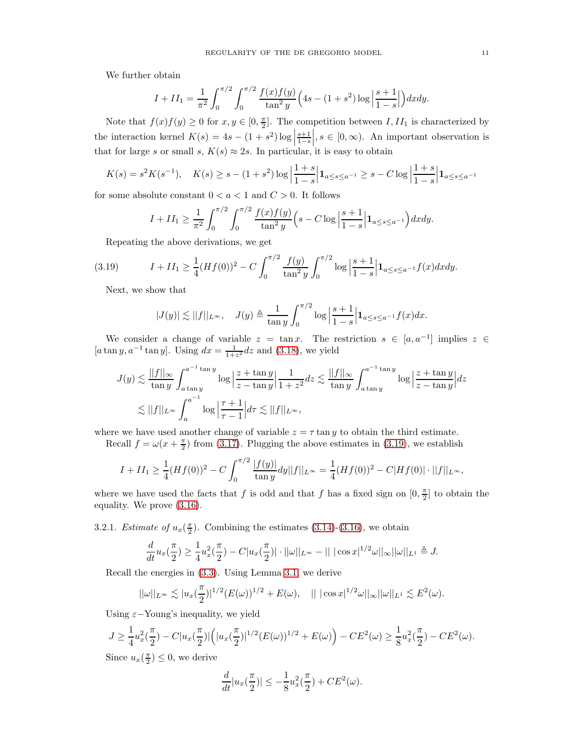We further obtain

$$
I + II_1 = \frac{1}{\pi^2} \int_0^{\pi/2} \int_0^{\pi/2} \frac{f(x)f(y)}{\tan^2 y} \left(4s - (1+s^2)\log\left|\frac{s+1}{1-s}\right|\right) dx dy.
$$

Note that  $f(x)f(y) \geq 0$  for  $x, y \in [0, \frac{\pi}{2}]$ . The competition between  $I, II_1$  is characterized by the interaction kernel  $K(s) = 4s - (1 + s^2) \log \left| \frac{s+1}{1-s} \right|$  $\Big\vert, s \in [0, \infty)$ . An important observation is that for large s or small s,  $K(s) \approx 2s$ . In particular, it is easy to obtain

$$
K(s) = s^2 K(s^{-1}), \quad K(s) \ge s - (1+s^2) \log \left| \frac{1+s}{1-s} \right| \mathbf{1}_{a \le s \le a^{-1}} \ge s - C \log \left| \frac{1+s}{1-s} \right| \mathbf{1}_{a \le s \le a^{-1}}
$$

for some absolute constant  $0 < a < 1$  and  $C > 0$ . It follows

$$
I + II_1 \ge \frac{1}{\pi^2} \int_0^{\pi/2} \int_0^{\pi/2} \frac{f(x)f(y)}{\tan^2 y} \left( s - C \log \left| \frac{s+1}{1-s} \right| \mathbf{1}_{a \le s \le a^{-1}} \right) dx dy.
$$

Repeating the above derivations, we get

(3.19) 
$$
I + II_1 \ge \frac{1}{4} (Hf(0))^2 - C \int_0^{\pi/2} \frac{f(y)}{\tan^2 y} \int_0^{\pi/2} \log \left| \frac{s+1}{1-s} \right| \mathbf{1}_{a \le s \le a^{-1}} f(x) dx dy.
$$

Next, we show that

<span id="page-10-0"></span>
$$
|J(y)| \lesssim ||f||_{L^{\infty}}, \quad J(y) \triangleq \frac{1}{\tan y} \int_0^{\pi/2} \log \left| \frac{s+1}{1-s} \right| \mathbf{1}_{a \le s \le a^{-1}} f(x) dx.
$$

We consider a change of variable  $z = \tan x$ . The restriction  $s \in [a, a^{-1}]$  implies  $z \in \mathbb{R}$  $[a \tan y, a^{-1} \tan y]$ . Using  $dx = \frac{1}{1+z^2} dz$  and [\(3.18\)](#page-9-2), we yield

$$
J(y) \lesssim \frac{||f||_{\infty}}{\tan y} \int_{a \tan y}^{a^{-1} \tan y} \log \left| \frac{z + \tan y}{z - \tan y} \right| \frac{1}{1 + z^2} dz \lesssim \frac{||f||_{\infty}}{\tan y} \int_{a \tan y}^{a^{-1} \tan y} \log \left| \frac{z + \tan y}{z - \tan y} \right| dz
$$
  

$$
\lesssim ||f||_{L^{\infty}} \int_{a}^{a^{-1}} \log \left| \frac{\tau + 1}{\tau - 1} \right| d\tau \lesssim ||f||_{L^{\infty}},
$$

where we have used another change of variable  $z = \tau \tan y$  to obtain the third estimate.

Recall  $f = \omega(x + \frac{\pi}{2})$  from [\(3.17\)](#page-9-1). Plugging the above estimates in [\(3.19\)](#page-10-0), we establish

$$
I + II_1 \ge \frac{1}{4} (Hf(0))^2 - C \int_0^{\pi/2} \frac{|f(y)|}{\tan y} dy ||f||_{L^{\infty}} = \frac{1}{4} (Hf(0))^2 - C|Hf(0)| \cdot ||f||_{L^{\infty}},
$$

where we have used the facts that f is odd and that f has a fixed sign on  $[0, \frac{\pi}{2}]$  to obtain the equality. We prove [\(3.16\)](#page-9-3).

3.2.1. *Estimate of*  $u_x(\frac{\pi}{2})$ . Combining the estimates [\(3.14\)](#page-9-0)-[\(3.16\)](#page-9-3), we obtain

$$
\frac{d}{dt}u_x(\frac{\pi}{2}) \ge \frac{1}{4}u_x^2(\frac{\pi}{2}) - C|u_x(\frac{\pi}{2})| \cdot ||\omega||_{L^{\infty}} - |||\cos x|^{1/2}\omega||_{\infty}||\omega||_{L^1} \triangleq J.
$$

Recall the energies in [\(3.3\)](#page-6-1). Using Lemma [3.1,](#page-7-3) we derive

$$
||\omega||_{L^{\infty}} \lesssim |u_{x}(\frac{\pi}{2})|^{1/2} (E(\omega))^{1/2} + E(\omega), \quad || \, |\cos x|^{1/2} \omega ||_{\infty} ||\omega||_{L^{1}} \lesssim E^{2}(\omega).
$$

Using  $\varepsilon$ -Young's inequality, we yield

$$
J \geq \frac{1}{4}u_x^2(\frac{\pi}{2}) - C|u_x(\frac{\pi}{2})| \Big( |u_x(\frac{\pi}{2})|^{1/2} (E(\omega))^{1/2} + E(\omega) \Big) - CE^2(\omega) \geq \frac{1}{8}u_x^2(\frac{\pi}{2}) - CE^2(\omega).
$$

Since  $u_x(\frac{\pi}{2}) \leq 0$ , we derive

$$
\frac{d}{dt}|u_x(\frac{\pi}{2})| \le -\frac{1}{8}u_x^2(\frac{\pi}{2}) + CE^2(\omega).
$$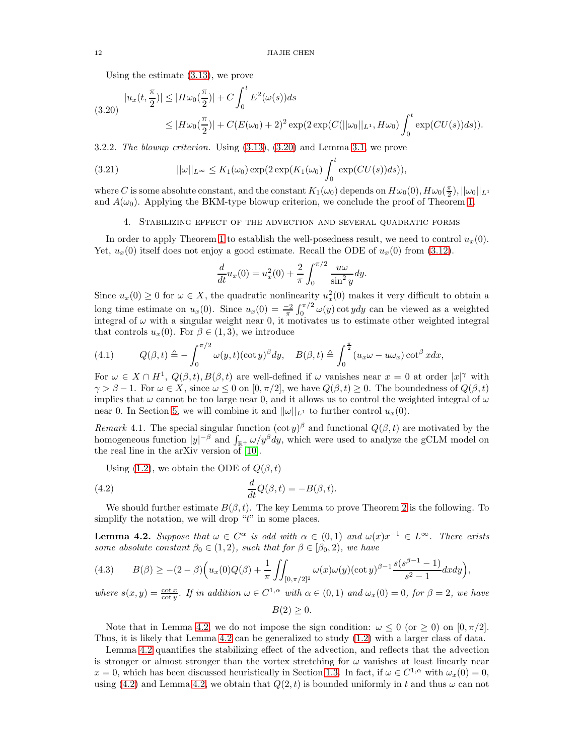Using the estimate [\(3.13\)](#page-8-3), we prove

<span id="page-11-1"></span>
$$
(3.20) \quad |u_x(t, \frac{\pi}{2})| \le |H\omega_0(\frac{\pi}{2})| + C \int_0^t E^2(\omega(s))ds
$$
  
 
$$
\le |H\omega_0(\frac{\pi}{2})| + C(E(\omega_0) + 2)^2 \exp(2\exp(C(||\omega_0||_{L^1}, H\omega_0)) \int_0^t \exp(CU(s))ds)).
$$

3.2.2. The blowup criterion. Using [\(3.13\)](#page-8-3), [\(3.20\)](#page-11-1) and Lemma [3.1,](#page-7-3) we prove

(3.21) 
$$
||\omega||_{L^{\infty}} \leq K_1(\omega_0) \exp(2 \exp(K_1(\omega_0)) \int_0^t \exp(CU(s)) ds)),
$$

<span id="page-11-0"></span>where C is some absolute constant, and the constant  $K_1(\omega_0)$  depends on  $H\omega_0(0)$ ,  $H\omega_0(\frac{\pi}{2})$ ,  $||\omega_0||_{L^1}$ and  $A(\omega_0)$ . Applying the BKM-type blowup criterion, we conclude the proof of Theorem [1.](#page-1-2)

## <span id="page-11-6"></span>4. Stabilizing effect of the advection and several quadratic forms

In order to apply Theorem [1](#page-1-2) to establish the well-posedness result, we need to control  $u_x(0)$ . Yet,  $u_x(0)$  itself does not enjoy a good estimate. Recall the ODE of  $u_x(0)$  from [\(3.12\)](#page-8-2).

$$
\frac{d}{dt}u_x(0) = u_x^2(0) + \frac{2}{\pi} \int_0^{\pi/2} \frac{u\omega}{\sin^2 y} dy.
$$

Since  $u_x(0) \geq 0$  for  $\omega \in X$ , the quadratic nonlinearity  $u_x^2(0)$  makes it very difficult to obtain a long time estimate on  $u_x(0)$ . Since  $u_x(0) = \frac{-2}{\pi} \int_0^{\pi/2} \omega(y) \cot y dy$  can be viewed as a weighted integral of  $\omega$  with a singular weight near 0, it motivates us to estimate other weighted integral that controls  $u_x(0)$ . For  $\beta \in (1,3)$ , we introduce

<span id="page-11-5"></span>(4.1) 
$$
Q(\beta, t) \triangleq -\int_0^{\pi/2} \omega(y, t) (\cot y)^{\beta} dy, \quad B(\beta, t) \triangleq \int_0^{\frac{\pi}{2}} (u_x \omega - u \omega_x) \cot^{\beta} x dx,
$$

For  $\omega \in X \cap H^1$ ,  $Q(\beta, t)$ ,  $B(\beta, t)$  are well-defined if  $\omega$  vanishes near  $x = 0$  at order  $|x|^\gamma$  with  $\gamma > \beta - 1$ . For  $\omega \in X$ , since  $\omega \leq 0$  on  $[0, \pi/2]$ , we have  $Q(\beta, t) \geq 0$ . The boundedness of  $Q(\beta, t)$ implies that  $\omega$  cannot be too large near 0, and it allows us to control the weighted integral of  $\omega$ near 0. In Section [5,](#page-16-0) we will combine it and  $||\omega||_{L^1}$  to further control  $u_x(0)$ .

Remark 4.1. The special singular function  $(\cot y)^{\beta}$  and functional  $Q(\beta, t)$  are motivated by the homogeneous function  $|y|^{-\beta}$  and  $\int_{\mathbb{R}^+} \omega/y^{\beta} dy$ , which were used to analyze the gCLM model on the real line in the arXiv version of  $[10]$ .

<span id="page-11-3"></span>Using [\(1.2\)](#page-0-1), we obtain the ODE of  $Q(\beta, t)$ 

(4.2) 
$$
\frac{d}{dt}Q(\beta,t) = -B(\beta,t).
$$

We should further estimate  $B(\beta, t)$ . The key Lemma to prove Theorem [2](#page-2-0) is the following. To simplify the notation, we will drop " $t$ " in some places.

<span id="page-11-2"></span>**Lemma 4.2.** Suppose that  $\omega \in C^{\alpha}$  is odd with  $\alpha \in (0,1)$  and  $\omega(x)x^{-1} \in L^{\infty}$ . There exists some absolute constant  $\beta_0 \in (1, 2)$ , such that for  $\beta \in [\beta_0, 2)$ , we have

<span id="page-11-4"></span>
$$
(4.3) \qquad B(\beta) \geq -(2-\beta)\Big(u_x(0)Q(\beta) + \frac{1}{\pi}\iint_{[0,\pi/2]^2} \omega(x)\omega(y)(\cot y)^{\beta-1}\frac{s(s^{\beta-1}-1)}{s^2-1}dxdy\Big),
$$

where  $s(x, y) = \frac{\cot x}{\cot y}$ . If in addition  $\omega \in C^{1,\alpha}$  with  $\alpha \in (0,1)$  and  $\omega_x(0) = 0$ , for  $\beta = 2$ , we have  $B(2) > 0.$ 

Note that in Lemma [4.2,](#page-11-2) we do not impose the sign condition:  $\omega \leq 0$  (or  $\geq 0$ ) on  $[0, \pi/2]$ . Thus, it is likely that Lemma [4.2](#page-11-2) can be generalized to study [\(1.2\)](#page-0-1) with a larger class of data.

Lemma [4.2](#page-11-2) quantifies the stabilizing effect of the advection, and reflects that the advection is stronger or almost stronger than the vortex stretching for  $\omega$  vanishes at least linearly near  $x = 0$ , which has been discussed heuristically in Section [1.3.](#page-3-4) In fact, if  $\omega \in C^{1,\alpha}$  with  $\omega_x(0) = 0$ , using [\(4.2\)](#page-11-3) and Lemma [4.2,](#page-11-2) we obtain that  $Q(2, t)$  is bounded uniformly in t and thus  $\omega$  can not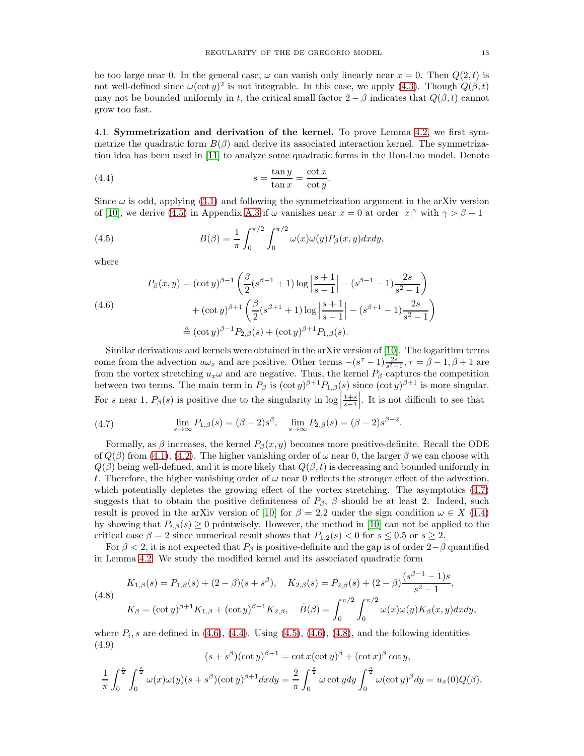be too large near 0. In the general case,  $\omega$  can vanish only linearly near  $x = 0$ . Then  $Q(2, t)$  is not well-defined since  $\omega(\cot y)^2$  is not integrable. In this case, we apply [\(4.3\)](#page-11-4). Though  $Q(\beta, t)$ may not be bounded uniformly in t, the critical small factor  $2 - \beta$  indicates that  $Q(\beta, t)$  cannot grow too fast.

4.1. Symmetrization and derivation of the kernel. To prove Lemma [4.2,](#page-11-2) we first symmetrize the quadratic form  $B(\beta)$  and derive its associated interaction kernel. The symmetrization idea has been used in [\[11\]](#page-38-14) to analyze some quadratic forms in the Hou-Luo model. Denote

<span id="page-12-3"></span>(4.4) 
$$
s = \frac{\tan y}{\tan x} = \frac{\cot x}{\cot y}.
$$

Since  $\omega$  is odd, applying [\(3.1\)](#page-6-2) and following the symmetrization argument in the arXiv version of [\[10\]](#page-38-8), we derive [\(4.5\)](#page-12-0) in Appendix [A.3](#page-30-1) if  $\omega$  vanishes near  $x = 0$  at order  $|x|^\gamma$  with  $\gamma > \beta - 1$ 

<span id="page-12-0"></span>(4.5) 
$$
B(\beta) = \frac{1}{\pi} \int_0^{\pi/2} \int_0^{\pi/2} \omega(x) \omega(y) P_\beta(x, y) dx dy,
$$

where

<span id="page-12-2"></span>
$$
P_{\beta}(x,y) = (\cot y)^{\beta - 1} \left( \frac{\beta}{2} (s^{\beta - 1} + 1) \log \left| \frac{s+1}{s-1} \right| - (s^{\beta - 1} - 1) \frac{2s}{s^2 - 1} \right) + (\cot y)^{\beta + 1} \left( \frac{\beta}{2} (s^{\beta + 1} + 1) \log \left| \frac{s+1}{s-1} \right| - (s^{\beta + 1} - 1) \frac{2s}{s^2 - 1} \right) \triangleq (\cot y)^{\beta - 1} P_{2,\beta}(s) + (\cot y)^{\beta + 1} P_{1,\beta}(s).
$$

Similar derivations and kernels were obtained in the arXiv version of [\[10\]](#page-38-8). The logarithm terms come from the advection  $u\omega_x$  and are positive. Other terms  $-(s^{\tau}-1)\frac{2s}{s^2-1}, \tau = \beta - 1, \beta + 1$  are from the vortex stretching  $u_x\omega$  and are negative. Thus, the kernel  $P_\beta$  captures the competition between two terms. The main term in  $P_\beta$  is  $(\cot y)^{\beta+1} P_{1,\beta}(s)$  since  $(\cot y)^{\beta+1}$  is more singular. For s near 1,  $P_\beta(s)$  is positive due to the singularity in  $\log \left| \frac{1+s}{s-1} \right|$ . It is not difficult to see that

<span id="page-12-1"></span>(4.7) 
$$
\lim_{s \to \infty} P_{1,\beta}(s) = (\beta - 2)s^{\beta}, \quad \lim_{s \to \infty} P_{2,\beta}(s) = (\beta - 2)s^{\beta - 2}.
$$

Formally, as  $\beta$  increases, the kernel  $P_{\beta}(x, y)$  becomes more positive-definite. Recall the ODE of  $Q(\beta)$  from [\(4.1\)](#page-11-5), [\(4.2\)](#page-11-3). The higher vanishing order of  $\omega$  near 0, the larger  $\beta$  we can choose with  $Q(\beta)$  being well-defined, and it is more likely that  $Q(\beta, t)$  is decreasing and bounded uniformly in t. Therefore, the higher vanishing order of  $\omega$  near 0 reflects the stronger effect of the advection, which potentially depletes the growing effect of the vortex stretching. The asymptotics [\(4.7\)](#page-12-1) suggests that to obtain the positive definiteness of  $P_\beta$ ,  $\beta$  should be at least 2. Indeed, such result is proved in the arXiv version of [\[10\]](#page-38-8) for  $\beta = 2.2$  under the sign condition  $\omega \in X$  [\(1.4\)](#page-1-1) by showing that  $P_{i,\beta}(s) \geq 0$  pointwisely. However, the method in [\[10\]](#page-38-8) can not be applied to the critical case  $\beta = 2$  since numerical result shows that  $P_{1,2}(s) < 0$  for  $s \leq 0.5$  or  $s \geq 2$ .

For  $\beta < 2$ , it is not expected that  $P_\beta$  is positive-definite and the gap is of order  $2-\beta$  quantified in Lemma [4.2.](#page-11-2) We study the modified kernel and its associated quadratic form

<span id="page-12-4"></span>(4.8)  
\n
$$
K_{1,\beta}(s) = P_{1,\beta}(s) + (2-\beta)(s+s^{\beta}), \quad K_{2,\beta}(s) = P_{2,\beta}(s) + (2-\beta)\frac{(s^{\beta-1}-1)s}{s^2-1},
$$
\n
$$
K_{\beta} = (\cot y)^{\beta+1} K_{1,\beta} + (\cot y)^{\beta-1} K_{2,\beta}, \quad \tilde{B}(\beta) = \int_0^{\pi/2} \int_0^{\pi/2} \omega(x)\omega(y)K_{\beta}(x,y)dxdy,
$$

where  $P_i$ , s are defined in [\(4.6\)](#page-12-2), [\(4.4\)](#page-12-3). Using [\(4.5\)](#page-12-0), (4.6), [\(4.8\)](#page-12-4), and the following identities (4.9)

$$
(s+s^{\beta})(\cot y)^{\beta+1} = \cot x(\cot y)^{\beta} + (\cot x)^{\beta} \cot y,
$$
  

$$
\frac{1}{\pi} \int_0^{\frac{\pi}{2}} \int_0^{\frac{\pi}{2}} \omega(x)\omega(y)(s+s^{\beta})(\cot y)^{\beta+1}dxdy = \frac{2}{\pi} \int_0^{\frac{\pi}{2}} \omega \cot ydy \int_0^{\frac{\pi}{2}} \omega(\cot y)^{\beta}dy = u_x(0)Q(\beta),
$$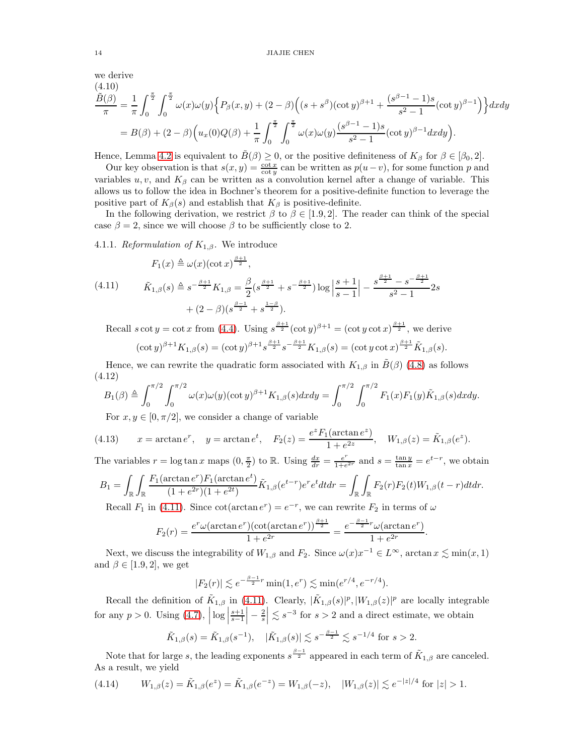#### 14 JIAJIE CHEN

we derive

<span id="page-13-4"></span>
$$
\frac{\tilde{B}(\beta)}{\pi} = \frac{1}{\pi} \int_0^{\frac{\pi}{2}} \int_0^{\frac{\pi}{2}} \omega(x) \omega(y) \left\{ P_\beta(x, y) + (2 - \beta) \left( (s + s^\beta)(\cot y)^{\beta + 1} + \frac{(s^{\beta - 1} - 1)s}{s^2 - 1} (\cot y)^{\beta - 1} \right) \right\} dx dy
$$

$$
= B(\beta) + (2 - \beta) \left( u_x(0) Q(\beta) + \frac{1}{\pi} \int_0^{\frac{\pi}{2}} \int_0^{\frac{\pi}{2}} \omega(x) \omega(y) \frac{(s^{\beta - 1} - 1)s}{s^2 - 1} (\cot y)^{\beta - 1} dx dy \right).
$$

Hence, Lemma [4.2](#page-11-2) is equivalent to  $\tilde{B}(\beta) \geq 0$ , or the positive definiteness of  $K_{\beta}$  for  $\beta \in [\beta_0, 2]$ .

Our key observation is that  $s(x, y) = \frac{\cot x}{\cot y}$  can be written as  $p(u-v)$ , for some function p and variables  $u, v$ , and  $K_\beta$  can be written as a convolution kernel after a change of variable. This allows us to follow the idea in Bochner's theorem for a positive-definite function to leverage the positive part of  $K_\beta(s)$  and establish that  $K_\beta$  is positive-definite.

In the following derivation, we restrict  $\beta$  to  $\beta \in [1.9, 2]$ . The reader can think of the special case  $\beta = 2$ , since we will choose  $\beta$  to be sufficiently close to 2.

4.1.1. Reformulation of  $K_{1,\beta}$ . We introduce

<span id="page-13-0"></span>
$$
F_1(x) \triangleq \omega(x)(\cot x)^{\frac{\beta+1}{2}},
$$
\n
$$
(4.11) \qquad \tilde{K}_{1,\beta}(s) \triangleq s^{-\frac{\beta+1}{2}} K_{1,\beta} = \frac{\beta}{2} (s^{\frac{\beta+1}{2}} + s^{-\frac{\beta+1}{2}}) \log \left| \frac{s+1}{s-1} \right| - \frac{s^{\frac{\beta+1}{2}} - s^{-\frac{\beta+1}{2}}}{s^2 - 1} 2s
$$
\n
$$
+ (2 - \beta) (s^{\frac{\beta-1}{2}} + s^{\frac{1-\beta}{2}}).
$$

Recall  $s \cot y = \cot x$  from [\(4.4\)](#page-12-3). Using  $s^{\frac{\beta+1}{2}}(\cot y)^{\beta+1} = (\cot y \cot x)^{\frac{\beta+1}{2}}$ , we derive  $(\cot y)^{\beta+1} K_{1,\beta}(s) = (\cot y)^{\beta+1} s^{\frac{\beta+1}{2}} s^{-\frac{\beta+1}{2}} K_{1,\beta}(s) = (\cot y \cot x)^{\frac{\beta+1}{2}} \tilde{K}_{1,\beta}(s).$ 

Hence, we can rewrite the quadratic form associated with  $K_{1,\beta}$  in  $\tilde{B}(\beta)$  [\(4.8\)](#page-12-4) as follows (4.12)

<span id="page-13-3"></span>
$$
B_1(\beta) \triangleq \int_0^{\pi/2} \int_0^{\pi/2} \omega(x) \omega(y) (\cot y)^{\beta+1} K_{1,\beta}(s) dx dy = \int_0^{\pi/2} \int_0^{\pi/2} F_1(x) F_1(y) \tilde{K}_{1,\beta}(s) dx dy.
$$

<span id="page-13-1"></span>For  $x, y \in [0, \pi/2]$ , we consider a change of variable

(4.13) 
$$
x = \arctan e^r
$$
,  $y = \arctan e^t$ ,  $F_2(z) = \frac{e^z F_1(\arctan e^z)}{1 + e^{2z}}$ ,  $W_{1,\beta}(z) = \tilde{K}_{1,\beta}(e^z)$ .

The variables  $r = \log \tan x$  maps  $(0, \frac{\pi}{2})$  to R. Using  $\frac{dx}{dr} = \frac{e^r}{1+e^r}$  $\frac{e^r}{1+e^{2r}}$  and  $s = \frac{\tan y}{\tan x} = e^{t-r}$ , we obtain

$$
B_1 = \int_{\mathbb{R}} \int_{\mathbb{R}} \frac{F_1(\arctan e^r) F_1(\arctan e^t)}{(1 + e^{2r})(1 + e^{2t})} \tilde{K}_{1,\beta}(e^{t-r}) e^r e^t dt dr = \int_{\mathbb{R}} \int_{\mathbb{R}} F_2(r) F_2(t) W_{1,\beta}(t-r) dt dr.
$$
  
Recall  $F$  in (4.11). Since set(*order*  $e^r$ ) =  $e^{-r}$ , we can rewrite  $F$  in terms of  $\mu$ .

Recall  $F_1$  in [\(4.11\)](#page-13-0). Since  $\cot(\arctan e^r) = e^{-r}$ , we can rewrite  $F_2$  in terms of  $\omega$ 

$$
F_2(r) = \frac{e^r \omega(\arctan e^r)(\cot(\arctan e^r))^{\frac{\beta+1}{2}}}{1 + e^{2r}} = \frac{e^{-\frac{\beta-1}{2}r} \omega(\arctan e^r)}{1 + e^{2r}}.
$$

Next, we discuss the integrability of  $W_{1,\beta}$  and  $F_2$ . Since  $\omega(x)x^{-1} \in L^{\infty}$ , arctan  $x \lesssim \min(x, 1)$ and  $\beta \in [1.9, 2]$ , we get

$$
|F_2(r)| \lesssim e^{-\frac{\beta-1}{2}r} \min(1, e^r) \lesssim \min(e^{r/4}, e^{-r/4}).
$$

Recall the definition of  $\tilde{K}_{1,\beta}$  in [\(4.11\)](#page-13-0). Clearly,  $|\tilde{K}_{1,\beta}(s)|^p$ ,  $|W_{1,\beta}(z)|^p$  are locally integrable for any  $p > 0$ . Using  $(4.7)$ ,  $\left| \log \left| \frac{s+1}{s-1} \right| \right|$  $\Big| - \frac{2}{s}$  $\leq s^{-3}$  for  $s > 2$  and a direct estimate, we obtain

$$
\tilde{K}_{1,\beta}(s) = \tilde{K}_{1,\beta}(s^{-1}), \quad |\tilde{K}_{1,\beta}(s)| \lesssim s^{-\frac{\beta-1}{2}} \lesssim s^{-1/4} \text{ for } s > 2.
$$

Note that for large s, the leading exponents  $s^{\frac{\beta-1}{2}}$  appeared in each term of  $\tilde{K}_{1,\beta}$  are canceled. As a result, we yield

<span id="page-13-2"></span>
$$
(4.14) \t W_{1,\beta}(z) = \tilde{K}_{1,\beta}(e^z) = \tilde{K}_{1,\beta}(e^{-z}) = W_{1,\beta}(-z), \t |W_{1,\beta}(z)| \lesssim e^{-|z|/4} \text{ for } |z| > 1.
$$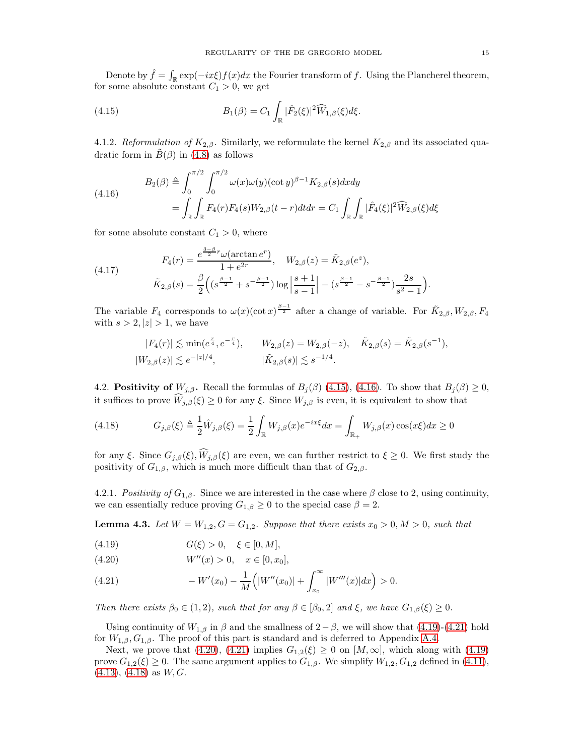Denote by  $\hat{f} = \int_{\mathbb{R}} \exp(-ix\xi) f(x) dx$  the Fourier transform of f. Using the Plancherel theorem, for some absolute constant  $C_1 > 0$ , we get

<span id="page-14-0"></span>(4.15) 
$$
B_1(\beta) = C_1 \int_{\mathbb{R}} |\hat{F}_2(\xi)|^2 \widehat{W}_{1,\beta}(\xi) d\xi.
$$

4.1.2. Reformulation of  $K_{2,\beta}$ . Similarly, we reformulate the kernel  $K_{2,\beta}$  and its associated quadratic form in  $\tilde{B}(\beta)$  in [\(4.8\)](#page-12-4) as follows

<span id="page-14-1"></span>(4.16)  

$$
B_2(\beta) \triangleq \int_0^{\pi/2} \int_0^{\pi/2} \omega(x) \omega(y) (\cot y)^{\beta - 1} K_{2,\beta}(s) dx dy
$$

$$
= \int_{\mathbb{R}} \int_{\mathbb{R}} F_4(r) F_4(s) W_{2,\beta}(t - r) dt dr = C_1 \int_{\mathbb{R}} \int_{\mathbb{R}} |\hat{F}_4(\xi)|^2 \widehat{W}_{2,\beta}(\xi) d\xi
$$

for some absolute constant  $C_1 > 0$ , where

<span id="page-14-7"></span>(4.17) 
$$
F_4(r) = \frac{e^{\frac{3-\beta}{2}r}\omega(\arctan e^r)}{1+e^{2r}}, \quad W_{2,\beta}(z) = \tilde{K}_{2,\beta}(e^z),
$$

$$
\tilde{K}_{2,\beta}(s) = \frac{\beta}{2}\left((s^{\frac{\beta-1}{2}} + s^{-\frac{\beta-1}{2}})\log\left|\frac{s+1}{s-1}\right| - (s^{\frac{\beta-1}{2}} - s^{-\frac{\beta-1}{2}})\frac{2s}{s^2-1}\right).
$$

The variable  $F_4$  corresponds to  $\omega(x)(\cot x)^{\frac{\beta-1}{2}}$  after a change of variable. For  $\tilde{K}_{2,\beta}, W_{2,\beta}, F_4$ with  $s > 2, |z| > 1$ , we have

$$
|F_4(r)| \lesssim \min(e^{\frac{r}{4}}, e^{-\frac{r}{4}}), \qquad W_{2,\beta}(z) = W_{2,\beta}(-z), \quad \tilde{K}_{2,\beta}(s) = \tilde{K}_{2,\beta}(s^{-1}),
$$
  

$$
|W_{2,\beta}(z)| \lesssim e^{-|z|/4}, \qquad |\tilde{K}_{2,\beta}(s)| \lesssim s^{-1/4}.
$$

4.2. **Positivity of**  $W_{j,\beta}$ . Recall the formulas of  $B_j(\beta)$  [\(4.15\)](#page-14-0), [\(4.16\)](#page-14-1). To show that  $B_j(\beta) \geq 0$ , it suffices to prove  $W_{j,\beta}(\xi) \geq 0$  for any  $\xi$ . Since  $W_{j,\beta}$  is even, it is equivalent to show that

<span id="page-14-5"></span>(4.18) 
$$
G_{j,\beta}(\xi) \triangleq \frac{1}{2}\hat{W}_{j,\beta}(\xi) = \frac{1}{2}\int_{\mathbb{R}}W_{j,\beta}(x)e^{-ix\xi}dx = \int_{\mathbb{R}_+}W_{j,\beta}(x)\cos(x\xi)dx \ge 0
$$

for any ξ. Since  $G_{j,\beta}(\xi), \widehat{W}_{j,\beta}(\xi)$  are even, we can further restrict to  $\xi \geq 0$ . We first study the positivity of  $G_{1,\beta}$ , which is much more difficult than that of  $G_{2,\beta}$ .

<span id="page-14-8"></span>4.2.1. Positivity of  $G_{1,\beta}$ . Since we are interested in the case where  $\beta$  close to 2, using continuity, we can essentially reduce proving  $G_{1,\beta} \geq 0$  to the special case  $\beta = 2$ .

<span id="page-14-6"></span>**Lemma 4.3.** Let  $W = W_{1,2}, G = G_{1,2}$ . Suppose that there exists  $x_0 > 0, M > 0$ , such that

<span id="page-14-2"></span>(4.19) 
$$
G(\xi) > 0, \xi \in [0, M],
$$

<span id="page-14-4"></span>(4.20) 
$$
W''(x) > 0, \quad x \in [0, x_0],
$$

<span id="page-14-3"></span>(4.21) 
$$
-W'(x_0) - \frac{1}{M} \left( |W''(x_0)| + \int_{x_0}^{\infty} |W'''(x)| dx \right) > 0.
$$

Then there exists  $\beta_0 \in (1, 2)$ , such that for any  $\beta \in [\beta_0, 2]$  and  $\xi$ , we have  $G_{1,\beta}(\xi) \geq 0$ .

Using continuity of  $W_{1,\beta}$  in  $\beta$  and the smallness of  $2-\beta$ , we will show that [\(4.19\)](#page-14-2)-[\(4.21\)](#page-14-3) hold for  $W_{1,\beta}, G_{1,\beta}$ . The proof of this part is standard and is deferred to Appendix [A.4.](#page-31-0)

Next, we prove that [\(4.20\)](#page-14-4), [\(4.21\)](#page-14-3) implies  $G_{1,2}(\xi) \geq 0$  on  $[M,\infty]$ , which along with [\(4.19\)](#page-14-2) prove  $G_{1,2}(\xi) \geq 0$ . The same argument applies to  $G_{1,\beta}$ . We simplify  $W_{1,2}, G_{1,2}$  defined in [\(4.11\)](#page-13-0),  $(4.13), (4.18)$  $(4.13), (4.18)$  $(4.13), (4.18)$  as  $W, G$ .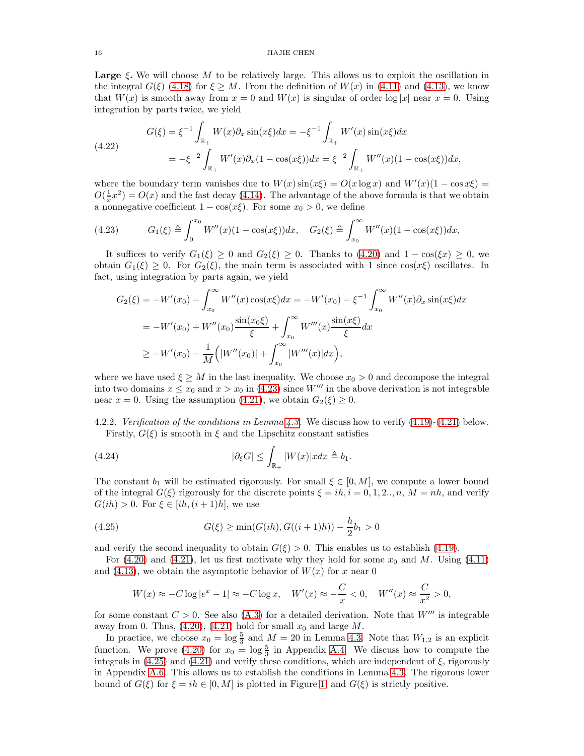**Large**  $\xi$ . We will choose M to be relatively large. This allows us to exploit the oscillation in the integral  $G(\xi)$  [\(4.18\)](#page-14-5) for  $\xi \geq M$ . From the definition of  $W(x)$  in [\(4.11\)](#page-13-0) and [\(4.13\)](#page-13-1), we know that  $W(x)$  is smooth away from  $x = 0$  and  $W(x)$  is singular of order  $\log |x|$  near  $x = 0$ . Using integration by parts twice, we yield

<span id="page-15-2"></span>(4.22) 
$$
G(\xi) = \xi^{-1} \int_{\mathbb{R}_+} W(x) \partial_x \sin(x\xi) dx = -\xi^{-1} \int_{\mathbb{R}_+} W'(x) \sin(x\xi) dx
$$

$$
= -\xi^{-2} \int_{\mathbb{R}_+} W'(x) \partial_x (1 - \cos(x\xi)) dx = \xi^{-2} \int_{\mathbb{R}_+} W''(x) (1 - \cos(x\xi)) dx,
$$

where the boundary term vanishes due to  $W(x)$  sin $(x\xi) = O(x \log x)$  and  $W'(x)(1 - \cos x\xi) =$  $O(\frac{1}{x}x^2) = O(x)$  and the fast decay [\(4.14\)](#page-13-2). The advantage of the above formula is that we obtain a nonnegative coefficient  $1 - \cos(x\xi)$ . For some  $x_0 > 0$ , we define

<span id="page-15-0"></span>
$$
(4.23) \tG_1(\xi) \triangleq \int_0^{x_0} W''(x)(1 - \cos(x\xi))dx, \tG_2(\xi) \triangleq \int_{x_0}^{\infty} W''(x)(1 - \cos(x\xi))dx,
$$

It suffices to verify  $G_1(\xi) \geq 0$  and  $G_2(\xi) \geq 0$ . Thanks to [\(4.20\)](#page-14-4) and  $1 - \cos(\xi x) \geq 0$ , we obtain  $G_1(\xi) \geq 0$ . For  $G_2(\xi)$ , the main term is associated with 1 since  $\cos(\alpha\xi)$  oscillates. In fact, using integration by parts again, we yield

$$
G_2(\xi) = -W'(x_0) - \int_{x_0}^{\infty} W''(x) \cos(x\xi) dx = -W'(x_0) - \xi^{-1} \int_{x_0}^{\infty} W''(x) \partial_x \sin(x\xi) dx
$$
  
=  $-W'(x_0) + W''(x_0) \frac{\sin(x_0\xi)}{\xi} + \int_{x_0}^{\infty} W'''(x) \frac{\sin(x\xi)}{\xi} dx$   
 $\geq -W'(x_0) - \frac{1}{M} (|W''(x_0)| + \int_{x_0}^{\infty} |W'''(x)| dx),$ 

where we have used  $\xi \geq M$  in the last inequality. We choose  $x_0 > 0$  and decompose the integral into two domains  $x \le x_0$  and  $x > x_0$  in [\(4.23\)](#page-15-0) since W''' in the above derivation is not integrable near  $x = 0$ . Using the assumption [\(4.21\)](#page-14-3), we obtain  $G_2(\xi) \geq 0$ .

<span id="page-15-3"></span>4.2.2. Verification of the conditions in Lemma [4.3.](#page-14-6) We discuss how to verify [\(4.19\)](#page-14-2)-[\(4.21\)](#page-14-3) below. Firstly,  $G(\xi)$  is smooth in  $\xi$  and the Lipschitz constant satisfies

<span id="page-15-4"></span>(4.24) 
$$
|\partial_{\xi}G| \leq \int_{\mathbb{R}_+} |W(x)| x dx \triangleq b_1.
$$

The constant  $b_1$  will be estimated rigorously. For small  $\xi \in [0, M]$ , we compute a lower bound of the integral  $G(\xi)$  rigorously for the discrete points  $\xi = ih, i = 0, 1, 2, ..., n, M = nh$ , and verify  $G(ih) > 0$ . For  $\xi \in [ih, (i+1)h]$ , we use

(4.25) 
$$
G(\xi) \ge \min(G(ih), G((i+1)h)) - \frac{h}{2}b_1 > 0
$$

and verify the second inequality to obtain  $G(\xi) > 0$ . This enables us to establish [\(4.19\)](#page-14-2).

For  $(4.20)$  and  $(4.21)$ , let us first motivate why they hold for some  $x_0$  and M. Using  $(4.11)$ and [\(4.13\)](#page-13-1), we obtain the asymptotic behavior of  $W(x)$  for x near 0

<span id="page-15-1"></span>
$$
W(x) \approx -C \log|e^x - 1| \approx -C \log x, \quad W'(x) \approx -\frac{C}{x} < 0, \quad W''(x) \approx \frac{C}{x^2} > 0,
$$

for some constant  $C > 0$ . See also [\(A.3\)](#page-32-0) for a detailed derivation. Note that  $W'''$  is integrable away from 0. Thus,  $(4.20)$ ,  $(4.21)$  hold for small  $x_0$  and large M.

In practice, we choose  $x_0 = \log \frac{5}{3}$  and  $M = 20$  in Lemma [4.3.](#page-14-6) Note that  $W_{1,2}$  is an explicit function. We prove [\(4.20\)](#page-14-4) for  $x_0 = \log \frac{5}{3}$  in Appendix [A.4.](#page-31-0) We discuss how to compute the integrals in  $(4.25)$  and  $(4.21)$  and verify these conditions, which are independent of  $\xi$ , rigorously in Appendix [A.6.](#page-35-0) This allows us to establish the conditions in Lemma [4.3.](#page-14-6) The rigorous lower bound of  $G(\xi)$  for  $\xi = ih \in [0, M]$  is plotted in Figure [1,](#page-16-1) and  $G(\xi)$  is strictly positive.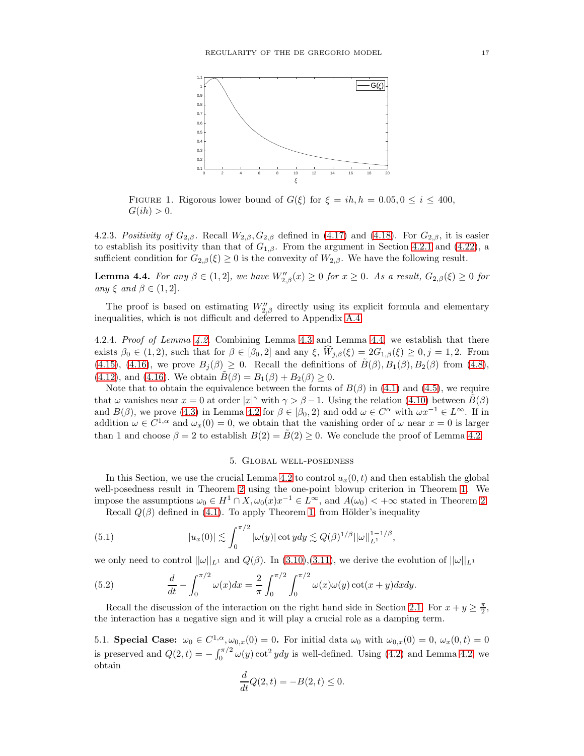<span id="page-16-1"></span>

FIGURE 1. Rigorous lower bound of  $G(\xi)$  for  $\xi = ih, h = 0.05, 0 \le i \le 400$ ,  $G(ih) > 0.$ 

4.2.3. Positivity of  $G_{2,\beta}$ . Recall  $W_{2,\beta}, G_{2,\beta}$  defined in [\(4.17\)](#page-14-7) and [\(4.18\)](#page-14-5). For  $G_{2,\beta}$ , it is easier to establish its positivity than that of  $G_{1,\beta}$ . From the argument in Section [4.2.1](#page-14-8) and [\(4.22\)](#page-15-2), a sufficient condition for  $G_{2,\beta}(\xi) \geq 0$  is the convexity of  $W_{2,\beta}$ . We have the following result.

<span id="page-16-2"></span>**Lemma 4.4.** For any  $\beta \in (1,2]$ , we have  $W''_{2,\beta}(x) \ge 0$  for  $x \ge 0$ . As a result,  $G_{2,\beta}(\xi) \ge 0$  for any  $\xi$  and  $\beta \in (1,2]$ .

The proof is based on estimating  $W''_{2,\beta}$  directly using its explicit formula and elementary inequalities, which is not difficult and deferred to Appendix [A.4.](#page-31-0)

4.2.4. Proof of Lemma [4.2.](#page-11-2) Combining Lemma [4.3](#page-14-6) and Lemma [4.4,](#page-16-2) we establish that there exists  $\beta_0 \in (1, 2)$ , such that for  $\beta \in [\beta_0, 2]$  and any  $\xi$ ,  $\widehat{W}_{j,\beta}(\xi) = 2G_{1,\beta}(\xi) \ge 0, j = 1, 2$ . From [\(4.15\)](#page-14-0), [\(4.16\)](#page-14-1), we prove  $B_i(\beta) \geq 0$ . Recall the definitions of  $\tilde{B}(\beta), B_1(\beta), B_2(\beta)$  from [\(4.8\)](#page-12-4), [\(4.12\)](#page-13-3), and [\(4.16\)](#page-14-1). We obtain  $\tilde{B}(\beta) = B_1(\beta) + B_2(\beta) \ge 0$ .

Note that to obtain the equivalence between the forms of  $B(\beta)$  in [\(4.1\)](#page-11-5) and [\(4.5\)](#page-12-0), we require that  $\omega$  vanishes near  $x = 0$  at order  $|x|^\gamma$  with  $\gamma > \beta - 1$ . Using the relation [\(4.10\)](#page-13-4) between  $\tilde{B}(\beta)$ and  $B(\beta)$ , we prove [\(4.3\)](#page-11-4) in Lemma [4.2](#page-11-2) for  $\beta \in [\beta_0, 2)$  and odd  $\omega \in C^{\alpha}$  with  $\omega x^{-1} \in L^{\infty}$ . If in addition  $\omega \in C^{1,\alpha}$  and  $\omega_x(0) = 0$ , we obtain that the vanishing order of  $\omega$  near  $x = 0$  is larger than 1 and choose  $\beta = 2$  to establish  $B(2) = \tilde{B}(2) \geq 0$ . We conclude the proof of Lemma [4.2.](#page-11-2)

## <span id="page-16-3"></span>5. Global well-posedness

<span id="page-16-0"></span>In this Section, we use the crucial Lemma [4.2](#page-11-2) to control  $u_x(0, t)$  and then establish the global well-posedness result in Theorem [2](#page-2-0) using the one-point blowup criterion in Theorem [1.](#page-1-2) We impose the assumptions  $\omega_0 \in H^1 \cap X$ ,  $\omega_0(x)x^{-1} \in L^\infty$ , and  $A(\omega_0) < +\infty$  stated in Theorem [2.](#page-2-0)

Recall  $Q(\beta)$  defined in [\(4.1\)](#page-11-5). To apply Theorem [1,](#page-1-2) from Hölder's inequality

(5.1) 
$$
|u_x(0)| \lesssim \int_0^{\pi/2} |\omega(y)| \cot y dy \lesssim Q(\beta)^{1/\beta} ||\omega||_{L^1}^{1-1/\beta},
$$

we only need to control  $||\omega||_{L^1}$  and  $Q(\beta)$ . In [\(3.10\)](#page-8-0),[\(3.11\)](#page-8-1), we derive the evolution of  $||\omega||_{L^1}$ 

<span id="page-16-4"></span>(5.2) 
$$
\frac{d}{dt} - \int_0^{\pi/2} \omega(x) dx = \frac{2}{\pi} \int_0^{\pi/2} \int_0^{\pi/2} \omega(x) \omega(y) \cot(x+y) dx dy.
$$

Recall the discussion of the interaction on the right hand side in Section [2.1.](#page-4-2) For  $x + y \geq \frac{\pi}{2}$ , the interaction has a negative sign and it will play a crucial role as a damping term.

5.1. Special Case:  $\omega_0 \in C^{1,\alpha}, \omega_{0,x}(0) = 0$ . For initial data  $\omega_0$  with  $\omega_{0,x}(0) = 0, \omega_x(0,t) = 0$ is preserved and  $Q(2,t) = -\int_0^{\pi/2} \omega(y) \cot^2 y dy$  is well-defined. Using [\(4.2\)](#page-11-3) and Lemma [4.2,](#page-11-2) we obtain

$$
\frac{d}{dt}Q(2,t) = -B(2,t) \le 0.
$$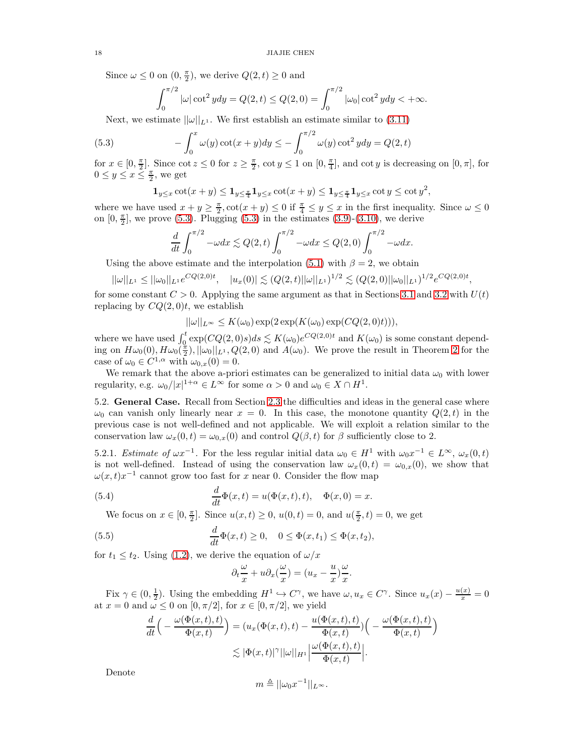Since  $\omega \leq 0$  on  $(0, \frac{\pi}{2})$ , we derive  $Q(2, t) \geq 0$  and

<span id="page-17-0"></span>
$$
\int_0^{\pi/2} |\omega| \cot^2 y dy = Q(2, t) \le Q(2, 0) = \int_0^{\pi/2} |\omega_0| \cot^2 y dy < +\infty.
$$

Next, we estimate  $||\omega||_{L^1}$ . We first establish an estimate similar to [\(3.11\)](#page-8-1)

(5.3) 
$$
-\int_0^x \omega(y) \cot(x+y) dy \le -\int_0^{\pi/2} \omega(y) \cot^2 y dy = Q(2, t)
$$

for  $x \in [0, \frac{\pi}{2}]$ . Since  $\cot z \leq 0$  for  $z \geq \frac{\pi}{2}$ ,  $\cot y \leq 1$  on  $[0, \frac{\pi}{4}]$ , and  $\cot y$  is decreasing on  $[0, \pi]$ , for  $0 \leq y \leq x \leq \frac{\pi}{2}$ , we get

$$
\mathbf{1}_{y\leq x}\cot(x+y)\leq \mathbf{1}_{y\leq \frac{\pi}{4}}\mathbf{1}_{y\leq x}\cot(x+y)\leq \mathbf{1}_{y\leq \frac{\pi}{4}}\mathbf{1}_{y\leq x}\cot y\leq \cot y^2,
$$

where we have used  $x + y \geq \frac{\pi}{2}$ ,  $\cot(x + y) \leq 0$  if  $\frac{\pi}{4} \leq y \leq x$  in the first inequality. Since  $\omega \leq 0$ on  $[0, \frac{\pi}{2}]$ , we prove [\(5.3\)](#page-17-0). Plugging (5.3) in the estimates [\(3.9\)](#page-8-4)-[\(3.10\)](#page-8-0), we derive

$$
\frac{d}{dt}\int_0^{\pi/2} -\omega dx \lesssim Q(2,t)\int_0^{\pi/2} -\omega dx \le Q(2,0)\int_0^{\pi/2} -\omega dx.
$$

Using the above estimate and the interpolation [\(5.1\)](#page-16-3) with  $\beta = 2$ , we obtain

$$
||\omega||_{L^1} \leq ||\omega_0||_{L^1} e^{CQ(2,0)t}, \quad |u_x(0)| \lesssim (Q(2,t)||\omega||_{L^1})^{1/2} \lesssim (Q(2,0)||\omega_0||_{L^1})^{1/2} e^{CQ(2,0)t},
$$

for some constant  $C > 0$ . Applying the same argument as that in Sections [3.1](#page-6-5) and [3.2](#page-9-4) with  $U(t)$ replacing by  $CQ(2,0)t$ , we establish

$$
||\omega||_{L^{\infty}} \leq K(\omega_0) \exp(2 \exp(K(\omega_0) \exp(CQ(2,0)t))),
$$

where we have used  $\int_0^t \exp(CQ(2,0)s)ds \lesssim K(\omega_0)e^{CQ(2,0)t}$  and  $K(\omega_0)$  is some constant depending on  $H\omega_0(0)$ ,  $H\omega_0(\frac{\pi}{2})$ ,  $||\omega_0||_{L^1}$ ,  $Q(2,0)$  and  $A(\omega_0)$ . We prove the result in Theorem [2](#page-2-0) for the case of  $\omega_0 \in C^{1,\alpha}$  with  $\omega_{0,x}(0) = 0$ .

We remark that the above a-priori estimates can be generalized to initial data  $\omega_0$  with lower regularity, e.g.  $\omega_0/|x|^{1+\alpha} \in L^\infty$  for some  $\alpha > 0$  and  $\omega_0 \in X \cap H^1$ .

5.2. General Case. Recall from Section [2.3](#page-5-4) the difficulties and ideas in the general case where  $\omega_0$  can vanish only linearly near  $x = 0$ . In this case, the monotone quantity  $Q(2,t)$  in the previous case is not well-defined and not applicable. We will exploit a relation similar to the conservation law  $\omega_x(0, t) = \omega_{0,x}(0)$  and control  $Q(\beta, t)$  for  $\beta$  sufficiently close to 2.

5.2.1. Estimate of  $\omega x^{-1}$ . For the less regular initial data  $\omega_0 \in H^1$  with  $\omega_0 x^{-1} \in L^\infty$ ,  $\omega_x(0,t)$ is not well-defined. Instead of using the conservation law  $\omega_x(0, t) = \omega_{0,x}(0)$ , we show that  $\omega(x, t)x^{-1}$  cannot grow too fast for x near 0. Consider the flow map

(5.4) 
$$
\frac{d}{dt}\Phi(x,t) = u(\Phi(x,t),t), \quad \Phi(x,0) = x.
$$

We focus on  $x \in [0, \frac{\pi}{2}]$ . Since  $u(x, t) \ge 0$ ,  $u(0, t) = 0$ , and  $u(\frac{\pi}{2}, t) = 0$ , we get

(5.5) 
$$
\frac{d}{dt}\Phi(x,t) \ge 0, \quad 0 \le \Phi(x,t_1) \le \Phi(x,t_2),
$$

for  $t_1 \leq t_2$ . Using [\(1.2\)](#page-0-1), we derive the equation of  $\omega/x$ 

<span id="page-17-1"></span>
$$
\partial_t \frac{\omega}{x} + u \partial_x \left( \frac{\omega}{x} \right) = (u_x - \frac{u}{x}) \frac{\omega}{x}.
$$

Fix  $\gamma \in (0, \frac{1}{2})$ . Using the embedding  $H^1 \hookrightarrow C^{\gamma}$ , we have  $\omega, u_x \in C^{\gamma}$ . Since  $u_x(x) - \frac{u(x)}{x} = 0$ at  $x = 0$  and  $\omega \leq 0$  on  $[0, \pi/2]$ , for  $x \in [0, \pi/2]$ , we yield

$$
\frac{d}{dt}\Big(-\frac{\omega(\Phi(x,t),t)}{\Phi(x,t)}\Big) = (u_x(\Phi(x,t),t) - \frac{u(\Phi(x,t),t)}{\Phi(x,t)})\Big(-\frac{\omega(\Phi(x,t),t)}{\Phi(x,t)}\Big) \n\lesssim |\Phi(x,t)|^{\gamma} ||\omega||_{H^1} \Big|\frac{\omega(\Phi(x,t),t)}{\Phi(x,t)}\Big|.
$$

Denote

$$
m \triangleq ||\omega_0 x^{-1}||_{L^\infty}.
$$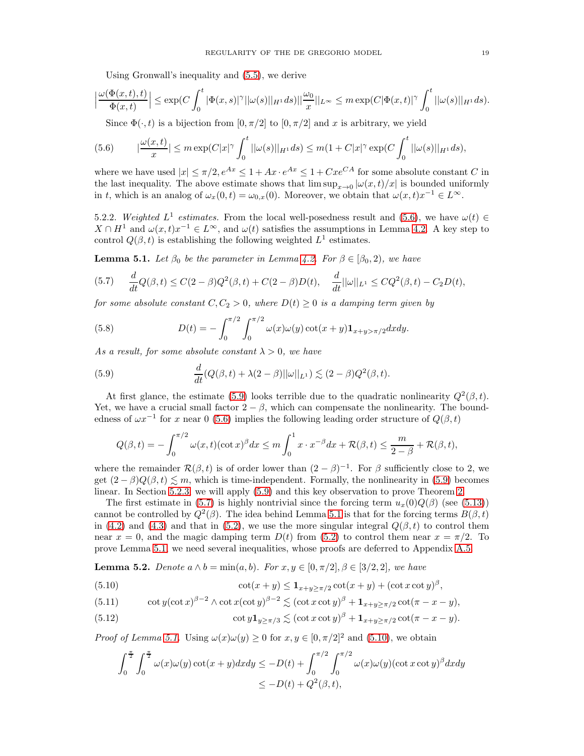Using Gronwall's inequality and [\(5.5\)](#page-17-1), we derive

$$
\Big|\frac{\omega(\Phi(x,t),t)}{\Phi(x,t)}\Big|\leq \exp(C\int_0^t|\Phi(x,s)|^\gamma||\omega(s)||_{H^1}ds)||\frac{\omega_0}{x}||_{L^\infty}\leq m\exp(C|\Phi(x,t)|^\gamma\int_0^t||\omega(s)||_{H^1}ds).
$$

<span id="page-18-0"></span>Since  $\Phi(\cdot, t)$  is a bijection from  $[0, \pi/2]$  to  $[0, \pi/2]$  and x is arbitrary, we yield

$$
(5.6) \qquad |\frac{\omega(x,t)}{x}| \leq m \exp(C|x|^{\gamma} \int_0^t ||\omega(s)||_{H^1} ds) \leq m(1+C|x|^{\gamma} \exp(C \int_0^t ||\omega(s)||_{H^1} ds),
$$

where we have used  $|x| \leq \pi/2$ ,  $e^{Ax} \leq 1 + Ax \cdot e^{Ax} \leq 1 + Cxe^{CA}$  for some absolute constant C in the last inequality. The above estimate shows that  $\limsup_{x\to 0} |\omega(x, t)/x|$  is bounded uniformly in t, which is an analog of  $\omega_x(0,t) = \omega_{0,x}(0)$ . Moreover, we obtain that  $\omega(x,t)x^{-1} \in L^{\infty}$ .

5.2.2. Weighted  $L^1$  estimates. From the local well-posedness result and [\(5.6\)](#page-18-0), we have  $\omega(t) \in$  $X \cap H^1$  and  $\omega(x,t)x^{-1} \in L^{\infty}$ , and  $\omega(t)$  satisfies the assumptions in Lemma [4.2.](#page-11-2) A key step to control  $Q(\beta, t)$  is establishing the following weighted  $L^1$  estimates.

<span id="page-18-3"></span>**Lemma 5.1.** Let  $\beta_0$  be the parameter in Lemma [4.2.](#page-11-2) For  $\beta \in [\beta_0, 2)$ , we have

<span id="page-18-2"></span>
$$
(5.7) \quad \frac{d}{dt}Q(\beta,t) \leq C(2-\beta)Q^2(\beta,t) + C(2-\beta)D(t), \quad \frac{d}{dt}||\omega||_{L^1} \leq CQ^2(\beta,t) - C_2D(t),
$$

for some absolute constant  $C, C_2 > 0$ , where  $D(t) \geq 0$  is a damping term given by

<span id="page-18-5"></span>(5.8) 
$$
D(t) = -\int_0^{\pi/2} \int_0^{\pi/2} \omega(x)\omega(y) \cot(x+y) \mathbf{1}_{x+y>\pi/2} dx dy.
$$

As a result, for some absolute constant  $\lambda > 0$ , we have

<span id="page-18-1"></span>(5.9) 
$$
\frac{d}{dt}(Q(\beta,t)+\lambda(2-\beta)||\omega||_{L^{1}}) \lesssim (2-\beta)Q^{2}(\beta,t).
$$

At first glance, the estimate [\(5.9\)](#page-18-1) looks terrible due to the quadratic nonlinearity  $Q^2(\beta, t)$ . Yet, we have a crucial small factor  $2 - \beta$ , which can compensate the nonlinearity. The boundedness of  $\omega x^{-1}$  for x near 0 [\(5.6\)](#page-18-0) implies the following leading order structure of  $Q(\beta, t)$ 

$$
Q(\beta, t) = -\int_0^{\pi/2} \omega(x, t) (\cot x)^{\beta} dx \le m \int_0^1 x \cdot x^{-\beta} dx + \mathcal{R}(\beta, t) \le \frac{m}{2 - \beta} + \mathcal{R}(\beta, t),
$$

where the remainder  $\mathcal{R}(\beta, t)$  is of order lower than  $(2 - \beta)^{-1}$ . For  $\beta$  sufficiently close to 2, we get  $(2 - \beta)Q(\beta, t) \leq m$ , which is time-independent. Formally, the nonlinearity in [\(5.9\)](#page-18-1) becomes linear. In Section [5.2.3,](#page-20-1) we will apply [\(5.9\)](#page-18-1) and this key observation to prove Theorem [2.](#page-2-0)

The first estimate in [\(5.7\)](#page-18-2) is highly nontrivial since the forcing term  $u_x(0)Q(\beta)$  (see [\(5.13\)](#page-19-0)) cannot be controlled by  $Q^2(\beta)$ . The idea behind Lemma [5.1](#page-18-3) is that for the forcing terms  $B(\beta,t)$ in [\(4.2\)](#page-11-3) and [\(4.3\)](#page-11-4) and that in [\(5.2\)](#page-16-4), we use the more singular integral  $Q(\beta, t)$  to control them near  $x = 0$ , and the magic damping term  $D(t)$  from [\(5.2\)](#page-16-4) to control them near  $x = \pi/2$ . To prove Lemma [5.1,](#page-18-3) we need several inequalities, whose proofs are deferred to Appendix [A.5.](#page-33-0)

<span id="page-18-8"></span>**Lemma 5.2.** Denote  $a \wedge b = \min(a, b)$ . For  $x, y \in [0, \pi/2], \beta \in [3/2, 2]$ , we have

<span id="page-18-4"></span>(5.10) 
$$
\cot(x+y) \leq \mathbf{1}_{x+y \geq \pi/2} \cot(x+y) + (\cot x \cot y)^{\beta},
$$

<span id="page-18-6"></span>(5.11) 
$$
\cot y (\cot x)^{\beta - 2} \wedge \cot x (\cot y)^{\beta - 2} \lesssim (\cot x \cot y)^{\beta} + \mathbf{1}_{x+y \ge \pi/2} \cot(\pi - x - y),
$$

<span id="page-18-7"></span>(5.12) 
$$
\cot y \mathbf{1}_{y \geq \pi/3} \lesssim (\cot x \cot y)^{\beta} + \mathbf{1}_{x+y \geq \pi/2} \cot(\pi - x - y).
$$

*Proof of Lemma [5.1.](#page-18-3)* Using  $\omega(x)\omega(y) \ge 0$  for  $x, y \in [0, \pi/2]^2$  and [\(5.10\)](#page-18-4), we obtain

$$
\int_0^{\frac{\pi}{2}} \int_0^{\frac{\pi}{2}} \omega(x)\omega(y) \cot(x+y) dx dy \le -D(t) + \int_0^{\pi/2} \int_0^{\pi/2} \omega(x)\omega(y) (\cot x \cot y)^{\beta} dx dy
$$
  

$$
\le -D(t) + Q^2(\beta, t),
$$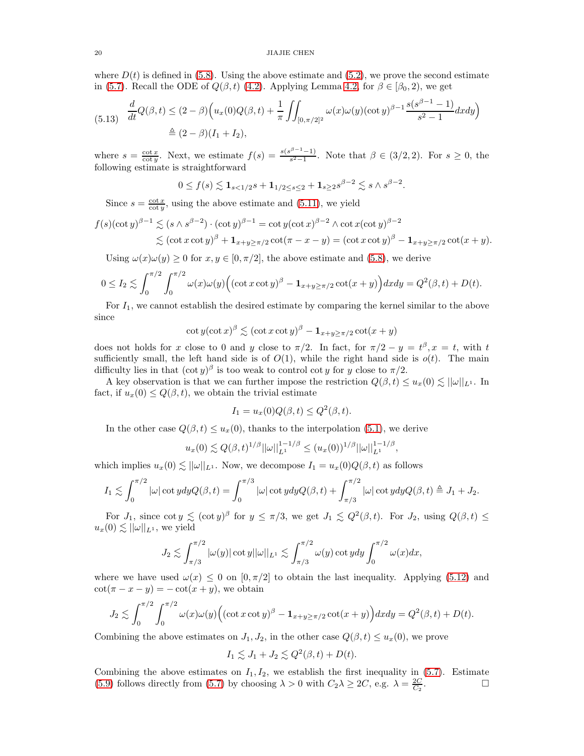where  $D(t)$  is defined in [\(5.8\)](#page-18-5). Using the above estimate and [\(5.2\)](#page-16-4), we prove the second estimate in [\(5.7\)](#page-18-2). Recall the ODE of  $Q(\beta, t)$  [\(4.2\)](#page-11-3). Applying Lemma [4.2,](#page-11-2) for  $\beta \in [\beta_0, 2)$ , we get

<span id="page-19-0"></span>
$$
(5.13) \frac{d}{dt}Q(\beta, t) \le (2 - \beta) \Big( u_x(0)Q(\beta, t) + \frac{1}{\pi} \iint_{[0, \pi/2]^2} \omega(x)\omega(y) (\cot y)^{\beta - 1} \frac{s(s^{\beta - 1} - 1)}{s^2 - 1} dx dy \Big)
$$
  

$$
\triangleq (2 - \beta)(I_1 + I_2),
$$

where  $s = \frac{\cot x}{\cot y}$ . Next, we estimate  $f(s) = \frac{s(s^{\beta-1}-1)}{s^2-1}$  $\frac{s^{2}-1}{s^{2}-1}$ . Note that  $\beta \in (3/2, 2)$ . For  $s \geq 0$ , the following estimate is straightforward

$$
0 \le f(s) \lesssim \mathbf{1}_{s < 1/2} s + \mathbf{1}_{1/2 \le s \le 2} + \mathbf{1}_{s \ge 2} s^{\beta - 2} \lesssim s \wedge s^{\beta - 2}.
$$

Since  $s = \frac{\cot x}{\cot y}$ , using the above estimate and [\(5.11\)](#page-18-6), we yield

$$
f(s)(\cot y)^{\beta-1} \lesssim (s \wedge s^{\beta-2}) \cdot (\cot y)^{\beta-1} = \cot y (\cot x)^{\beta-2} \wedge \cot x (\cot y)^{\beta-2}
$$
  

$$
\lesssim (\cot x \cot y)^{\beta} + \mathbf{1}_{x+y \geq \pi/2} \cot(\pi - x - y) = (\cot x \cot y)^{\beta} - \mathbf{1}_{x+y \geq \pi/2} \cot(x + y).
$$

Using  $\omega(x)\omega(y) \ge 0$  for  $x, y \in [0, \pi/2]$ , the above estimate and [\(5.8\)](#page-18-5), we derive

$$
0 \leq I_2 \lesssim \int_0^{\pi/2} \int_0^{\pi/2} \omega(x) \omega(y) \Big( (\cot x \cot y)^{\beta} - \mathbf{1}_{x+y \geq \pi/2} \cot(x+y) \Big) dx dy = Q^2(\beta, t) + D(t).
$$

For  $I_1$ , we cannot establish the desired estimate by comparing the kernel similar to the above since

$$
\cot y (\cot x)^{\beta} \lesssim (\cot x \cot y)^{\beta} - \mathbf{1}_{x+y \ge \pi/2} \cot(x+y)
$$

does not holds for x close to 0 and y close to  $\pi/2$ . In fact, for  $\pi/2 - y = t^{\beta}, x = t$ , with t sufficiently small, the left hand side is of  $O(1)$ , while the right hand side is  $o(t)$ . The main difficulty lies in that  $(\cot y)^{\beta}$  is too weak to control cot y for y close to  $\pi/2$ .

A key observation is that we can further impose the restriction  $Q(\beta, t) \leq u_x(0) \lesssim ||\omega||_{L^1}$ . In fact, if  $u_x(0) \leq Q(\beta, t)$ , we obtain the trivial estimate

$$
I_1 = u_x(0)Q(\beta, t) \le Q^2(\beta, t).
$$

In the other case  $Q(\beta, t) \leq u_x(0)$ , thanks to the interpolation [\(5.1\)](#page-16-3), we derive

$$
u_x(0) \lesssim Q(\beta, t)^{1/\beta} ||\omega||_{L^1}^{1-1/\beta} \le (u_x(0))^{1/\beta} ||\omega||_{L^1}^{1-1/\beta},
$$

which implies  $u_x(0) \lesssim ||\omega||_{L^1}$ . Now, we decompose  $I_1 = u_x(0)Q(\beta, t)$  as follows

$$
I_1 \lesssim \int_0^{\pi/2} |\omega| \cot y dy Q(\beta, t) = \int_0^{\pi/3} |\omega| \cot y dy Q(\beta, t) + \int_{\pi/3}^{\pi/2} |\omega| \cot y dy Q(\beta, t) \triangleq J_1 + J_2.
$$

For  $J_1$ , since  $\cot y \lesssim (\cot y)^{\beta}$  for  $y \leq \pi/3$ , we get  $J_1 \lesssim Q^2(\beta, t)$ . For  $J_2$ , using  $Q(\beta, t) \leq$  $u_x(0) \lesssim ||\omega||_{L^1}$ , we yield

$$
J_2 \lesssim \int_{\pi/3}^{\pi/2} |\omega(y)| \cot y| |\omega||_{L^1} \lesssim \int_{\pi/3}^{\pi/2} \omega(y) \cot y dy \int_0^{\pi/2} \omega(x) dx,
$$

where we have used  $\omega(x) \leq 0$  on  $[0, \pi/2]$  to obtain the last inequality. Applying [\(5.12\)](#page-18-7) and  $\cot(\pi - x - y) = -\cot(x + y)$ , we obtain

$$
J_2 \lesssim \int_0^{\pi/2} \int_0^{\pi/2} \omega(x) \omega(y) \Big( (\cot x \cot y)^{\beta} - \mathbf{1}_{x+y \ge \pi/2} \cot(x+y) \Big) dx dy = Q^2(\beta, t) + D(t).
$$

Combining the above estimates on  $J_1, J_2$ , in the other case  $Q(\beta, t) \leq u_x(0)$ , we prove

$$
I_1 \lesssim J_1 + J_2 \lesssim Q^2(\beta, t) + D(t).
$$

Combining the above estimates on  $I_1, I_2$ , we establish the first inequality in [\(5.7\)](#page-18-2). Estimate [\(5.9\)](#page-18-1) follows directly from [\(5.7\)](#page-18-2) by choosing  $\lambda > 0$  with  $C_2 \lambda \ge 2C$ , e.g.  $\lambda = \frac{2C}{C_2}$  $\Box$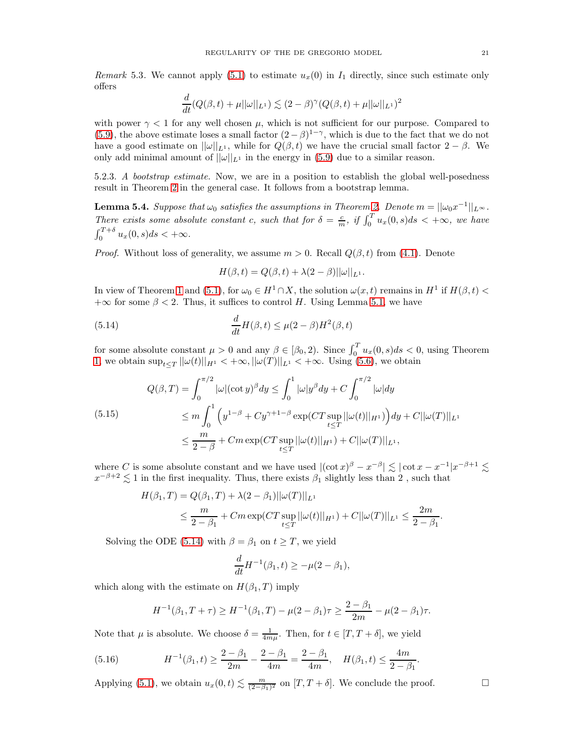Remark 5.3. We cannot apply [\(5.1\)](#page-16-3) to estimate  $u_x(0)$  in  $I_1$  directly, since such estimate only offers

$$
\frac{d}{dt}(Q(\beta, t) + \mu||\omega||_{L^{1}}) \lesssim (2 - \beta)^{\gamma}(Q(\beta, t) + \mu||\omega||_{L^{1}})^{2}
$$

with power  $\gamma < 1$  for any well chosen  $\mu$ , which is not sufficient for our purpose. Compared to [\(5.9\)](#page-18-1), the above estimate loses a small factor  $(2-\beta)^{1-\gamma}$ , which is due to the fact that we do not have a good estimate on  $||\omega||_{L^1}$ , while for  $Q(\beta, t)$  we have the crucial small factor  $2 - \beta$ . We only add minimal amount of  $||\omega||_{L^1}$  in the energy in [\(5.9\)](#page-18-1) due to a similar reason.

<span id="page-20-1"></span>5.2.3. A bootstrap estimate. Now, we are in a position to establish the global well-posedness result in Theorem [2](#page-2-0) in the general case. It follows from a bootstrap lemma.

<span id="page-20-0"></span>**Lemma 5.4.** Suppose that  $\omega_0$  satisfies the assumptions in Theorem [2.](#page-2-0) Denote  $m = ||\omega_0 x^{-1}||_{L^{\infty}}$ . There exists some absolute constant c, such that for  $\delta = \frac{c}{m}$ , if  $\int_0^T u_x(0, s) ds < +\infty$ , we have  $\int_0^{T+\delta} u_x(0,s)ds < +\infty.$ 

*Proof.* Without loss of generality, we assume  $m > 0$ . Recall  $Q(\beta, t)$  from [\(4.1\)](#page-11-5). Denote

<span id="page-20-2"></span>
$$
H(\beta, t) = Q(\beta, t) + \lambda(2 - \beta)||\omega||_{L^1}.
$$

In view of Theorem [1](#page-1-2) and [\(5.1\)](#page-16-3), for  $\omega_0 \in H^1 \cap X$ , the solution  $\omega(x,t)$  remains in  $H^1$  if  $H(\beta,t)$  $+\infty$  for some  $\beta < 2$ . Thus, it suffices to control H. Using Lemma [5.1,](#page-18-3) we have

(5.14) 
$$
\frac{d}{dt}H(\beta,t) \leq \mu(2-\beta)H^2(\beta,t)
$$

for some absolute constant  $\mu > 0$  and any  $\beta \in [\beta_0, 2)$ . Since  $\int_0^T u_x(0, s) ds < 0$ , using Theorem [1,](#page-1-2) we obtain  $\sup_{t\leq T} ||\omega(t)||_{H^1} < +\infty, ||\omega(T)||_{L^1} < +\infty$ . Using [\(5.6\)](#page-18-0), we obtain

$$
Q(\beta, T) = \int_0^{\pi/2} |\omega| (\cot y)^{\beta} dy \le \int_0^1 |\omega| y^{\beta} dy + C \int_0^{\pi/2} |\omega| dy
$$
  
(5.15)  

$$
\le m \int_0^1 (y^{1-\beta} + Cy^{\gamma+1-\beta} \exp(CT \sup_{t \le T} ||\omega(t)||_{H^1})) dy + C ||\omega(T)||_{L^1}
$$
  

$$
\le \frac{m}{2-\beta} + Cm \exp(CT \sup_{t \le T} ||\omega(t)||_{H^1}) + C ||\omega(T)||_{L^1},
$$

where C is some absolute constant and we have used  $|(\cot x)^{\beta} - x^{-\beta}| \lesssim |\cot x - x^{-1}|x^{-\beta+1} \lesssim$  $x^{-\beta+2} \lesssim 1$  in the first inequality. Thus, there exists  $\beta_1$  slightly less than 2, such that

$$
H(\beta_1, T) = Q(\beta_1, T) + \lambda(2 - \beta_1)||\omega(T)||_{L^1}
$$
  
\n
$$
\leq \frac{m}{2 - \beta_1} + Cm \exp(CT \sup_{t \leq T} ||\omega(t)||_{H^1}) + C||\omega(T)||_{L^1} \leq \frac{2m}{2 - \beta_1}.
$$

Solving the ODE [\(5.14\)](#page-20-2) with  $\beta = \beta_1$  on  $t \geq T$ , we yield

$$
\frac{d}{dt}H^{-1}(\beta_1, t) \ge -\mu(2-\beta_1),
$$

which along with the estimate on  $H(\beta_1, T)$  imply

<span id="page-20-3"></span>
$$
H^{-1}(\beta_1, T + \tau) \ge H^{-1}(\beta_1, T) - \mu(2 - \beta_1)\tau \ge \frac{2 - \beta_1}{2m} - \mu(2 - \beta_1)\tau.
$$

Note that  $\mu$  is absolute. We choose  $\delta = \frac{1}{4m\mu}$ . Then, for  $t \in [T, T + \delta]$ , we yield

(5.16) 
$$
H^{-1}(\beta_1, t) \ge \frac{2 - \beta_1}{2m} - \frac{2 - \beta_1}{4m} = \frac{2 - \beta_1}{4m}, \quad H(\beta_1, t) \le \frac{4m}{2 - \beta_1}.
$$

Applying [\(5.1\)](#page-16-3), we obtain  $u_x(0,t) \lesssim \frac{m}{(2-\beta_1)^2}$  on  $[T, T + \delta]$ . We conclude the proof.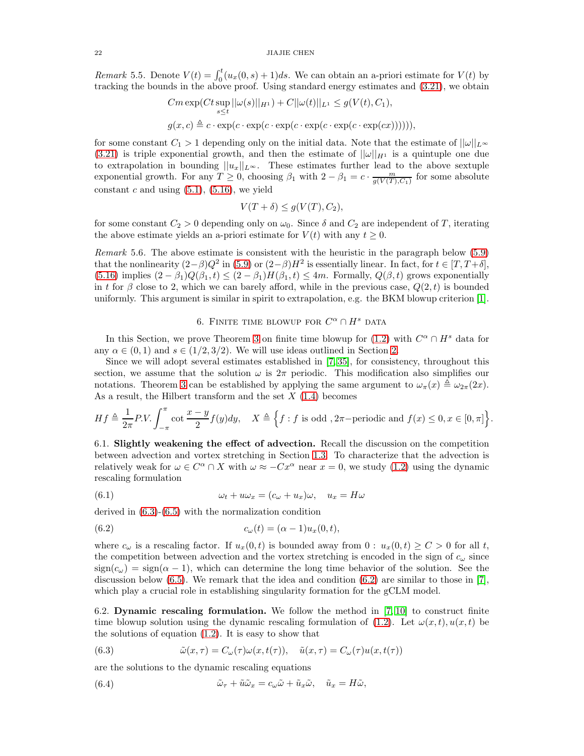<span id="page-21-0"></span>Remark 5.5. Denote  $V(t) = \int_0^t (u_x(0, s) + 1)ds$ . We can obtain an a-priori estimate for  $V(t)$  by tracking the bounds in the above proof. Using standard energy estimates and [\(3.21\)](#page-11-6), we obtain

$$
Cm \exp(Ct \sup_{s \leq t} ||\omega(s)||_{H^1}) + C||\omega(t)||_{L^1} \leq g(V(t), C_1),
$$
  

$$
g(x, c) \triangleq c \cdot \exp(c \cdot \exp(c \cdot \exp(c \cdot \exp(c \cdot \exp(c \cdot \exp(c x))))))
$$

for some constant  $C_1 > 1$  depending only on the initial data. Note that the estimate of  $||\omega||_{L^{\infty}}$ [\(3.21\)](#page-11-6) is triple exponential growth, and then the estimate of  $||\omega||_{H^1}$  is a quintuple one due to extrapolation in bounding  $||u_x||_{L^{\infty}}$ . These estimates further lead to the above sextuple exponential growth. For any  $T \geq 0$ , choosing  $\beta_1$  with  $2 - \beta_1 = c \cdot \frac{m}{g(V(T), C_1)}$  for some absolute constant  $c$  and using  $(5.1)$ ,  $(5.16)$ , we yield

$$
V(T + \delta) \le g(V(T), C_2),
$$

for some constant  $C_2 > 0$  depending only on  $\omega_0$ . Since  $\delta$  and  $C_2$  are independent of T, iterating the above estimate yields an a-priori estimate for  $V(t)$  with any  $t \geq 0$ .

Remark 5.6. The above estimate is consistent with the heuristic in the paragraph below [\(5.9\)](#page-18-1) that the nonlinearity  $(2-\beta)Q^2$  in  $(5.9)$  or  $(2-\beta)H^2$  is essentially linear. In fact, for  $t \in [T, T+\delta]$ ,  $(5.16)$  implies  $(2 - \beta_1)Q(\beta_1, t) \leq (2 - \beta_1)H(\beta_1, t) \leq 4m$ . Formally,  $Q(\beta, t)$  grows exponentially in t for  $\beta$  close to 2, which we can barely afford, while in the previous case,  $Q(2,t)$  is bounded uniformly. This argument is similar in spirit to extrapolation, e.g. the BKM blowup criterion [\[1\]](#page-38-26).

# 6. FINITE TIME BLOWUP FOR  $C^{\alpha} \cap H^s$  data

<span id="page-21-1"></span>In this Section, we prove Theorem [3](#page-2-1) on finite time blowup for [\(1.2\)](#page-0-1) with  $C^{\alpha} \cap H^s$  data for any  $\alpha \in (0,1)$  and  $s \in (1/2,3/2)$ . We will use ideas outlined in Section [2.](#page-4-0)

Since we will adopt several estimates established in [\[7,](#page-38-10) [35\]](#page-39-2), for consistency, throughout this section, we assume that the solution  $\omega$  is  $2\pi$  periodic. This modification also simplifies our notations. Theorem [3](#page-2-1) can be established by applying the same argument to  $\omega_{\pi}(x) \triangleq \omega_{2\pi}(2x)$ . As a result, the Hilbert transform and the set  $X(1.4)$  $X(1.4)$  becomes

$$
Hf \triangleq \frac{1}{2\pi} P.V. \int_{-\pi}^{\pi} \cot \frac{x-y}{2} f(y) dy, \quad X \triangleq \Big\{ f : f \text{ is odd }, 2\pi-\text{periodic and } f(x) \le 0, x \in [0, \pi] \Big\}.
$$

<span id="page-21-6"></span>6.1. Slightly weakening the effect of advection. Recall the discussion on the competition between advection and vortex stretching in Section [1.3.](#page-3-4) To characterize that the advection is relatively weak for  $\omega \in C^{\alpha} \cap X$  with  $\omega \approx -Cx^{\alpha}$  near  $x = 0$ , we study [\(1.2\)](#page-0-1) using the dynamic rescaling formulation

<span id="page-21-5"></span>(6.1) 
$$
\omega_t + u\omega_x = (c_\omega + u_x)\omega, \quad u_x = H\omega
$$

derived in [\(6.3\)](#page-21-2)-[\(6.5\)](#page-22-0) with the normalization condition

<span id="page-21-3"></span>(6.2) 
$$
c_{\omega}(t) = (\alpha - 1)u_x(0, t),
$$

where  $c_{\omega}$  is a rescaling factor. If  $u_x(0,t)$  is bounded away from  $0: u_x(0,t) \geq C > 0$  for all t, the competition between advection and the vortex stretching is encoded in the sign of  $c_{\omega}$  since  $sign(c_{\omega}) = sign(\alpha - 1)$ , which can determine the long time behavior of the solution. See the discussion below  $(6.5)$ . We remark that the idea and condition  $(6.2)$  are similar to those in [\[7\]](#page-38-10), which play a crucial role in establishing singularity formation for the gCLM model.

<span id="page-21-7"></span>6.2. Dynamic rescaling formulation. We follow the method in  $(7, 10)$  to construct finite time blowup solution using the dynamic rescaling formulation of [\(1.2\)](#page-0-1). Let  $\omega(x, t)$ ,  $u(x, t)$  be the solutions of equation [\(1.2\)](#page-0-1). It is easy to show that

<span id="page-21-2"></span>(6.3) 
$$
\tilde{\omega}(x,\tau) = C_{\omega}(\tau)\omega(x,t(\tau)), \quad \tilde{u}(x,\tau) = C_{\omega}(\tau)u(x,t(\tau))
$$

are the solutions to the dynamic rescaling equations

<span id="page-21-4"></span>(6.4) 
$$
\tilde{\omega}_{\tau} + \tilde{u}\tilde{\omega}_{x} = c_{\omega}\tilde{\omega} + \tilde{u}_{x}\tilde{\omega}, \quad \tilde{u}_{x} = H\tilde{\omega},
$$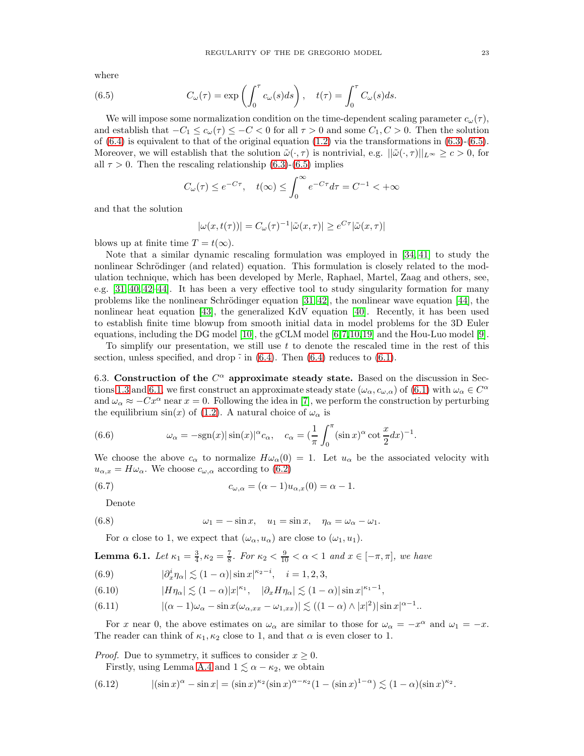where

(6.5) 
$$
C_{\omega}(\tau) = \exp\left(\int_0^{\tau} c_{\omega}(s)ds\right), \quad t(\tau) = \int_0^{\tau} C_{\omega}(s)ds.
$$

We will impose some normalization condition on the time-dependent scaling parameter  $c_{\omega}(\tau)$ , and establish that  $-C_1 \leq c_\omega(\tau) \leq -C < 0$  for all  $\tau > 0$  and some  $C_1, C > 0$ . Then the solution of  $(6.4)$  is equivalent to that of the original equation  $(1.2)$  via the transformations in  $(6.3)-(6.5)$  $(6.3)-(6.5)$ . Moreover, we will establish that the solution  $\tilde{\omega}(\cdot, \tau)$  is nontrivial, e.g.  $||\tilde{\omega}(\cdot, \tau)||_{L^{\infty}} \geq c > 0$ , for all  $\tau > 0$ . Then the rescaling relationship [\(6.3\)](#page-21-2)-[\(6.5\)](#page-22-0) implies

<span id="page-22-0"></span>
$$
C_{\omega}(\tau) \le e^{-C\tau}, \quad t(\infty) \le \int_0^{\infty} e^{-C\tau} d\tau = C^{-1} < +\infty
$$

and that the solution

$$
|\omega(x, t(\tau))| = C_{\omega}(\tau)^{-1} |\tilde{\omega}(x, \tau)| \ge e^{C\tau} |\tilde{\omega}(x, \tau)|
$$

blows up at finite time  $T = t(\infty)$ .

Note that a similar dynamic rescaling formulation was employed in [\[34,](#page-39-9) [41\]](#page-39-10) to study the nonlinear Schrödinger (and related) equation. This formulation is closely related to the modulation technique, which has been developed by Merle, Raphael, Martel, Zaag and others, see, e.g. [\[31,](#page-38-27) [40,](#page-39-11) [42–](#page-39-12)[44\]](#page-39-13). It has been a very effective tool to study singularity formation for many problems like the nonlinear Schrödinger equation  $[31, 42]$  $[31, 42]$ , the nonlinear wave equation  $[44]$ , the nonlinear heat equation [\[43\]](#page-39-14), the generalized KdV equation [\[40\]](#page-39-11). Recently, it has been used to establish finite time blowup from smooth initial data in model problems for the 3D Euler equations, including the DG model [\[10\]](#page-38-8), the gCLM model [\[6,](#page-38-9)[7,](#page-38-10)[10,](#page-38-8)[19\]](#page-38-11) and the Hou-Luo model [\[9\]](#page-38-16).

To simplify our presentation, we still use  $t$  to denote the rescaled time in the rest of this section, unless specified, and drop  $\tilde{\cdot}$  in [\(6.4\)](#page-21-4). Then (6.4) reduces to [\(6.1\)](#page-21-5).

6.3. Construction of the  $C^{\alpha}$  approximate steady state. Based on the discussion in Sec-tions [1.3](#page-3-4) and [6.1,](#page-21-6) we first construct an approximate steady state  $(\omega_{\alpha}, c_{\omega,\alpha})$  of  $(6.1)$  with  $\omega_{\alpha} \in C^{\alpha}$ and  $\omega_{\alpha} \approx -Cx^{\alpha}$  near  $x = 0$ . Following the idea in [\[7\]](#page-38-10), we perform the construction by perturbing the equilibrium  $sin(x)$  of [\(1.2\)](#page-0-1). A natural choice of  $\omega_{\alpha}$  is

<span id="page-22-1"></span>(6.6) 
$$
\omega_{\alpha} = -\text{sgn}(x)|\sin(x)|^{\alpha}c_{\alpha}, \quad c_{\alpha} = \left(\frac{1}{\pi}\int_{0}^{\pi}(\sin x)^{\alpha}\cot\frac{x}{2}dx\right)^{-1}.
$$

We choose the above  $c_{\alpha}$  to normalize  $H\omega_{\alpha}(0) = 1$ . Let  $u_{\alpha}$  be the associated velocity with  $u_{\alpha,x} = H\omega_{\alpha}$ . We choose  $c_{\omega,\alpha}$  according to [\(6.2\)](#page-21-3)

(6.7) 
$$
c_{\omega,\alpha} = (\alpha - 1)u_{\alpha,x}(0) = \alpha - 1.
$$

<span id="page-22-7"></span>Denote

(6.8) 
$$
\omega_1 = -\sin x, \quad u_1 = \sin x, \quad \eta_\alpha = \omega_\alpha - \omega_1.
$$

<span id="page-22-3"></span>For  $\alpha$  close to 1, we expect that  $(\omega_{\alpha}, u_{\alpha})$  are close to  $(\omega_1, u_1)$ .

<span id="page-22-8"></span>**Lemma 6.1.** Let 
$$
\kappa_1 = \frac{3}{4}, \kappa_2 = \frac{7}{8}
$$
. For  $\kappa_2 < \frac{9}{10} < \alpha < 1$  and  $x \in [-\pi, \pi]$ , we have

<span id="page-22-2"></span>(6.9) 
$$
|\partial_x^i \eta_\alpha| \lesssim (1-\alpha) |\sin x|^{\kappa_2 - i}, \quad i = 1, 2, 3,
$$

<span id="page-22-6"></span>(6.10) 
$$
|H\eta_{\alpha}| \lesssim (1-\alpha)|x|^{\kappa_1}, \quad |\partial_x H\eta_{\alpha}| \lesssim (1-\alpha)|\sin x|^{\kappa_1-1},
$$

<span id="page-22-5"></span>(6.11) 
$$
|(\alpha - 1)\omega_{\alpha} - \sin x(\omega_{\alpha,xx} - \omega_{1,xx})| \lesssim ((1 - \alpha) \wedge |x|^2)|\sin x|^{\alpha - 1}.
$$

For x near 0, the above estimates on  $\omega_{\alpha}$  are similar to those for  $\omega_{\alpha} = -x^{\alpha}$  and  $\omega_1 = -x$ . The reader can think of  $\kappa_1, \kappa_2$  close to 1, and that  $\alpha$  is even closer to 1.

*Proof.* Due to symmetry, it suffices to consider  $x \geq 0$ . Firstly, using Lemma [A.4](#page-29-2) and  $1 \lesssim \alpha - \kappa_2$ , we obtain

<span id="page-22-4"></span>
$$
(6.12) \qquad |\n(\sin x)^{\alpha} - \sin x| = (\sin x)^{\kappa_2} (\sin x)^{\alpha - \kappa_2} (1 - (\sin x)^{1 - \alpha}) \lesssim (1 - \alpha)(\sin x)^{\kappa_2}.
$$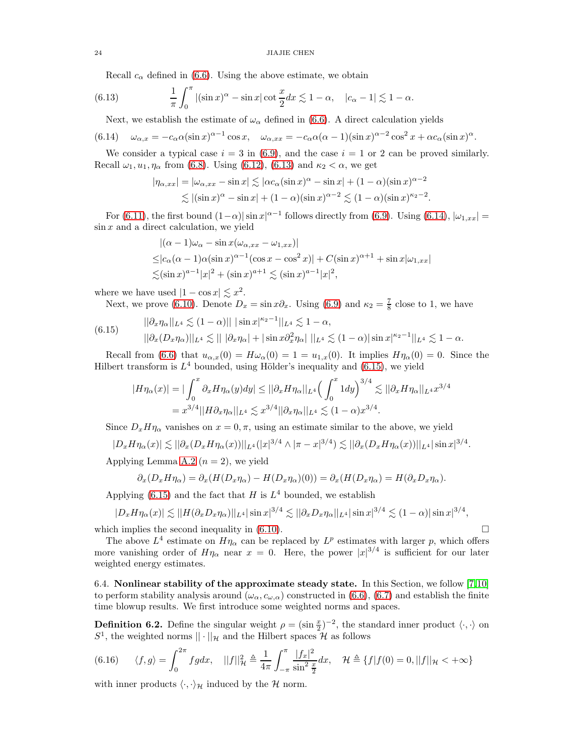<span id="page-23-0"></span>Recall  $c_{\alpha}$  defined in [\(6.6\)](#page-22-1). Using the above estimate, we obtain

(6.13) 
$$
\frac{1}{\pi} \int_0^{\pi} |(\sin x)^{\alpha} - \sin x| \cot \frac{x}{2} dx \lesssim 1 - \alpha, \quad |c_{\alpha} - 1| \lesssim 1 - \alpha.
$$

<span id="page-23-1"></span>Next, we establish the estimate of  $\omega_{\alpha}$  defined in [\(6.6\)](#page-22-1). A direct calculation yields

$$
(6.14) \quad \omega_{\alpha,x} = -c_{\alpha}\alpha(\sin x)^{\alpha-1}\cos x, \quad \omega_{\alpha,xx} = -c_{\alpha}\alpha(\alpha-1)(\sin x)^{\alpha-2}\cos^2 x + \alpha c_{\alpha}(\sin x)^{\alpha}.
$$

We consider a typical case  $i = 3$  in [\(6.9\)](#page-22-2), and the case  $i = 1$  or 2 can be proved similarly. Recall  $\omega_1, u_1, \eta_\alpha$  from [\(6.8\)](#page-22-3). Using [\(6.12\)](#page-22-4), [\(6.13\)](#page-23-0) and  $\kappa_2 < \alpha$ , we get

$$
|\eta_{\alpha,xx}| = |\omega_{\alpha,xx} - \sin x| \lesssim |\alpha c_{\alpha}(\sin x)^{\alpha} - \sin x| + (1 - \alpha)(\sin x)^{\alpha - 2}
$$
  

$$
\lesssim |(\sin x)^{\alpha} - \sin x| + (1 - \alpha)(\sin x)^{\alpha - 2} \lesssim (1 - \alpha)(\sin x)^{\kappa_2 - 2}.
$$

For [\(6.11\)](#page-22-5), the first bound  $(1-\alpha)|\sin x|^{\alpha-1}$  follows directly from [\(6.9\)](#page-22-2). Using [\(6.14\)](#page-23-1),  $|\omega_{1,xx}| =$  $\sin x$  and a direct calculation, we yield

$$
\begin{aligned} &|( \alpha - 1 ) \omega_\alpha - \sin x ( \omega_{\alpha, xx} - \omega_{1, xx} )| \\ \leq & |c_\alpha ( \alpha - 1 ) \alpha ( \sin x )^{\alpha - 1} ( \cos x - \cos^2 x )| + C ( \sin x )^{\alpha + 1} + \sin x | \omega_{1, xx} | \\ \lesssim & ( \sin x )^{a - 1} |x|^2 + ( \sin x )^{a + 1} \lesssim ( \sin x )^{a - 1} |x|^2 , \end{aligned}
$$

where we have used  $|1 - \cos x| \lesssim x^2$ .

<span id="page-23-2"></span>Next, we prove (6.10). Denote 
$$
D_x = \sin x \partial_x
$$
. Using (6.9) and  $\kappa_2 = \frac{7}{8}$  close to 1, we have

$$
(6.15) \qquad ||\partial_x \eta_\alpha||_{L^4} \lesssim (1-\alpha)||\, |\sin x|^{\kappa_2 - 1}||_{L^4} \lesssim 1 - \alpha,
$$
  

$$
||\partial_x (D_x \eta_\alpha)||_{L^4} \lesssim ||\, |\partial_x \eta_\alpha| + |\sin x \partial_x^2 \eta_\alpha| \, ||_{L^4} \lesssim (1-\alpha)|\sin x|^{\kappa_2 - 1}||_{L^4} \lesssim 1 - \alpha.
$$

Recall from [\(6.6\)](#page-22-1) that  $u_{\alpha,x}(0) = H\omega_{\alpha}(0) = 1 = u_{1,x}(0)$ . It implies  $H\eta_{\alpha}(0) = 0$ . Since the Hilbert transform is  $L^4$  bounded, using Hölder's inequality and [\(6.15\)](#page-23-2), we yield

$$
|H\eta_{\alpha}(x)| = |\int_0^x \partial_x H \eta_{\alpha}(y) dy| \le ||\partial_x H \eta_{\alpha}||_{L^4} \left(\int_0^x 1 dy\right)^{3/4} \lesssim ||\partial_x H \eta_{\alpha}||_{L^4} x^{3/4}
$$
  
=  $x^{3/4} ||H \partial_x \eta_{\alpha}||_{L^4} \lesssim x^{3/4} ||\partial_x \eta_{\alpha}||_{L^4} \lesssim (1 - \alpha)x^{3/4}.$ 

Since  $D_x H \eta_\alpha$  vanishes on  $x = 0, \pi$ , using an estimate similar to the above, we yield

$$
|D_x H \eta_\alpha(x)| \lesssim ||\partial_x (D_x H \eta_\alpha(x))||_{L^4} (|x|^{3/4} \wedge |\pi - x|^{3/4}) \lesssim ||\partial_x (D_x H \eta_\alpha(x))||_{L^4} |\sin x|^{3/4}.
$$

Applying Lemma [A.2](#page-29-3)  $(n = 2)$ , we yield

$$
\partial_x (D_x H \eta_\alpha) = \partial_x (H(D_x \eta_\alpha) - H(D_x \eta_\alpha)(0)) = \partial_x (H(D_x \eta_\alpha) = H(\partial_x D_x \eta_\alpha).
$$

Applying [\(6.15\)](#page-23-2) and the fact that  $H$  is  $L<sup>4</sup>$  bounded, we establish

$$
|D_x H \eta_\alpha(x)| \lesssim ||H(\partial_x D_x \eta_\alpha)||_{L^4} |\sin x|^{3/4} \lesssim ||\partial_x D_x \eta_\alpha||_{L^4} |\sin x|^{3/4} \lesssim (1-\alpha)|\sin x|^{3/4},
$$

which implies the second inequality in  $(6.10)$ .

The above  $L^4$  estimate on  $H\eta_\alpha$  can be replaced by  $L^p$  estimates with larger p, which offers more vanishing order of  $H\eta_{\alpha}$  near  $x = 0$ . Here, the power  $|x|^{3/4}$  is sufficient for our later weighted energy estimates.

6.4. Nonlinear stability of the approximate steady state. In this Section, we follow [\[7,](#page-38-10)[10\]](#page-38-8) to perform stability analysis around  $(\omega_{\alpha}, c_{\omega,\alpha})$  constructed in [\(6.6\)](#page-22-1), [\(6.7\)](#page-22-7) and establish the finite time blowup results. We first introduce some weighted norms and spaces.

**Definition 6.2.** Define the singular weight  $\rho = (\sin \frac{x}{2})^{-2}$ , the standard inner product  $\langle \cdot, \cdot \rangle$  on  $S^1$ , the weighted norms  $||\cdot||_{\mathcal{H}}$  and the Hilbert spaces  $\mathcal H$  as follows

$$
(6.16) \qquad \langle f, g \rangle = \int_0^{2\pi} f g dx, \quad ||f||_H^2 \triangleq \frac{1}{4\pi} \int_{-\pi}^{\pi} \frac{|f_x|^2}{\sin^2 \frac{x}{2}} dx, \quad \mathcal{H} \triangleq \{f|f(0) = 0, ||f||_H < +\infty\}
$$

with inner products  $\langle \cdot, \cdot \rangle_{\mathcal{H}}$  induced by the H norm.

$$
24\quad
$$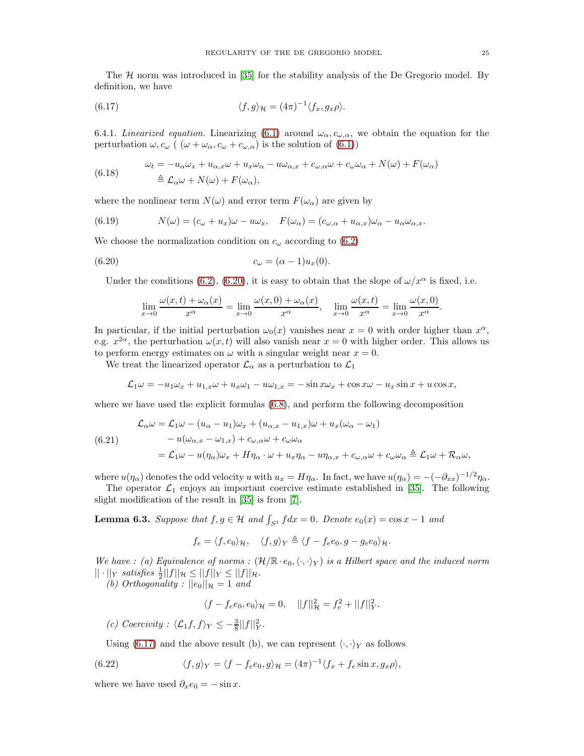The  $H$  norm was introduced in [\[35\]](#page-39-2) for the stability analysis of the De Gregorio model. By definition, we have

<span id="page-24-1"></span>(6.17) 
$$
\langle f, g \rangle_{\mathcal{H}} = (4\pi)^{-1} \langle f_x, g_x \rho \rangle.
$$

6.4.1. Linearized equation. Linearizing [\(6.1\)](#page-21-5) around  $\omega_{\alpha}, c_{\omega,\alpha}$ , we obtain the equation for the perturbation  $\omega, c_{\omega}$  (  $(\omega + \omega_{\alpha}, c_{\omega} + c_{\omega,\alpha})$  is the solution of [\(6.1\)](#page-21-5))

<span id="page-24-2"></span>(6.18) 
$$
\omega_t = -u_\alpha \omega_x + u_{\alpha,x} \omega + u_x \omega_\alpha - u \omega_{\alpha,x} + c_{\omega,\alpha} \omega + c_{\omega} \omega_\alpha + N(\omega) + F(\omega_\alpha)
$$

$$
\triangleq \mathcal{L}_\alpha \omega + N(\omega) + F(\omega_\alpha),
$$

where the nonlinear term  $N(\omega)$  and error term  $F(\omega_{\alpha})$  are given by

<span id="page-24-6"></span>(6.19) 
$$
N(\omega) = (c_{\omega} + u_x)\omega - u\omega_x, \quad F(\omega_{\alpha}) = (c_{\omega,\alpha} + u_{\alpha,x})\omega_{\alpha} - u_{\alpha}\omega_{\alpha,x}.
$$

We choose the normalization condition on  $c_{\omega}$  according to [\(6.2\)](#page-21-3)

$$
(6.20) \t\t\t c_{\omega} = (\alpha - 1)u_x(0).
$$

Under the conditions [\(6.2\)](#page-21-3), [\(6.20\)](#page-24-0), it is easy to obtain that the slope of  $\omega/x^{\alpha}$  is fixed, i.e.

<span id="page-24-0"></span>
$$
\lim_{x \to 0} \frac{\omega(x,t) + \omega_{\alpha}(x)}{x^{\alpha}} = \lim_{x \to 0} \frac{\omega(x,0) + \omega_{\alpha}(x)}{x^{\alpha}}, \quad \lim_{x \to 0} \frac{\omega(x,t)}{x^{\alpha}} = \lim_{x \to 0} \frac{\omega(x,0)}{x^{\alpha}}.
$$

In particular, if the initial perturbation  $\omega_0(x)$  vanishes near  $x = 0$  with order higher than  $x^{\alpha}$ , e.g.  $x^{2\alpha}$ , the perturbation  $\omega(x, t)$  will also vanish near  $x = 0$  with higher order. This allows us to perform energy estimates on  $\omega$  with a singular weight near  $x = 0$ .

We treat the linearized operator  $\mathcal{L}_{\alpha}$  as a perturbation to  $\mathcal{L}_1$ 

$$
\mathcal{L}_1\omega = -u_1\omega_x + u_{1,x}\omega + u_x\omega_1 - u\omega_{1,x} = -\sin x\omega_x + \cos x\omega - u_x\sin x + u\cos x,
$$

where we have used the explicit formulas [\(6.8\)](#page-22-3), and perform the following decomposition

<span id="page-24-3"></span>(6.21)  
\n
$$
\mathcal{L}_{\alpha}\omega = \mathcal{L}_{1}\omega - (u_{\alpha} - u_{1})\omega_{x} + (u_{\alpha,x} - u_{1,x})\omega + u_{x}(\omega_{\alpha} - \omega_{1})
$$
\n
$$
- u(\omega_{\alpha,x} - \omega_{1,x}) + c_{\omega,\alpha}\omega + c_{\omega}\omega_{\alpha}
$$
\n
$$
= \mathcal{L}_{1}\omega - u(\eta_{\alpha})\omega_{x} + H\eta_{\alpha}\cdot\omega + u_{x}\eta_{\alpha} - u\eta_{\alpha,x} + c_{\omega,\alpha}\omega + c_{\omega}\omega_{\alpha} \triangleq \mathcal{L}_{1}\omega + \mathcal{R}_{\alpha}\omega,
$$

where  $u(\eta_{\alpha})$  denotes the odd velocity u with  $u_x = H\eta_{\alpha}$ . In fact, we have  $u(\eta_{\alpha}) = -(-\partial_{xx})^{-1/2}\eta_{\alpha}$ .

The operator  $\mathcal{L}_1$  enjoys an important coercive estimate established in [\[35\]](#page-39-2). The following slight modification of the result in [\[35\]](#page-39-2) is from [\[7\]](#page-38-10).

<span id="page-24-4"></span>**Lemma 6.3.** Suppose that  $f, g \in \mathcal{H}$  and  $\int_{S^1} f dx = 0$ . Denote  $e_0(x) = \cos x - 1$  and

$$
f_e = \langle f, e_0 \rangle_{\mathcal{H}}, \quad \langle f, g \rangle_Y \triangleq \langle f - f_e e_0, g - g_e e_0 \rangle_{\mathcal{H}}.
$$

We have : (a) Equivalence of norms :  $(\mathcal{H}/\mathbb{R}\cdot e_0,\langle\cdot,\cdot\rangle_Y)$  is a Hilbert space and the induced norm  $|| \cdot ||_Y$  satisfies  $\frac{1}{2}||f||_{\mathcal{H}} \leq ||f||_Y \leq ||f||_{\mathcal{H}}.$ 

(b) Orthogonality :  $||e_0||_{\mathcal{H}} = 1$  and

<span id="page-24-5"></span>
$$
\langle f - f_e e_0, e_0 \rangle_{\mathcal{H}} = 0, \quad ||f||_{\mathcal{H}}^2 = f_e^2 + ||f||_Y^2.
$$

(c) Coercivity :  $\langle \mathcal{L}_1 f, f \rangle_Y \leq -\frac{3}{8} ||f||_Y^2$ .

Using [\(6.17\)](#page-24-1) and the above result (b), we can represent  $\langle \cdot, \cdot \rangle_Y$  as follows

(6.22) 
$$
\langle f, g \rangle_Y = \langle f - f_e e_0, g \rangle_{\mathcal{H}} = (4\pi)^{-1} \langle f_x + f_e \sin x, g_x \rho \rangle,
$$

where we have used  $\partial_x e_0 = -\sin x$ .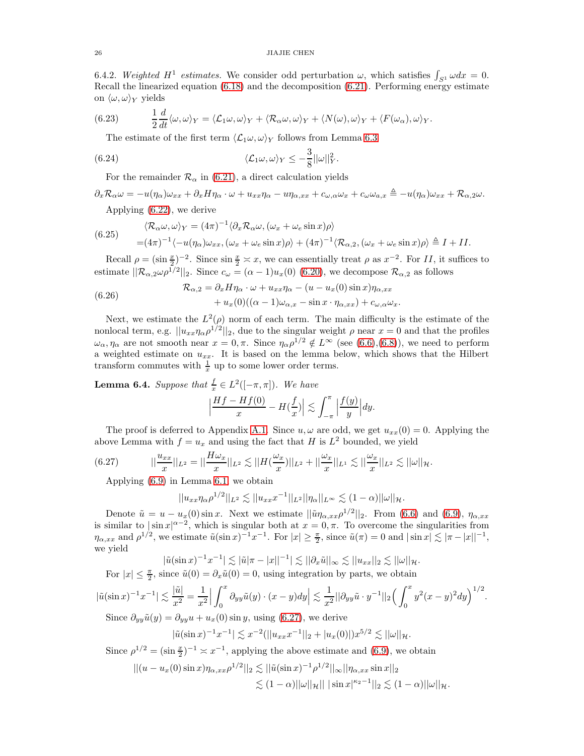6.4.2. Weighted H<sup>1</sup> estimates. We consider odd perturbation  $\omega$ , which satisfies  $\int_{S^1} \omega dx = 0$ . Recall the linearized equation [\(6.18\)](#page-24-2) and the decomposition [\(6.21\)](#page-24-3). Performing energy estimate on  $\langle \omega, \omega \rangle_Y$  yields

(6.23) 
$$
\frac{1}{2}\frac{d}{dt}\langle \omega, \omega \rangle_Y = \langle \mathcal{L}_1 \omega, \omega \rangle_Y + \langle \mathcal{R}_\alpha \omega, \omega \rangle_Y + \langle N(\omega), \omega \rangle_Y + \langle F(\omega_\alpha), \omega \rangle_Y.
$$

<span id="page-25-3"></span>The estimate of the first term  $\langle \mathcal{L}_1 \omega, \omega \rangle_Y$  follows from Lemma [6.3](#page-24-4)

(6.24) 
$$
\langle \mathcal{L}_1 \omega, \omega \rangle_Y \leq -\frac{3}{8} ||\omega||_Y^2.
$$

For the remainder  $\mathcal{R}_{\alpha}$  in [\(6.21\)](#page-24-3), a direct calculation yields

$$
\partial_x \mathcal{R}_{\alpha} \omega = -u(\eta_{\alpha}) \omega_{xx} + \partial_x H \eta_{\alpha} \cdot \omega + u_{xx} \eta_{\alpha} - u \eta_{\alpha,xx} + c_{\omega,\alpha} \omega_x + c_{\omega} \omega_{a,x} \triangleq -u(\eta_{\alpha}) \omega_{xx} + \mathcal{R}_{\alpha,2} \omega.
$$
\nApplying (6.22), we derive

<span id="page-25-2"></span>(6.25) 
$$
\langle \mathcal{R}_{\alpha}\omega, \omega \rangle_Y = (4\pi)^{-1} \langle \partial_x \mathcal{R}_{\alpha}\omega, (\omega_x + \omega_e \sin x) \rho \rangle = (4\pi)^{-1} \langle -u(\eta_{\alpha})\omega_{xx}, (\omega_x + \omega_e \sin x) \rho \rangle + (4\pi)^{-1} \langle \mathcal{R}_{\alpha,2}, (\omega_x + \omega_e \sin x) \rho \rangle \triangleq I + II.
$$

Recall  $\rho = (\sin \frac{x}{2})^{-2}$ . Since  $\sin \frac{x}{2} \approx x$ , we can essentially treat  $\rho$  as  $x^{-2}$ . For II, it suffices to estimate  $||\mathcal{R}_{\alpha,2} \omega \rho^{1/2}||_2$ . Since  $c_{\omega} = (\alpha - 1)u_x(0)$  [\(6.20\)](#page-24-0), we decompose  $\mathcal{R}_{\alpha,2}$  as follows

<span id="page-25-1"></span>(6.26) 
$$
\mathcal{R}_{\alpha,2} = \partial_x H \eta_\alpha \cdot \omega + u_{xx} \eta_\alpha - (u - u_x(0) \sin x) \eta_{\alpha,xx} \n+ u_x(0) ((\alpha - 1) \omega_{\alpha,x} - \sin x \cdot \eta_{\alpha,xx}) + c_{\omega,\alpha} \omega_x.
$$

Next, we estimate the  $L^2(\rho)$  norm of each term. The main difficulty is the estimate of the nonlocal term, e.g.  $||u_{xx}\eta_{\alpha}\rho^{1/2}||_2$ , due to the singular weight  $\rho$  near  $x = 0$  and that the profiles  $\omega_{\alpha}, \eta_{\alpha}$  are not smooth near  $x = 0, \pi$ . Since  $\eta_{\alpha} \rho^{1/2} \notin L^{\infty}$  (see [\(6.6\)](#page-22-1),[\(6.8\)](#page-22-3)), we need to perform a weighted estimate on  $u_{xx}$ . It is based on the lemma below, which shows that the Hilbert transform commutes with  $\frac{1}{x}$  up to some lower order terms.

<span id="page-25-4"></span>**Lemma 6.4.** Suppose that  $\frac{f}{x} \in L^2([-\pi,\pi])$ . We have

$$
\Big|\frac{Hf-Hf(0)}{x}-H(\frac{f}{x})\Big|\lesssim \int_{-\pi}^{\pi}\Big|\frac{f(y)}{y}\Big|dy.
$$

The proof is deferred to Appendix [A.1.](#page-28-1) Since  $u, \omega$  are odd, we get  $u_{xx}(0) = 0$ . Applying the above Lemma with  $f = u_x$  and using the fact that H is  $L^2$  bounded, we yield

$$
(6.27) \t||\frac{u_{xx}}{x}||_{L^2} = ||\frac{H\omega_x}{x}||_{L^2} \lesssim ||H(\frac{\omega_x}{x})||_{L^2} + ||\frac{\omega_x}{x}||_{L^1} \lesssim ||\frac{\omega_x}{x}||_{L^2} \lesssim ||\omega||_{\mathcal{H}}.
$$

Applying [\(6.9\)](#page-22-2) in Lemma [6.1,](#page-22-8) we obtain

<span id="page-25-0"></span>
$$
||u_{xx}\eta_{\alpha}\rho^{1/2}||_{L^2}\lesssim ||u_{xx}x^{-1}||_{L^2}||\eta_{\alpha}||_{L^{\infty}}\lesssim (1-\alpha)||\omega||_{\mathcal{H}}.
$$

Denote  $\tilde{u} = u - u_x(0) \sin x$ . Next we estimate  $||\tilde{u}\eta_{\alpha,xx}\rho^{1/2}||_2$ . From [\(6.6\)](#page-22-1) and [\(6.9\)](#page-22-2),  $\eta_{\alpha,xx}$ is similar to  $|\sin x|^{\alpha-2}$ , which is singular both at  $x=0,\pi$ . To overcome the singularities from  $\eta_{\alpha,xx}$  and  $\rho^{1/2}$ , we estimate  $\tilde{u}(\sin x)^{-1}x^{-1}$ . For  $|x| \ge \frac{\pi}{2}$ , since  $\tilde{u}(\pi) = 0$  and  $|\sin x| \lesssim |\pi - |x||^{-1}$ , we yield

$$
|\tilde{u}(\sin x)^{-1}x^{-1}| \lesssim |\tilde{u}|\pi - |x||^{-1}| \lesssim ||\partial_x \tilde{u}||_{\infty} \lesssim ||u_{xx}||_2 \lesssim ||\omega||_{\mathcal{H}}.
$$

For  $|x| \leq \frac{\pi}{2}$ , since  $\tilde{u}(0) = \partial_x \tilde{u}(0) = 0$ , using integration by parts, we obtain

$$
|\tilde{u}(\sin x)^{-1}x^{-1}| \lesssim \frac{|\tilde{u}|}{x^2} = \frac{1}{x^2} \Big| \int_0^x \partial_{yy} \tilde{u}(y) \cdot (x - y) dy \Big| \lesssim \frac{1}{x^2} ||\partial_{yy} \tilde{u} \cdot y^{-1}||_2 \Big( \int_0^x y^2 (x - y)^2 dy \Big)^{1/2}.
$$

Since  $\partial_{yy}\tilde{u}(y) = \partial_{yy}u + u_x(0) \sin y$ , using [\(6.27\)](#page-25-0), we derive

$$
|\tilde{u}(\sin x)^{-1}x^{-1}| \lesssim x^{-2} (||u_{xx}x^{-1}||_2 + |u_x(0)|)x^{5/2} \lesssim ||\omega||_{\mathcal{H}}.
$$

Since  $\rho^{1/2} = (\sin \frac{x}{2})^{-1} \approx x^{-1}$ , applying the above estimate and [\(6.9\)](#page-22-2), we obtain

$$
||(u - u_x(0) \sin x)\eta_{\alpha,xx}\rho^{1/2}||_2 \lesssim ||\tilde{u}(\sin x)^{-1}\rho^{1/2}||_{\infty}||\eta_{\alpha,xx}\sin x||_2
$$
  

$$
\lesssim (1 - \alpha)||\omega||_H|| \, |\sin x|^{\kappa_2 - 1}||_2 \lesssim (1 - \alpha)||\omega||_H.
$$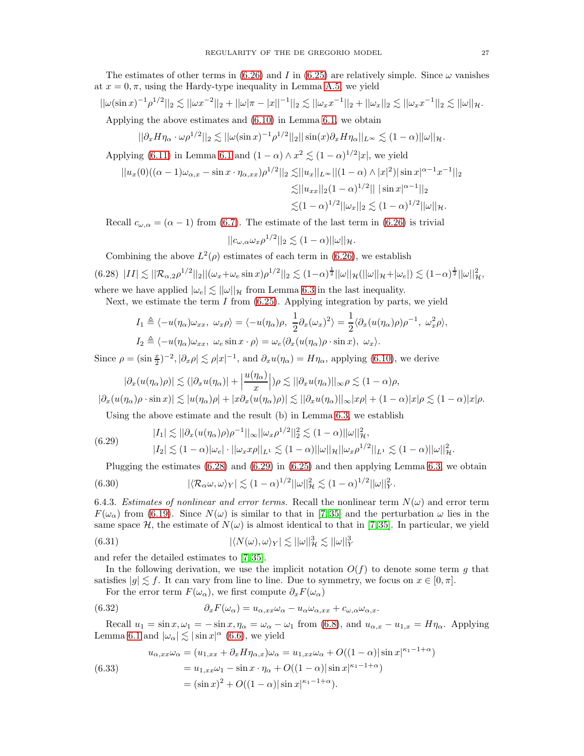The estimates of other terms in [\(6.26\)](#page-25-1) and I in [\(6.25\)](#page-25-2) are relatively simple. Since  $\omega$  vanishes at  $x = 0, \pi$ , using the Hardy-type inequality in Lemma [A.5,](#page-29-4) we yield

$$
||\omega(\sin x)^{-1}\rho^{1/2}||_2 \lesssim ||\omega x^{-2}||_2 + ||\omega|\pi - |x||^{-1}||_2 \lesssim ||\omega_x x^{-1}||_2 + ||\omega_x||_2 \lesssim ||\omega_x x^{-1}||_2 \lesssim ||\omega||_{\mathcal{H}}.
$$

Applying the above estimates and [\(6.10\)](#page-22-6) in Lemma [6.1,](#page-22-8) we obtain

$$
||\partial_x H \eta_\alpha \cdot \omega \rho^{1/2}||_2 \lesssim ||\omega(\sin x)^{-1} \rho^{1/2}||_2||\sin(x)\partial_x H \eta_\alpha||_{L^\infty} \lesssim (1-\alpha)||\omega||_{\mathcal{H}}.
$$

Applying [\(6.11\)](#page-22-5) in Lemma [6.1](#page-22-8) and  $(1 - \alpha) \wedge x^2 \lesssim (1 - \alpha)^{1/2} |x|$ , we yield

$$
||u_x(0)((\alpha - 1)\omega_{\alpha,x} - \sin x \cdot \eta_{\alpha,xx})\rho^{1/2}||_2 \lesssim ||u_x||_{L^{\infty}} ||(1 - \alpha) \wedge |x|^2) |\sin x|^{\alpha - 1} x^{-1}||_2
$$
  

$$
\lesssim ||u_{xx}||_2 (1 - \alpha)^{1/2} |||\sin x|^{\alpha - 1}||_2
$$
  

$$
\lesssim (1 - \alpha)^{1/2} ||\omega_x||_2 \lesssim (1 - \alpha)^{1/2} ||\omega||_{\mathcal{H}}.
$$

Recall  $c_{\omega,\alpha} = (\alpha - 1)$  from [\(6.7\)](#page-22-7). The estimate of the last term in [\(6.26\)](#page-25-1) is trivial

$$
||c_{\omega,\alpha}\omega_x\rho^{1/2}||_2 \lesssim (1-\alpha)||\omega||_{\mathcal{H}}.
$$

<span id="page-26-0"></span>Combining the above  $L^2(\rho)$  estimates of each term in [\(6.26\)](#page-25-1), we establish  $(6.28)$   $|II| \lesssim ||R_{\alpha,2}\rho^{1/2}||_2||(\omega_x + \omega_e \sin x)\rho^{1/2}||_2 \lesssim (1-\alpha)^{\frac{1}{2}}||\omega||_{\mathcal{H}}(||\omega||_{\mathcal{H}} + |\omega_e|) \lesssim (1-\alpha)^{\frac{1}{2}}||\omega||_{\mathcal{H}}^2$ 

where we have applied  $|\omega_e| \lesssim ||\omega||_{\mathcal{H}}$  from Lemma [6.3](#page-24-4) in the last inequality.

Next, we estimate the term I from  $(6.25)$ . Applying integration by parts, we yield

$$
I_1 \triangleq \langle -u(\eta_\alpha)\omega_{xx}, \ \omega_x \rho \rangle = \langle -u(\eta_\alpha)\rho, \ \frac{1}{2}\partial_x(\omega_x)^2 \rangle = \frac{1}{2}\langle \partial_x(u(\eta_\alpha)\rho)\rho^{-1}, \ \omega_x^2 \rho \rangle,
$$
  

$$
I_2 \triangleq \langle -u(\eta_\alpha)\omega_{xx}, \ \omega_e \sin x \cdot \rho \rangle = \omega_e \langle \partial_x(u(\eta_\alpha)\rho \cdot \sin x), \ \omega_x \rangle.
$$

Since  $\rho = (\sin \frac{x}{2})^{-2}, |\partial_x \rho| \lesssim \rho |x|^{-1}$ , and  $\partial_x u(\eta_\alpha) = H \eta_\alpha$ , applying [\(6.10\)](#page-22-6), we derive

$$
|\partial_x(u(\eta_\alpha)\rho)| \lesssim (|\partial_x u(\eta_\alpha)| + \left|\frac{u(\eta_\alpha)}{x}\right|) \rho \lesssim ||\partial_x u(\eta_\alpha)||_{\infty} \rho \lesssim (1 - \alpha)\rho,
$$
  
(a)  $\rho$  sin  $\alpha$ )  $\leq |u(\alpha)|$  | and  $|u(\alpha)| \leq ||\partial_x u(\alpha)||_{\infty}$  | and  $|u(\alpha)| \leq (1 - \alpha)\rho$ .

$$
|\partial_x(u(\eta_\alpha)\rho \cdot \sin x)| \lesssim |u(\eta_\alpha)\rho| + |x\partial_x(u(\eta_\alpha)\rho)| \lesssim ||\partial_xu(\eta_\alpha)||_\infty |x\rho| + (1-\alpha)|x|\rho \lesssim (1-\alpha)|x|\rho.
$$

<span id="page-26-1"></span>Using the above estimate and the result (b) in Lemma [6.3,](#page-24-4) we establish

(6.29) 
$$
|I_{1}| \lesssim ||\partial_{x}(u(\eta_{\alpha})\rho)\rho^{-1}||_{\infty}||\omega_{x}\rho^{1/2}||_{2}^{2} \lesssim (1-\alpha)||\omega||_{\mathcal{H}}^{2},
$$

$$
|I_{2}| \lesssim (1-\alpha)|\omega_{e}| \cdot ||\omega_{x}x\rho||_{L^{1}} \lesssim (1-\alpha)||\omega||_{\mathcal{H}}||\omega_{x}\rho^{1/2}||_{L^{1}} \lesssim (1-\alpha)||\omega||_{\mathcal{H}}^{2}.
$$

<span id="page-26-4"></span>Plugging the estimates [\(6.28\)](#page-26-0) and [\(6.29\)](#page-26-1) in [\(6.25\)](#page-25-2) and then applying Lemma [6.3,](#page-24-4) we obtain

(6.30) 
$$
|\langle \mathcal{R}_{\alpha}\omega, \omega \rangle_Y| \lesssim (1-\alpha)^{1/2} ||\omega||^2_{\mathcal{H}} \lesssim (1-\alpha)^{1/2} ||\omega||^2_Y.
$$

6.4.3. Estimates of nonlinear and error terms. Recall the nonlinear term  $N(\omega)$  and error term  $F(\omega_\alpha)$  from [\(6.19\)](#page-24-6). Since  $N(\omega)$  is similar to that in [\[7,](#page-38-10)35] and the perturbation  $\omega$  lies in the same space H, the estimate of  $N(\omega)$  is almost identical to that in [\[7,](#page-38-10)35]. In particular, we yield

<span id="page-26-5"></span>(6.31) 
$$
|\langle N(\omega), \omega \rangle_Y| \lesssim ||\omega||_{{\mathcal H}}^3 \lesssim ||\omega||_Y^3
$$

and refer the detailed estimates to [\[7,](#page-38-10) [35\]](#page-39-2).

In the following derivation, we use the implicit notation  $O(f)$  to denote some term q that satisfies  $|g| \lesssim f$ . It can vary from line to line. Due to symmetry, we focus on  $x \in [0, \pi]$ .

<span id="page-26-2"></span>For the error term  $F(\omega_{\alpha})$ , we first compute  $\partial_x F(\omega_{\alpha})$ 

(6.32) 
$$
\partial_x F(\omega_\alpha) = u_{\alpha,xx}\omega_\alpha - u_\alpha\omega_{\alpha,xx} + c_{\omega,\alpha}\omega_{\alpha,x}.
$$

Recall  $u_1 = \sin x, \omega_1 = -\sin x, \eta_\alpha = \omega_\alpha - \omega_1$  from [\(6.8\)](#page-22-3), and  $u_{\alpha,x} - u_{1,x} = H\eta_\alpha$ . Applying Lemma [6.1](#page-22-8) and  $|\omega_{\alpha}| \lesssim |\sin x|^{\alpha}$  [\(6.6\)](#page-22-1), we yield

<span id="page-26-3"></span>(6.33) 
$$
u_{\alpha,xx}\omega_{\alpha} = (u_{1,xx} + \partial_x H \eta_{\alpha,x})\omega_{\alpha} = u_{1,xx}\omega_{\alpha} + O((1-\alpha)|\sin x|^{\kappa_1 - 1 + \alpha})
$$

$$
= u_{1,xx}\omega_1 - \sin x \cdot \eta_{\alpha} + O((1-\alpha)|\sin x|^{\kappa_1 - 1 + \alpha})
$$

$$
= (\sin x)^2 + O((1-\alpha)|\sin x|^{\kappa_1 - 1 + \alpha}).
$$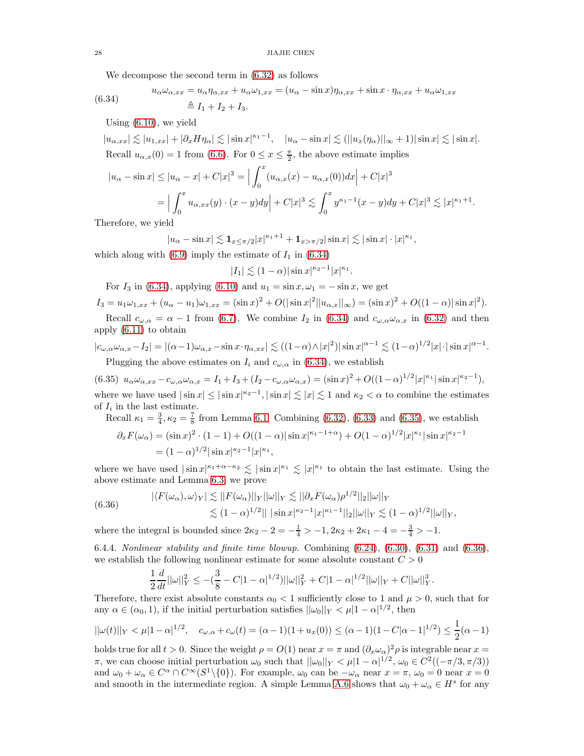<span id="page-27-0"></span>We decompose the second term in [\(6.32\)](#page-26-2) as follows

(6.34) 
$$
u_{\alpha}\omega_{\alpha,xx} = u_{\alpha}\eta_{\alpha,xx} + u_{\alpha}\omega_{1,xx} = (u_{\alpha} - \sin x)\eta_{\alpha,xx} + \sin x \cdot \eta_{\alpha,xx} + u_{\alpha}\omega_{1,xx}
$$

$$
\triangleq I_1 + I_2 + I_3.
$$

Using [\(6.10\)](#page-22-6), we yield

 $|u_{\alpha,xx}| \lesssim |u_{1,xx}| + |\partial_x H \eta_\alpha| \lesssim |\sin x|^{\kappa_1-1}, \quad |u_\alpha - \sin x| \lesssim (||u_x(\eta_\alpha)||_\infty + 1)|\sin x| \lesssim |\sin x|.$ Recall  $u_{\alpha,x}(0) = 1$  from [\(6.6\)](#page-22-1). For  $0 \le x \le \frac{\pi}{2}$ , the above estimate implies

$$
|u_{\alpha} - \sin x| \le |u_{\alpha} - x| + C|x|^3 = \Big| \int_0^x (u_{\alpha,x}(x) - u_{\alpha,x}(0))dx \Big| + C|x|^3
$$
  
=  $\Big| \int_0^x u_{\alpha,xx}(y) \cdot (x - y)dy \Big| + C|x|^3 \lesssim \int_0^x y^{\kappa_1 - 1}(x - y)dy + C|x|^3 \lesssim |x|^{\kappa_1 + 1}.$ 

Therefore, we yield

$$
|u_{\alpha}-\sin x| \lesssim \mathbf{1}_{x \le \pi/2} |x|^{\kappa_1+1} + \mathbf{1}_{x > \pi/2} |\sin x| \lesssim |\sin x| \cdot |x|^{\kappa_1},
$$

which along with  $(6.9)$  imply the estimate of  $I_1$  in  $(6.34)$ 

$$
|I_1| \lesssim (1-\alpha)|\sin x|^{\kappa_2-1}|x|^{\kappa_1}.
$$

For  $I_3$  in [\(6.34\)](#page-27-0), applying [\(6.10\)](#page-22-6) and  $u_1 = \sin x, \omega_1 = -\sin x$ , we get

 $I_3 = u_1 \omega_{1,xx} + (u_\alpha - u_1) \omega_{1,xx} = (\sin x)^2 + O(|\sin x|^2 ||u_{\alpha,x}||_\infty) = (\sin x)^2 + O((1 - \alpha) |\sin x|^2).$ Recall  $c_{\omega,\alpha} = \alpha - 1$  from [\(6.7\)](#page-22-7). We combine  $I_2$  in [\(6.34\)](#page-27-0) and  $c_{\omega,\alpha}\omega_{\alpha,x}$  in [\(6.32\)](#page-26-2) and then

apply [\(6.11\)](#page-22-5) to obtain

$$
|c_{\omega,\alpha}\omega_{\alpha,x} - I_2| = |(\alpha - 1)\omega_{\alpha,x} - \sin x \cdot \eta_{\alpha,xx}| \lesssim ((1 - \alpha) \wedge |x|^2)|\sin x|^{\alpha - 1} \lesssim (1 - \alpha)^{1/2}|x| \cdot |\sin x|^{\alpha - 1}.
$$
  
Plugging the above estimates on  $I_i$  and  $c_{\omega,\alpha}$  in (6.34), we establish

<span id="page-27-1"></span>(6.35)  $u_{\alpha}\omega_{\alpha,xx} - c_{\omega,\alpha}\omega_{\alpha,x} = I_1 + I_3 + (I_2 - c_{\omega,\alpha}\omega_{\alpha,x}) = (\sin x)^2 + O((1-\alpha)^{1/2}|x|^{\kappa_1}|\sin x|^{\kappa_2-1}),$ where we have used  $|\sin x| \leq |\sin x|^{\kappa_2-1}$ ,  $|\sin x| \lesssim |x| \lesssim 1$  and  $\kappa_2 < \alpha$  to combine the estimates of  $I_i$  in the last estimate.

Recall 
$$
\kappa_1 = \frac{3}{4}
$$
,  $\kappa_2 = \frac{7}{8}$  from Lemma 6.1. Combining (6.32), (6.33) and (6.35), we establish  
\n
$$
\partial_x F(\omega_\alpha) = (\sin x)^2 \cdot (1 - 1) + O((1 - \alpha)|\sin x|^{\kappa_1 - 1 + \alpha}) + O(1 - \alpha)^{1/2} |x|^{\kappa_1} |\sin x|^{\kappa_2 - 1}
$$
\n
$$
= (1 - \alpha)^{1/2} |\sin x|^{\kappa_2 - 1} |x|^{\kappa_1},
$$

where we have used  $|\sin x|^{k_1+\alpha-\kappa_2} \lesssim |\sin x|^{\kappa_1} \lesssim |x|^{\kappa_1}$  to obtain the last estimate. Using the above estimate and Lemma [6.3,](#page-24-4) we prove

<span id="page-27-2"></span>(6.36) 
$$
|\langle F(\omega_{\alpha}), \omega \rangle_{Y}| \lesssim ||F(\omega_{\alpha})||_{Y}||\omega||_{Y} \lesssim ||\partial_{x} F(\omega_{\alpha})\rho^{1/2}||_{2}||\omega||_{Y} \lesssim (1-\alpha)^{1/2}||\sin x|^{\kappa_{2}-1}|x|^{\kappa_{1}-1}||_{2}||\omega||_{Y} \lesssim (1-\alpha)^{1/2}||\omega||_{Y},
$$

where the integral is bounded since  $2\kappa_2 - 2 = -\frac{1}{4} > -1, 2\kappa_2 + 2\kappa_1 - 4 = -\frac{3}{4} > -1.$ 

<span id="page-27-3"></span>6.4.4. Nonlinear stability and finite time blowup. Combining [\(6.24\)](#page-25-3), [\(6.30\)](#page-26-4), [\(6.31\)](#page-26-5) and [\(6.36\)](#page-27-2), we establish the following nonlinear estimate for some absolute constant  $C > 0$ 

$$
\frac{1}{2}\frac{d}{dt}||\omega||_Y^2 \leq -(\frac{3}{8}-C|1-\alpha|^{1/2})||\omega||_Y^2 + C|1-\alpha|^{1/2}||\omega||_Y + C||\omega||_Y^3.
$$

Therefore, there exist absolute constants  $\alpha_0 < 1$  sufficiently close to 1 and  $\mu > 0$ , such that for any  $\alpha \in (\alpha_0, 1)$ , if the initial perturbation satisfies  $||\omega_0||_Y < \mu |1 - \alpha|^{1/2}$ , then

$$
||\omega(t)||_Y < \mu |1 - \alpha|^{1/2}, \quad c_{\omega,\alpha} + c_{\omega}(t) = (\alpha - 1)(1 + u_x(0)) \leq (\alpha - 1)(1 - C|\alpha - 1|^{1/2}) \leq \frac{1}{2}(\alpha - 1)
$$

holds true for all  $t > 0$ . Since the weight  $\rho = O(1)$  near  $x = \pi$  and  $(\partial_x \omega_\alpha)^2 \rho$  is integrable near  $x =$  $\pi$ , we can choose initial perturbation  $\omega_0$  such that  $||\omega_0||_Y < \mu|1-\alpha|^{1/2}$ ,  $\omega_0 \in C^2((-\pi/3, \pi/3))$ and  $\omega_0 + \omega_\alpha \in C^\alpha \cap C^\infty(S^1 \setminus \{0\})$ . For example,  $\omega_0$  can be  $-\omega_\alpha$  near  $x = \pi$ ,  $\omega_0 = 0$  near  $x = 0$ and smooth in the intermediate region. A simple Lemma [A.6](#page-34-0) shows that  $\omega_0 + \omega_\alpha \in H^s$  for any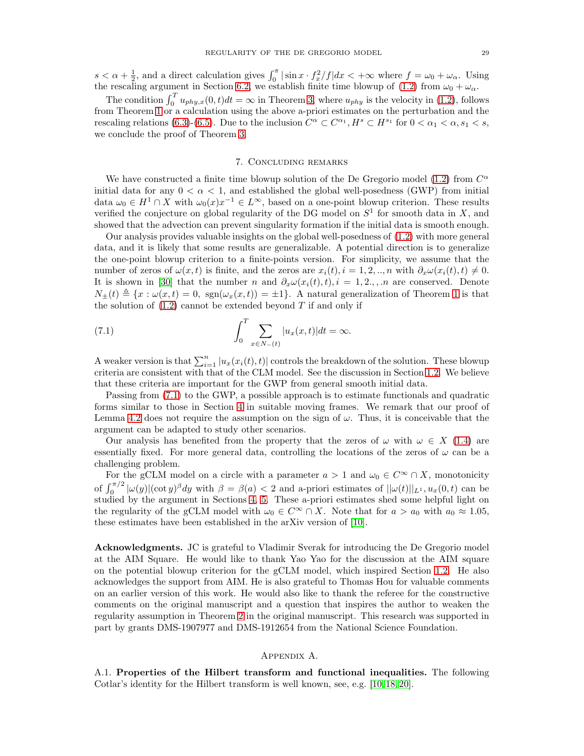$s < \alpha + \frac{1}{2}$ , and a direct calculation gives  $\int_0^{\pi} |\sin x \cdot f_x^2 / f| dx < +\infty$  where  $f = \omega_0 + \omega_\alpha$ . Using the rescaling argument in Section [6.2,](#page-21-7) we establish finite time blowup of [\(1.2\)](#page-0-1) from  $\omega_0 + \omega_\alpha$ .

The condition  $\int_0^T u_{phy,x}(0,t)dt = \infty$  in Theorem [3,](#page-2-1) where  $u_{phy}$  is the velocity in [\(1.2\)](#page-0-1), follows from Theorem [1](#page-1-2) or a calculation using the above a-priori estimates on the perturbation and the rescaling relations [\(6.3\)](#page-21-2)-[\(6.5\)](#page-22-0). Due to the inclusion  $C^{\alpha} \subset C^{\alpha_1}, H^s \subset H^{s_1}$  for  $0 < \alpha_1 < \alpha, s_1 < s$ , we conclude the proof of Theorem [3.](#page-2-1)

## 7. Concluding remarks

<span id="page-28-0"></span>We have constructed a finite time blowup solution of the De Gregorio model [\(1.2\)](#page-0-1) from  $C^{\alpha}$ initial data for any  $0 < \alpha < 1$ , and established the global well-posedness (GWP) from initial data  $\omega_0 \in H^1 \cap X$  with  $\omega_0(x)x^{-1} \in L^{\infty}$ , based on a one-point blowup criterion. These results verified the conjecture on global regularity of the DG model on  $S<sup>1</sup>$  for smooth data in X, and showed that the advection can prevent singularity formation if the initial data is smooth enough.

Our analysis provides valuable insights on the global well-posedness of [\(1.2\)](#page-0-1) with more general data, and it is likely that some results are generalizable. A potential direction is to generalize the one-point blowup criterion to a finite-points version. For simplicity, we assume that the number of zeros of  $\omega(x, t)$  is finite, and the zeros are  $x_i(t), i = 1, 2, ..., n$  with  $\partial_x \omega(x_i(t), t) \neq 0$ . It is shown in [\[30\]](#page-38-3) that the number n and  $\partial_x \omega(x_i(t), t), i = 1, 2, \ldots$  are conserved. Denote  $N_{\pm}(t) \triangleq \{x : \omega(x,t) = 0, \text{ sgn}(\omega_x(x,t)) = \pm 1\}.$  $N_{\pm}(t) \triangleq \{x : \omega(x,t) = 0, \text{ sgn}(\omega_x(x,t)) = \pm 1\}.$  $N_{\pm}(t) \triangleq \{x : \omega(x,t) = 0, \text{ sgn}(\omega_x(x,t)) = \pm 1\}.$  A natural generalization of Theorem 1 is that the solution of  $(1.2)$  cannot be extended beyond T if and only if

<span id="page-28-2"></span>(7.1) 
$$
\int_0^T \sum_{x \in N_-(t)} |u_x(x,t)| dt = \infty.
$$

A weaker version is that  $\sum_{i=1}^{n} |u_x(x_i(t), t)|$  controls the breakdown of the solution. These blowup criteria are consistent with that of the CLM model. See the discussion in Section [1.2.](#page-2-3) We believe that these criteria are important for the GWP from general smooth initial data.

Passing from [\(7.1\)](#page-28-2) to the GWP, a possible approach is to estimate functionals and quadratic forms similar to those in Section [4](#page-11-0) in suitable moving frames. We remark that our proof of Lemma [4.2](#page-11-2) does not require the assumption on the sign of  $\omega$ . Thus, it is conceivable that the argument can be adapted to study other scenarios.

Our analysis has benefited from the property that the zeros of  $\omega$  with  $\omega \in X$  [\(1.4\)](#page-1-1) are essentially fixed. For more general data, controlling the locations of the zeros of  $\omega$  can be a challenging problem.

For the gCLM model on a circle with a parameter  $a > 1$  and  $\omega_0 \in C^{\infty} \cap X$ , monotonicity of  $\int_0^{\pi/2} |\omega(y)| (\cot y)^{\beta} dy$  with  $\beta = \beta(a) < 2$  and a-priori estimates of  $||\omega(t)||_{L^1}$ ,  $u_x(0, t)$  can be studied by the argument in Sections [4,](#page-11-0) [5.](#page-16-0) These a-priori estimates shed some helpful light on the regularity of the gCLM model with  $\omega_0 \in C^\infty \cap X$ . Note that for  $a > a_0$  with  $a_0 \approx 1.05$ , these estimates have been established in the arXiv version of [\[10\]](#page-38-8).

Acknowledgments. JC is grateful to Vladimir Sverak for introducing the De Gregorio model at the AIM Square. He would like to thank Yao Yao for the discussion at the AIM square on the potential blowup criterion for the gCLM model, which inspired Section [1.2.](#page-2-3) He also acknowledges the support from AIM. He is also grateful to Thomas Hou for valuable comments on an earlier version of this work. He would also like to thank the referee for the constructive comments on the original manuscript and a question that inspires the author to weaken the regularity assumption in Theorem [2](#page-2-0) in the original manuscript. This research was supported in part by grants DMS-1907977 and DMS-1912654 from the National Science Foundation.

## Appendix A.

<span id="page-28-1"></span>A.1. Properties of the Hilbert transform and functional inequalities. The following Cotlar's identity for the Hilbert transform is well known, see, e.g. [\[10,](#page-38-8) [18,](#page-38-28) [20\]](#page-38-4).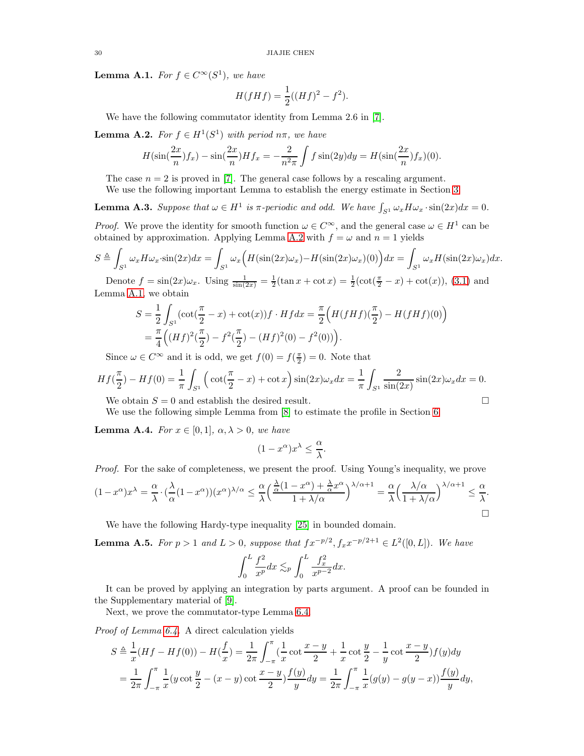<span id="page-29-1"></span>**Lemma A.1.** For  $f \in C^{\infty}(S^1)$ , we have

$$
H(fHf) = \frac{1}{2}((Hf)^{2} - f^{2}).
$$

We have the following commutator identity from Lemma 2.6 in [\[7\]](#page-38-10).

<span id="page-29-3"></span>**Lemma A.2.** For  $f \in H^1(S^1)$  with period  $n\pi$ , we have

$$
H(\sin(\frac{2x}{n})f_x) - \sin(\frac{2x}{n})Hf_x = -\frac{2}{n^2\pi} \int f \sin(2y) dy = H(\sin(\frac{2x}{n})f_x)(0).
$$

The case  $n = 2$  is proved in [\[7\]](#page-38-10). The general case follows by a rescaling argument.

We use the following important Lemma to establish the energy estimate in Section [3.](#page-6-0)

<span id="page-29-0"></span>**Lemma A.3.** Suppose that  $\omega \in H^1$  is  $\pi$ -periodic and odd. We have  $\int_{S^1} \omega_x H \omega_x \cdot \sin(2x) dx = 0$ .

*Proof.* We prove the identity for smooth function  $\omega \in C^{\infty}$ , and the general case  $\omega \in H^1$  can be obtained by approximation. Applying Lemma [A.2](#page-29-3) with  $f = \omega$  and  $n = 1$  yields

$$
S \triangleq \int_{S^1} \omega_x H \omega_x \cdot \sin(2x) dx = \int_{S^1} \omega_x \Big( H(\sin(2x)\omega_x) - H(\sin(2x)\omega_x)(0) \Big) dx = \int_{S^1} \omega_x H(\sin(2x)\omega_x) dx.
$$

Denote  $f = \sin(2x)\omega_x$ . Using  $\frac{1}{\sin(2x)} = \frac{1}{2}(\tan x + \cot x) = \frac{1}{2}(\cot(\frac{\pi}{2} - x) + \cot(x))$ , [\(3.1\)](#page-6-2) and Lemma [A.1,](#page-29-1) we obtain

$$
S = \frac{1}{2} \int_{S^1} (\cot(\frac{\pi}{2} - x) + \cot(x)) f \cdot H f dx = \frac{\pi}{2} \Big( H(fHf)(\frac{\pi}{2}) - H(fHf)(0) \Big)
$$
  
=  $\frac{\pi}{4} \Big( (Hf)^2(\frac{\pi}{2}) - f^2(\frac{\pi}{2}) - (Hf)^2(0) - f^2(0) \Big).$ 

Since  $\omega \in C^{\infty}$  and it is odd, we get  $f(0) = f(\frac{\pi}{2}) = 0$ . Note that

$$
Hf(\frac{\pi}{2}) - Hf(0) = \frac{1}{\pi} \int_{S^1} \left( \cot(\frac{\pi}{2} - x) + \cot x \right) \sin(2x) \omega_x dx = \frac{1}{\pi} \int_{S^1} \frac{2}{\sin(2x)} \sin(2x) \omega_x dx = 0.
$$

We obtain  $S = 0$  and establish the desired result.

We use the following simple Lemma from [\[8\]](#page-38-12) to estimate the profile in Section [6.](#page-21-1)

<span id="page-29-2"></span>**Lemma A.4.** For  $x \in [0,1]$ ,  $\alpha, \lambda > 0$ , we have

$$
(1 - x^{\alpha})x^{\lambda} \le \frac{\alpha}{\lambda}.
$$

Proof. For the sake of completeness, we present the proof. Using Young's inequality, we prove

$$
(1-x^{\alpha})x^{\lambda} = \frac{\alpha}{\lambda} \cdot (\frac{\lambda}{\alpha}(1-x^{\alpha}))(x^{\alpha})^{\lambda/\alpha} \le \frac{\alpha}{\lambda} \left(\frac{\frac{\lambda}{\alpha}(1-x^{\alpha}) + \frac{\lambda}{\alpha}x^{\alpha}}{1+\lambda/\alpha}\right)^{\lambda/\alpha+1} = \frac{\alpha}{\lambda} \left(\frac{\lambda/\alpha}{1+\lambda/\alpha}\right)^{\lambda/\alpha+1} \le \frac{\alpha}{\lambda}.
$$

We have the following Hardy-type inequality [\[25\]](#page-38-29) in bounded domain.

<span id="page-29-4"></span>**Lemma A.5.** For  $p > 1$  and  $L > 0$ , suppose that  $fx^{-p/2}, f_x x^{-p/2+1} \in L^2([0, L])$ . We have

$$
\int_0^L \frac{f^2}{x^p} dx \lesssim_p \int_0^L \frac{f_x^2}{x^{p-2}} dx.
$$

It can be proved by applying an integration by parts argument. A proof can be founded in the Supplementary material of [\[9\]](#page-38-16).

Next, we prove the commutator-type Lemma [6.4.](#page-25-4)

Proof of Lemma [6.4.](#page-25-4) A direct calculation yields

$$
S \triangleq \frac{1}{x}(Hf - Hf(0)) - H(\frac{f}{x}) = \frac{1}{2\pi} \int_{-\pi}^{\pi} (\frac{1}{x}\cot\frac{x-y}{2} + \frac{1}{x}\cot\frac{y}{2} - \frac{1}{y}\cot\frac{x-y}{2})f(y)dy
$$
  
= 
$$
\frac{1}{2\pi} \int_{-\pi}^{\pi} \frac{1}{x}(y\cot\frac{y}{2} - (x-y)\cot\frac{x-y}{2})\frac{f(y)}{y}dy = \frac{1}{2\pi} \int_{-\pi}^{\pi} \frac{1}{x}(g(y) - g(y-x))\frac{f(y)}{y}dy,
$$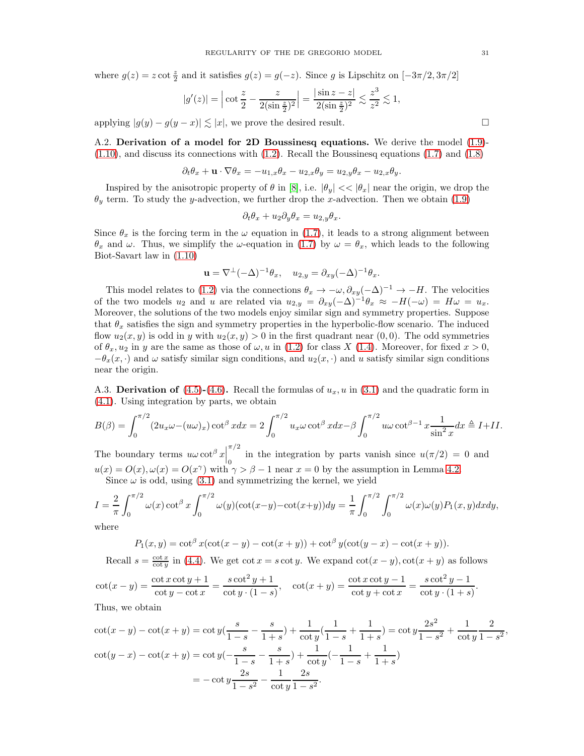where  $g(z) = z \cot \frac{z}{2}$  and it satisfies  $g(z) = g(-z)$ . Since g is Lipschitz on  $[-3\pi/2, 3\pi/2]$ 

$$
|g'(z)| = \left| \cot \frac{z}{2} - \frac{z}{2(\sin \frac{z}{2})^2} \right| = \frac{|\sin z - z|}{2(\sin \frac{z}{2})^2} \lesssim \frac{z^3}{z^2} \lesssim 1,
$$

<span id="page-30-0"></span>applying  $|g(y) - g(y - x)| \le |x|$ , we prove the desired result.

A.2. Derivation of a model for 2D Boussinesq equations. We derive the model [\(1.9\)](#page-3-2)-  $(1.10)$ , and discuss its connections with  $(1.2)$ . Recall the Boussinesq equations  $(1.7)$  and  $(1.8)$ 

$$
\partial_t \theta_x + \mathbf{u} \cdot \nabla \theta_x = -u_{1,x} \theta_x - u_{2,x} \theta_y = u_{2,y} \theta_x - u_{2,x} \theta_y.
$$

Inspired by the anisotropic property of  $\theta$  in [\[8\]](#page-38-12), i.e.  $|\theta_y| << |\theta_x|$  near the origin, we drop the  $\theta_y$  term. To study the y-advection, we further drop the x-advection. Then we obtain [\(1.9\)](#page-3-2)

$$
\partial_t \theta_x + u_2 \partial_y \theta_x = u_{2,y} \theta_x.
$$

Since  $\theta_x$  is the forcing term in the  $\omega$  equation in [\(1.7\)](#page-3-0), it leads to a strong alignment between  $\theta_x$  and  $\omega$ . Thus, we simplify the  $\omega$ -equation in [\(1.7\)](#page-3-0) by  $\omega = \theta_x$ , which leads to the following Biot-Savart law in [\(1.10\)](#page-3-1)

$$
\mathbf{u} = \nabla^{\perp}(-\Delta)^{-1}\theta_x, \quad u_{2,y} = \partial_{xy}(-\Delta)^{-1}\theta_x.
$$

This model relates to [\(1.2\)](#page-0-1) via the connections  $\theta_x \to -\omega$ ,  $\partial_{xy}(-\Delta)^{-1} \to -H$ . The velocities of the two models u<sub>2</sub> and u are related via  $u_{2,y} = \partial_{xy}(-\Delta)^{-1}\theta_x \approx -H(-\omega) = H\omega = u_x$ . Moreover, the solutions of the two models enjoy similar sign and symmetry properties. Suppose that  $\theta_x$  satisfies the sign and symmetry properties in the hyperbolic-flow scenario. The induced flow  $u_2(x, y)$  is odd in y with  $u_2(x, y) > 0$  in the first quadrant near  $(0, 0)$ . The odd symmetries of  $\theta_x, u_2$  in y are the same as those of  $\omega, u$  in [\(1.2\)](#page-0-1) for class X [\(1.4\)](#page-1-1). Moreover, for fixed  $x > 0$ ,  $-\theta_x(x, \cdot)$  and  $\omega$  satisfy similar sign conditions, and  $u_2(x, \cdot)$  and u satisfy similar sign conditions near the origin.

<span id="page-30-1"></span>A.3. Derivation of  $(4.5)-(4.6)$  $(4.5)-(4.6)$  $(4.5)-(4.6)$ . Recall the formulas of  $u_x$ , u in  $(3.1)$  and the quadratic form in [\(4.1\)](#page-11-5). Using integration by parts, we obtain

$$
B(\beta) = \int_0^{\pi/2} (2u_x \omega - (u\omega)_x) \cot^{\beta} x dx = 2 \int_0^{\pi/2} u_x \omega \cot^{\beta} x dx - \beta \int_0^{\pi/2} u \omega \cot^{\beta-1} x \frac{1}{\sin^2 x} dx \triangleq I + II.
$$

The boundary terms  $u\omega \cot^{\beta} x$  $\pi/2$ in the integration by parts vanish since  $u(\pi/2) = 0$  and  $u(x) = O(x), \omega(x) = O(x^{\gamma})$  with  $\gamma > \beta - 1$  near  $x = 0$  by the assumption in Lemma [4.2.](#page-11-2) Since  $\omega$  is odd, using [\(3.1\)](#page-6-2) and symmetrizing the kernel, we yield

$$
I = \frac{2}{\pi} \int_0^{\pi/2} \omega(x) \cot^{\beta} x \int_0^{\pi/2} \omega(y) (\cot(x-y) - \cot(x+y)) dy = \frac{1}{\pi} \int_0^{\pi/2} \int_0^{\pi/2} \omega(x) \omega(y) P_1(x, y) dx dy,
$$

where

$$
P_1(x,y) = \cot^{\beta} x(\cot(x-y) - \cot(x+y)) + \cot^{\beta} y(\cot(y-x) - \cot(x+y)).
$$

Recall  $s = \frac{\cot x}{\cot y}$  in [\(4.4\)](#page-12-3). We get  $\cot x = s \cot y$ . We expand  $\cot(x - y)$ ,  $\cot(x + y)$  as follows

$$
\cot(x-y) = \frac{\cot x \cot y + 1}{\cot y - \cot x} = \frac{s \cot^2 y + 1}{\cot y \cdot (1-s)}, \quad \cot(x+y) = \frac{\cot x \cot y - 1}{\cot y + \cot x} = \frac{s \cot^2 y - 1}{\cot y \cdot (1+s)}.
$$

Thus, we obtain

$$
\cot(x - y) - \cot(x + y) = \cot y \left(\frac{s}{1 - s} - \frac{s}{1 + s}\right) + \frac{1}{\cot y} \left(\frac{1}{1 - s} + \frac{1}{1 + s}\right) = \cot y \frac{2s^2}{1 - s^2} + \frac{1}{\cot y} \frac{2}{1 - s^2},
$$
  

$$
\cot(y - x) - \cot(x + y) = \cot y \left(-\frac{s}{1 - s} - \frac{s}{1 + s}\right) + \frac{1}{\cot y} \left(-\frac{1}{1 - s} + \frac{1}{1 + s}\right)
$$

$$
= -\cot y \frac{2s}{1 - s^2} - \frac{1}{\cot y} \frac{2s}{1 - s^2}.
$$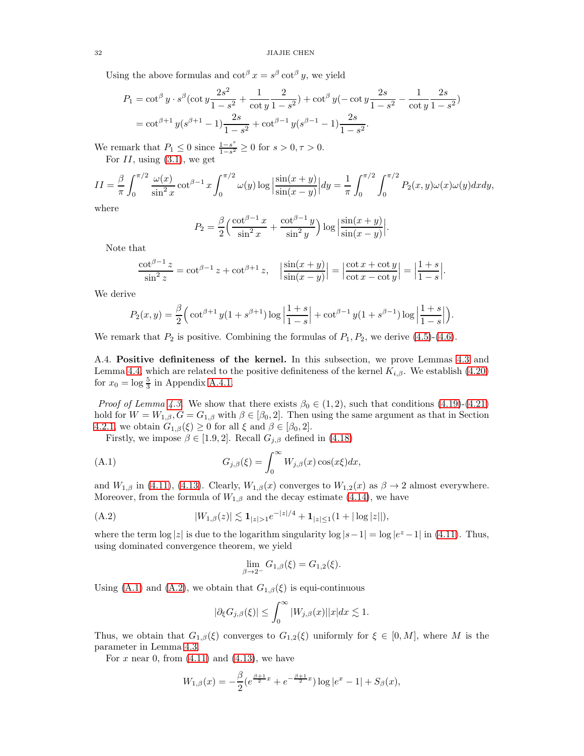Using the above formulas and  $\cot^{\beta} x = s^{\beta} \cot^{\beta} y$ , we yield

$$
P_1 = \cot^{\beta} y \cdot s^{\beta} (\cot y \frac{2s^2}{1 - s^2} + \frac{1}{\cot y} \frac{2}{1 - s^2}) + \cot^{\beta} y (-\cot y \frac{2s}{1 - s^2} - \frac{1}{\cot y} \frac{2s}{1 - s^2})
$$
  
=  $\cot^{\beta+1} y (s^{\beta+1} - 1) \frac{2s}{1 - s^2} + \cot^{\beta-1} y (s^{\beta-1} - 1) \frac{2s}{1 - s^2}.$ 

We remark that  $P_1 \leq 0$  since  $\frac{1-s^{\tau}}{1-s^2}$  $\frac{1-s^2}{1-s^2} \ge 0$  for  $s > 0, \tau > 0$ . For  $II$ , using  $(3.1)$ , we get

$$
II = \frac{\beta}{\pi} \int_0^{\pi/2} \frac{\omega(x)}{\sin^2 x} \cot^{\beta-1} x \int_0^{\pi/2} \omega(y) \log \left| \frac{\sin(x+y)}{\sin(x-y)} \right| dy = \frac{1}{\pi} \int_0^{\pi/2} \int_0^{\pi/2} P_2(x,y) \omega(x) \omega(y) dx dy,
$$

where

$$
P_2 = \frac{\beta}{2} \left( \frac{\cot^{\beta - 1} x}{\sin^2 x} + \frac{\cot^{\beta - 1} y}{\sin^2 y} \right) \log \left| \frac{\sin(x + y)}{\sin(x - y)} \right|.
$$

Note that

$$
\frac{\cot^{\beta-1}z}{\sin^2 z} = \cot^{\beta-1}z + \cot^{\beta+1}z, \quad \left|\frac{\sin(x+y)}{\sin(x-y)}\right| = \left|\frac{\cot x + \cot y}{\cot x - \cot y}\right| = \left|\frac{1+s}{1-s}\right|.
$$

We derive

$$
P_2(x,y) = \frac{\beta}{2} \Big( \cot^{\beta+1} y (1+s^{\beta+1}) \log \left| \frac{1+s}{1-s} \right| + \cot^{\beta-1} y (1+s^{\beta-1}) \log \left| \frac{1+s}{1-s} \right| \Big).
$$

We remark that  $P_2$  is positive. Combining the formulas of  $P_1, P_2$ , we derive [\(4.5\)](#page-12-0)-[\(4.6\)](#page-12-2).

<span id="page-31-0"></span>A.4. Positive definiteness of the kernel. In this subsection, we prove Lemmas [4.3](#page-14-6) and Lemma [4.4,](#page-16-2) which are related to the positive definiteness of the kernel  $K_{i,\beta}$ . We establish [\(4.20\)](#page-14-4) for  $x_0 = \log \frac{5}{3}$  in Appendix [A.4.1.](#page-32-1)

*Proof of Lemma [4.3.](#page-14-6)* We show that there exists  $\beta_0 \in (1, 2)$ , such that conditions  $(4.19)-(4.21)$  $(4.19)-(4.21)$ hold for  $W = W_{1,\beta}$ ,  $G = G_{1,\beta}$  with  $\beta \in [\beta_0, 2]$ . Then using the same argument as that in Section [4.2.1,](#page-14-8) we obtain  $G_{1,\beta}(\xi) \geq 0$  for all  $\xi$  and  $\beta \in [\beta_0, 2]$ .

Firstly, we impose  $\beta \in [1.9, 2]$ . Recall  $G_{j,\beta}$  defined in [\(4.18\)](#page-14-5)

(A.1) 
$$
G_{j,\beta}(\xi) = \int_0^\infty W_{j,\beta}(x) \cos(x\xi) dx,
$$

and  $W_{1,\beta}$  in [\(4.11\)](#page-13-0), [\(4.13\)](#page-13-1). Clearly,  $W_{1,\beta}(x)$  converges to  $W_{1,2}(x)$  as  $\beta \to 2$  almost everywhere. Moreover, from the formula of  $W_{1,\beta}$  and the decay estimate [\(4.14\)](#page-13-2), we have

(A.2) 
$$
|W_{1,\beta}(z)| \lesssim \mathbf{1}_{|z|>1}e^{-|z|/4} + \mathbf{1}_{|z|\leq 1}(1+|\log|z||),
$$

where the term  $\log |z|$  is due to the logarithm singularity  $\log |s-1| = \log |e^z - 1|$  in [\(4.11\)](#page-13-0). Thus, using dominated convergence theorem, we yield

<span id="page-31-2"></span><span id="page-31-1"></span>
$$
\lim_{\beta \to 2^{-}} G_{1,\beta}(\xi) = G_{1,2}(\xi).
$$

Using [\(A.1\)](#page-31-1) and [\(A.2\)](#page-31-2), we obtain that  $G_{1,\beta}(\xi)$  is equi-continuous

$$
|\partial_{\xi}G_{j,\beta}(\xi)| \leq \int_0^{\infty} |W_{j,\beta}(x)| |x| dx \lesssim 1.
$$

Thus, we obtain that  $G_{1,\beta}(\xi)$  converges to  $G_{1,2}(\xi)$  uniformly for  $\xi \in [0,M]$ , where M is the parameter in Lemma [4.3.](#page-14-6)

For x near 0, from  $(4.11)$  and  $(4.13)$ , we have

$$
W_{1,\beta}(x) = -\frac{\beta}{2} (e^{\frac{\beta+1}{2}x} + e^{-\frac{\beta+1}{2}x}) \log |e^x - 1| + S_{\beta}(x),
$$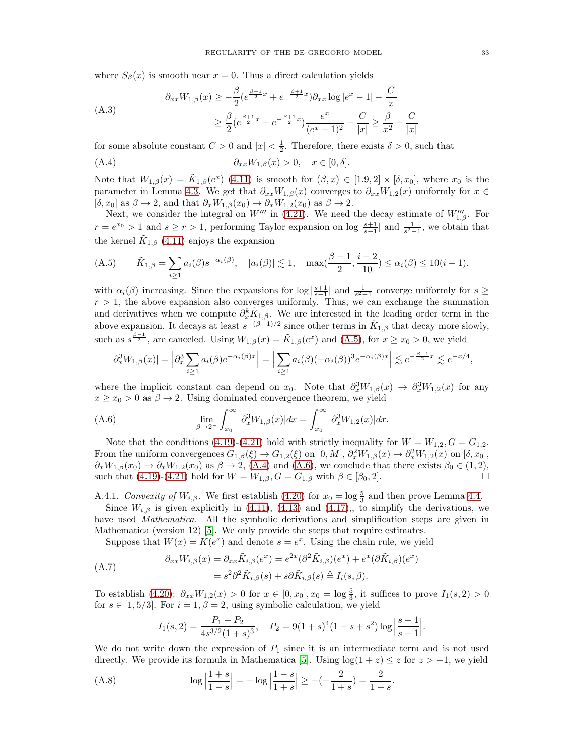where  $S_\beta(x)$  is smooth near  $x = 0$ . Thus a direct calculation yields

<span id="page-32-0"></span>
$$
\begin{aligned} \partial_{xx} W_{1,\beta}(x) &\geq -\frac{\beta}{2} (e^{\frac{\beta+1}{2}x} + e^{-\frac{\beta+1}{2}x}) \partial_{xx} \log |e^x - 1| - \frac{C}{|x|} \\ &\geq \frac{\beta}{2} (e^{\frac{\beta+1}{2}x} + e^{-\frac{\beta+1}{2}x}) \frac{e^x}{(e^x - 1)^2} - \frac{C}{|x|} \geq \frac{\beta}{x^2} - \frac{C}{|x|} \end{aligned}
$$

for some absolute constant  $C > 0$  and  $|x| < \frac{1}{2}$ . Therefore, there exists  $\delta > 0$ , such that

<span id="page-32-3"></span>(A.4) 
$$
\partial_{xx}W_{1,\beta}(x) > 0, \quad x \in [0,\delta].
$$

Note that  $W_{1,\beta}(x) = \tilde{K}_{1,\beta}(e^x)$  [\(4.11\)](#page-13-0) is smooth for  $(\beta, x) \in [1.9, 2] \times [\delta, x_0]$ , where  $x_0$  is the parameter in Lemma [4.3.](#page-14-6) We get that  $\partial_{xx}W_{1,\beta}(x)$  converges to  $\partial_{xx}W_{1,2}(x)$  uniformly for  $x \in$  $[\delta, x_0]$  as  $\beta \to 2$ , and that  $\partial_x W_{1,\beta}(x_0) \to \partial_x W_{1,2}(x_0)$  as  $\beta \to 2$ .

Next, we consider the integral on  $W'''$  in [\(4.21\)](#page-14-3). We need the decay estimate of  $W''_{1,\beta}$ . For  $r = e^{x_0} > 1$  and  $s \ge r > 1$ , performing Taylor expansion on  $\log |\frac{s+1}{s-1}|$  and  $\frac{1}{s^2-1}$ , we obtain that the kernel  $\tilde{K}_{1,\beta}$  [\(4.11\)](#page-13-0) enjoys the expansion

<span id="page-32-2"></span>(A.5) 
$$
\tilde{K}_{1,\beta} = \sum_{i \ge 1} a_i(\beta) s^{-\alpha_i(\beta)}, \quad |a_i(\beta)| \lesssim 1, \quad \max(\frac{\beta-1}{2}, \frac{i-2}{10}) \le \alpha_i(\beta) \le 10(i+1).
$$

with  $\alpha_i(\beta)$  increasing. Since the expansions for  $\log |\frac{s+1}{s-1}|$  and  $\frac{1}{s^2-1}$  converge uniformly for  $s \geq$  $r > 1$ , the above expansion also converges uniformly. Thus, we can exchange the summation and derivatives when we compute  $\partial_x^k \tilde{K}_{1,\beta}$ . We are interested in the leading order term in the above expansion. It decays at least  $s^{-(\beta-1)/2}$  since other terms in  $\tilde{K}_{1,\beta}$  that decay more slowly, such as  $s^{\frac{\beta-1}{2}}$ , are canceled. Using  $W_{1,\beta}(x) = \tilde{K}_{1,\beta}(e^x)$  and  $(A.5)$ , for  $x \ge x_0 > 0$ , we yield

$$
|\partial_x^3 W_{1,\beta}(x)| = \left|\partial_x^3 \sum_{i\geq 1} a_i(\beta) e^{-\alpha_i(\beta)x}\right| = \left|\sum_{i\geq 1} a_i(\beta) (-\alpha_i(\beta))^3 e^{-\alpha_i(\beta)x}\right| \lesssim e^{-\frac{\beta-1}{2}x} \lesssim e^{-x/4},
$$

where the implicit constant can depend on  $x_0$ . Note that  $\partial_x^3 W_{1,\beta}(x) \to \partial_x^3 W_{1,2}(x)$  for any  $x \geq x_0 > 0$  as  $\beta \to 2$ . Using dominated convergence theorem, we yield

<span id="page-32-4"></span>(A.6) 
$$
\lim_{\beta \to 2^{-}} \int_{x_0}^{\infty} |\partial_x^3 W_{1,\beta}(x)| dx = \int_{x_0}^{\infty} |\partial_x^3 W_{1,2}(x)| dx.
$$

Note that the conditions [\(4.19\)](#page-14-2)-[\(4.21\)](#page-14-3) hold with strictly inequality for  $W = W_{1,2}$ ,  $G = G_{1,2}$ . From the uniform convergences  $G_{1,\beta}(\xi) \to G_{1,2}(\xi)$  on  $[0,M]$ ,  $\partial_x^2 W_{1,\beta}(x) \to \partial_x^2 W_{1,2}(x)$  on  $[\delta, x_0]$ ,  $\partial_x W_{1,\beta}(x_0) \to \partial_x W_{1,2}(x_0)$  as  $\beta \to 2$ , [\(A.4\)](#page-32-3) and [\(A.6\)](#page-32-4), we conclude that there exists  $\beta_0 \in (1,2)$ , such that [\(4.19\)](#page-14-2)-[\(4.21\)](#page-14-3) hold for  $W = W_{1,\beta}, G = G_{1,\beta}$  with  $\beta \in [\beta_0, 2]$ .

<span id="page-32-1"></span>A.4.1. Convexity of  $W_{i,\beta}$ . We first establish [\(4.20\)](#page-14-4) for  $x_0 = \log \frac{5}{3}$  and then prove Lemma [4.4.](#page-16-2) Since  $W_{i,\beta}$  is given explicitly in [\(4.11\)](#page-13-0), [\(4.13\)](#page-13-1) and [\(4.17\)](#page-14-7),, to simplify the derivations, we

have used *Mathematica*. All the symbolic derivations and simplification steps are given in Mathematica (version 12) [\[5\]](#page-38-30). We only provide the steps that require estimates.

Suppose that  $W(x) = K(e^x)$  and denote  $s = e^x$ . Using the chain rule, we yield

(A.7) 
$$
\partial_{xx} W_{i,\beta}(x) = \partial_{xx} \tilde{K}_{i,\beta}(e^x) = e^{2x} (\partial^2 \tilde{K}_{i,\beta})(e^x) + e^x (\partial \tilde{K}_{i,\beta})(e^x) = s^2 \partial^2 \tilde{K}_{i,\beta}(s) + s \partial \tilde{K}_{i,\beta}(s) \triangleq I_i(s,\beta).
$$

To establish  $(4.20)$ :  $\partial_{xx}W_{1,2}(x) > 0$  for  $x \in [0, x_0], x_0 = \log \frac{5}{3}$ , it suffices to prove  $I_1(s, 2) > 0$ for  $s \in [1, 5/3]$ . For  $i = 1, \beta = 2$ , using symbolic calculation, we yield

<span id="page-32-6"></span><span id="page-32-5"></span>
$$
I_1(s, 2) = \frac{P_1 + P_2}{4s^{3/2}(1+s)^3}
$$
,  $P_2 = 9(1+s)^4(1-s+s^2)\log\left|\frac{s+1}{s-1}\right|$ .

We do not write down the expression of  $P_1$  since it is an intermediate term and is not used directly. We provide its formula in Mathematica [\[5\]](#page-38-30). Using  $log(1 + z) \leq z$  for  $z > -1$ , we yield

(A.8) 
$$
\log \left| \frac{1+s}{1-s} \right| = -\log \left| \frac{1-s}{1+s} \right| \ge -(-\frac{2}{1+s}) = \frac{2}{1+s}.
$$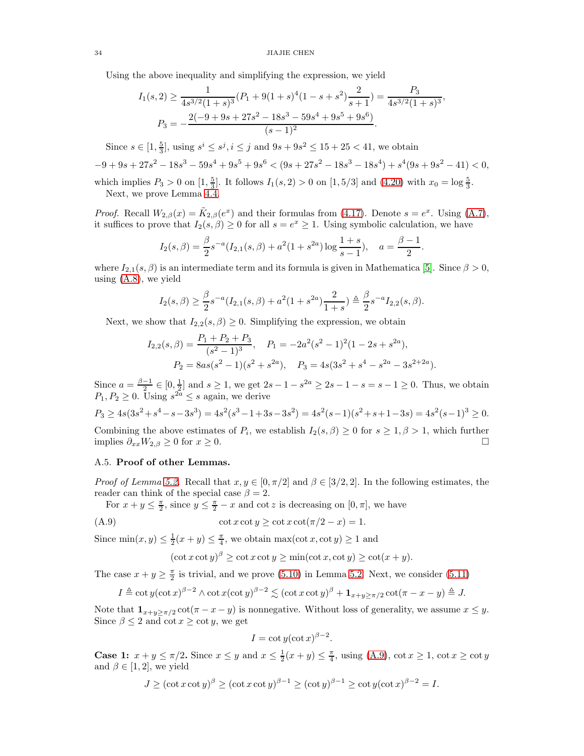34 JIAJIE CHEN

Using the above inequality and simplifying the expression, we yield

$$
I_1(s,2) \ge \frac{1}{4s^{3/2}(1+s)^3}(P_1 + 9(1+s)^4(1-s+s^2)\frac{2}{s+1}) = \frac{P_3}{4s^{3/2}(1+s)^3},
$$
  

$$
P_3 = -\frac{2(-9+9s+27s^2-18s^3-59s^4+9s^5+9s^6)}{(s-1)^2}.
$$

Since  $s \in [1, \frac{5}{3}]$ , using  $s^i \leq s^j$ ,  $i \leq j$  and  $9s + 9s^2 \leq 15 + 25 < 41$ , we obtain  $-9 + 9s + 27s^2 - 18s^3 - 59s^4 + 9s^5 + 9s^6 < (9s + 27s^2 - 18s^3 - 18s^4) + s^4(9s + 9s^2 - 41) < 0,$ which implies  $P_3 > 0$  on  $[1, \frac{5}{3}]$ . It follows  $I_1(s, 2) > 0$  on  $[1, 5/3]$  and  $(4.20)$  with  $x_0 = \log \frac{5}{3}$ .

Next, we prove Lemma [4.4.](#page-16-2)

*Proof.* Recall  $W_{2,\beta}(x) = \tilde{K}_{2,\beta}(e^x)$  and their formulas from [\(4.17\)](#page-14-7). Denote  $s = e^x$ . Using [\(A.7\)](#page-32-5), it suffices to prove that  $I_2(s, \beta) \ge 0$  for all  $s = e^x \ge 1$ . Using symbolic calculation, we have

$$
I_2(s,\beta) = \frac{\beta}{2}s^{-a}(I_{2,1}(s,\beta) + a^2(1+s^{2a})\log\frac{1+s}{s-1}), \quad a = \frac{\beta-1}{2}.
$$

where  $I_{2,1}(s,\beta)$  is an intermediate term and its formula is given in Mathematica [\[5\]](#page-38-30). Since  $\beta > 0$ , using [\(A.8\)](#page-32-6), we yield

$$
I_2(s,\beta) \ge \frac{\beta}{2} s^{-a} (I_{2,1}(s,\beta) + a^2 (1+s^{2a}) \frac{2}{1+s}) \triangleq \frac{\beta}{2} s^{-a} I_{2,2}(s,\beta).
$$

Next, we show that  $I_{2,2}(s,\beta) \geq 0$ . Simplifying the expression, we obtain

$$
I_{2,2}(s,\beta) = \frac{P_1 + P_2 + P_3}{(s^2 - 1)^3}, \quad P_1 = -2a^2(s^2 - 1)^2(1 - 2s + s^{2a}),
$$
  

$$
P_2 = 8as(s^2 - 1)(s^2 + s^{2a}), \quad P_3 = 4s(3s^2 + s^4 - s^{2a} - 3s^{2+2a}).
$$

Since  $a = \frac{\beta - 1}{2} \in [0, \frac{1}{2}]$  and  $s \ge 1$ , we get  $2s - 1 - s^2$   $\ge 2s - 1 - s = s - 1 \ge 0$ . Thus, we obtain  $P_1, P_2 \geq 0$ . Using  $s^{2a} \leq s$  again, we derive

$$
P_3 \ge 4s(3s^2 + s^4 - s - 3s^3) = 4s^2(s^3 - 1 + 3s - 3s^2) = 4s^2(s - 1)(s^2 + s + 1 - 3s) = 4s^2(s - 1)^3 \ge 0.
$$

Combining the above estimates of  $P_i$ , we establish  $I_2(s, \beta) \geq 0$  for  $s \geq 1, \beta > 1$ , which further implies  $\partial_{xx}W_{2,\beta}\geq 0$  for  $x\geq 0$ .

## <span id="page-33-0"></span>A.5. Proof of other Lemmas.

*Proof of Lemma [5.2.](#page-18-8)* Recall that  $x, y \in [0, \pi/2]$  and  $\beta \in [3/2, 2]$ . In the following estimates, the reader can think of the special case  $\beta = 2$ .

For  $x + y \leq \frac{\pi}{2}$ , since  $y \leq \frac{\pi}{2} - x$  and cot z is decreasing on  $[0, \pi]$ , we have

$$
(A.9) \t\cot x \cot y \ge \cot x \cot(\pi/2 - x) = 1.
$$

Since  $\min(x, y) \leq \frac{1}{2}(x + y) \leq \frac{\pi}{4}$ , we obtain  $\max(\cot x, \cot y) \geq 1$  and

<span id="page-33-1"></span>
$$
(\cot x \cot y)^{\beta} \ge \cot x \cot y \ge \min(\cot x, \cot y) \ge \cot(x+y).
$$

The case  $x + y \geq \frac{\pi}{2}$  is trivial, and we prove [\(5.10\)](#page-18-4) in Lemma [5.2.](#page-18-8) Next, we consider [\(5.11\)](#page-18-6)

$$
I \triangleq \cot y (\cot x)^{\beta - 2} \wedge \cot x (\cot y)^{\beta - 2} \lesssim (\cot x \cot y)^{\beta} + \mathbf{1}_{x+y \ge \pi/2} \cot(\pi - x - y) \triangleq J.
$$

Note that  $\mathbf{1}_{x+y\geq \pi/2} \cot(\pi - x - y)$  is nonnegative. Without loss of generality, we assume  $x \leq y$ . Since  $\beta \leq 2$  and cot  $x \geq \cot y$ , we get

$$
I = \cot y (\cot x)^{\beta - 2}.
$$

**Case 1:**  $x + y \leq \pi/2$ . Since  $x \leq y$  and  $x \leq \frac{1}{2}(x + y) \leq \frac{\pi}{4}$ , using [\(A.9\)](#page-33-1),  $\cot x \geq 1$ ,  $\cot x \geq \cot y$ and  $\beta \in [1, 2]$ , we yield

$$
J \ge (\cot x \cot y)^{\beta} \ge (\cot x \cot y)^{\beta - 1} \ge (\cot y)^{\beta - 1} \ge \cot y (\cot x)^{\beta - 2} = I.
$$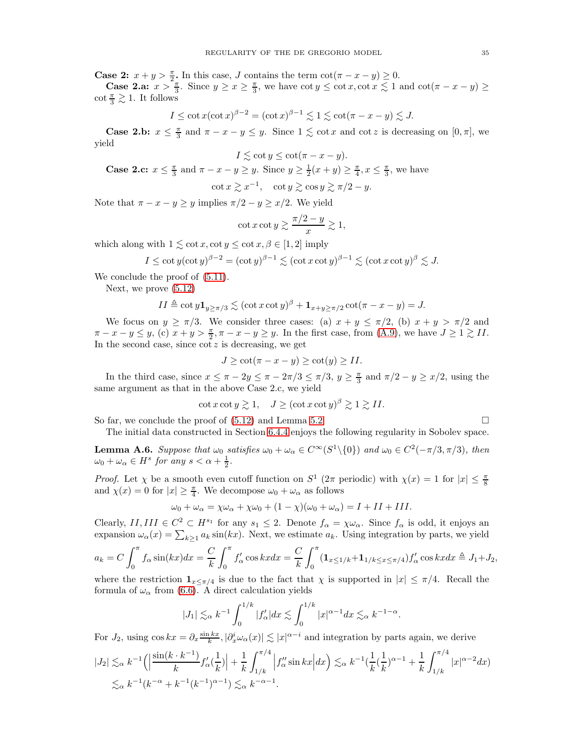**Case 2:**  $x + y > \frac{\pi}{2}$ . In this case, J contains the term  $\cot(\pi - x - y) \ge 0$ .

**Case 2.a:**  $x > \frac{\pi}{3}$ . Since  $y \ge x \ge \frac{\pi}{3}$ , we have  $\cot y \le \cot x, \cot x \le 1$  and  $\cot(\pi - x - y) \ge$  $\cot \frac{\pi}{3} \gtrsim 1$ . It follows

$$
I \le \cot x (\cot x)^{\beta - 2} = (\cot x)^{\beta - 1} \lesssim 1 \lesssim \cot(\pi - x - y) \lesssim J.
$$

**Case 2.b:**  $x \leq \frac{\pi}{3}$  and  $\pi - x - y \leq y$ . Since  $1 \leq \cot x$  and  $\cot z$  is decreasing on  $[0, \pi]$ , we yield

$$
I \lesssim \cot y \le \cot(\pi - x - y).
$$

**Case 2.c:**  $x \leq \frac{\pi}{3}$  and  $\pi - x - y \geq y$ . Since  $y \geq \frac{1}{2}(x + y) \geq \frac{\pi}{4}$ ,  $x \leq \frac{\pi}{3}$ , we have

$$
\cot x \gtrsim x^{-1}, \quad \cot y \gtrsim \cos y \gtrsim \pi/2 - y.
$$

Note that  $\pi - x - y \geq y$  implies  $\pi/2 - y \geq x/2$ . We yield

$$
\cot x \cot y \gtrsim \frac{\pi/2 - y}{x} \gtrsim 1,
$$

which along with  $1 \leq \cot x, \cot y \leq \cot x, \beta \in [1, 2]$  imply

$$
I \le \cot y (\cot y)^{\beta - 2} = (\cot y)^{\beta - 1} \lesssim (\cot x \cot y)^{\beta - 1} \lesssim (\cot x \cot y)^{\beta} \lesssim J.
$$

We conclude the proof of  $(5.11)$ .

Next, we prove [\(5.12\)](#page-18-7)

$$
II \triangleq \cot y \mathbf{1}_{y \geq \pi/3} \lesssim (\cot x \cot y)^{\beta} + \mathbf{1}_{x+y \geq \pi/2} \cot(\pi - x - y) = J.
$$

We focus on  $y \geq \pi/3$ . We consider three cases: (a)  $x + y \leq \pi/2$ , (b)  $x + y > \pi/2$  and  $\pi - x - y \leq y$ , (c)  $x + y > \frac{\pi}{2}, \pi - x - y \geq y$ . In the first case, from [\(A.9\)](#page-33-1), we have  $J \geq 1 \gtrsim II$ . In the second case, since  $\cot z$  is decreasing, we get

$$
J \ge \cot(\pi - x - y) \ge \cot(y) \ge II.
$$

In the third case, since  $x \leq \pi - 2y \leq \pi - 2\pi/3 \leq \pi/3$ ,  $y \geq \frac{\pi}{3}$  and  $\pi/2 - y \geq x/2$ , using the same argument as that in the above Case 2.c, we yield

$$
\cot x \cot y \gtrsim 1, \quad J \ge (\cot x \cot y)^{\beta} \gtrsim 1 \gtrsim II.
$$

So far, we conclude the proof of  $(5.12)$  and Lemma [5.2.](#page-18-8)

The initial data constructed in Section [6.4.4](#page-27-3) enjoys the following regularity in Sobolev space.

<span id="page-34-0"></span>**Lemma A.6.** Suppose that  $\omega_0$  satisfies  $\omega_0 + \omega_\alpha \in C^\infty(S^1 \setminus \{0\})$  and  $\omega_0 \in C^2(-\pi/3, \pi/3)$ , then  $\omega_0 + \omega_\alpha \in H^s$  for any  $s < \alpha + \frac{1}{2}$ .

*Proof.* Let  $\chi$  be a smooth even cutoff function on  $S^1$  ( $2\pi$  periodic) with  $\chi(x) = 1$  for  $|x| \leq \frac{\pi}{8}$ and  $\chi(x) = 0$  for  $|x| \ge \frac{\pi}{4}$ . We decompose  $\omega_0 + \omega_\alpha$  as follows

$$
\omega_0 + \omega_\alpha = \chi \omega_\alpha + \chi \omega_0 + (1 - \chi)(\omega_0 + \omega_\alpha) = I + II + III.
$$

Clearly,  $II, III \in C^2 \subset H^{s_1}$  for any  $s_1 \leq 2$ . Denote  $f_\alpha = \chi \omega_\alpha$ . Since  $f_\alpha$  is odd, it enjoys an expansion  $\omega_{\alpha}(x) = \sum_{k \geq 1} a_k \sin(kx)$ . Next, we estimate  $a_k$ . Using integration by parts, we yield

$$
a_k = C \int_0^\pi f_\alpha \sin(kx) dx = \frac{C}{k} \int_0^\pi f'_\alpha \cos kx dx = \frac{C}{k} \int_0^\pi (\mathbf{1}_{x \le 1/k} + \mathbf{1}_{1/k \le x \le \pi/4}) f'_\alpha \cos kx dx \triangleq J_1 + J_2,
$$

where the restriction  $\mathbf{1}_{x \leq \pi/4}$  is due to the fact that  $\chi$  is supported in  $|x| \leq \pi/4$ . Recall the formula of  $\omega_{\alpha}$  from [\(6.6\)](#page-22-1). A direct calculation yields

$$
|J_1| \lesssim_{\alpha} k^{-1} \int_0^{1/k} |f_{\alpha}'| dx \lesssim \int_0^{1/k} |x|^{\alpha - 1} dx \lesssim_{\alpha} k^{-1 - \alpha}.
$$

For  $J_2$ , using  $\cos kx = \partial_x \frac{\sin kx}{k}$ ,  $|\partial_x^i \omega_\alpha(x)| \lesssim |x|^{\alpha - i}$  and integration by parts again, we derive

$$
|J_2| \lesssim_{\alpha} k^{-1} \left( \left| \frac{\sin(k \cdot k^{-1})}{k} f_{\alpha}'(\frac{1}{k}) \right| + \frac{1}{k} \int_{1/k}^{\pi/4} \left| f_{\alpha}'' \sin kx \right| dx \right) \lesssim_{\alpha} k^{-1} \left( \frac{1}{k} (\frac{1}{k})^{\alpha - 1} + \frac{1}{k} \int_{1/k}^{\pi/4} |x|^{\alpha - 2} dx \right)
$$
  

$$
\lesssim_{\alpha} k^{-1} (k^{-\alpha} + k^{-1} (k^{-1})^{\alpha - 1}) \lesssim_{\alpha} k^{-\alpha - 1}.
$$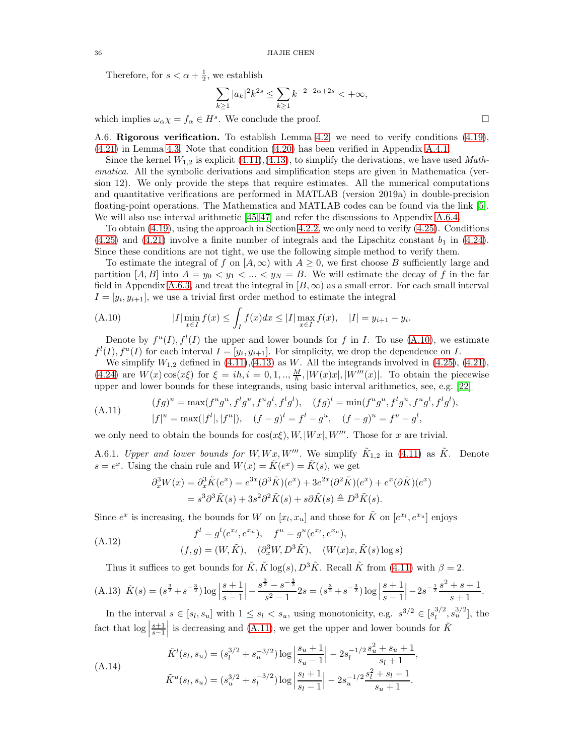Therefore, for  $s < \alpha + \frac{1}{2}$ , we establish

$$
\sum_{k\geq 1} |a_k|^2 k^{2s} \leq \sum_{k\geq 1} k^{-2-2\alpha+2s} < +\infty,
$$

<span id="page-35-0"></span>which implies  $\omega_{\alpha} \chi = f_{\alpha} \in H^s$ . We conclude the proof.

A.6. Rigorous verification. To establish Lemma [4.2,](#page-11-2) we need to verify conditions [\(4.19\)](#page-14-2), [\(4.21\)](#page-14-3) in Lemma [4.3.](#page-14-6) Note that condition [\(4.20\)](#page-14-4) has been verified in Appendix [A.4.1.](#page-32-1)

Since the kernel  $W_{1,2}$  is explicit [\(4.11\)](#page-13-0),[\(4.13\)](#page-13-1), to simplify the derivations, we have used Mathematica. All the symbolic derivations and simplification steps are given in Mathematica (version 12). We only provide the steps that require estimates. All the numerical computations and quantitative verifications are performed in MATLAB (version 2019a) in double-precision floating-point operations. The Mathematica and MATLAB codes can be found via the link [\[5\]](#page-38-30). We will also use interval arithmetic [\[45,](#page-39-15) [47\]](#page-39-16) and refer the discussions to Appendix [A.6.4.](#page-37-0)

To obtain [\(4.19\)](#page-14-2), using the approach in Section [4.2.2,](#page-15-3) we only need to verify [\(4.25\)](#page-15-1). Conditions  $(4.25)$  and  $(4.21)$  involve a finite number of integrals and the Lipschitz constant  $b<sub>1</sub>$  in  $(4.24)$ . Since these conditions are not tight, we use the following simple method to verify them.

To estimate the integral of f on  $[A,\infty)$  with  $A \geq 0$ , we first choose B sufficiently large and partition [A, B] into  $A = y_0 < y_1 < ... < y_N = B$ . We will estimate the decay of f in the far field in Appendix [A.6.3,](#page-37-1) and treat the integral in  $[B,\infty)$  as a small error. For each small interval  $I=[y_i, y_{i+1}],$  we use a trivial first order method to estimate the integral

<span id="page-35-1"></span>(A.10) 
$$
|I| \min_{x \in I} f(x) \le \int_I f(x) dx \le |I| \max_{x \in I} f(x), \quad |I| = y_{i+1} - y_i.
$$

Denote by  $f^u(I), f^l(I)$  the upper and lower bounds for f in I. To use [\(A.10\)](#page-35-1), we estimate  $f^l(I), f^u(I)$  for each interval  $I = [y_i, y_{i+1}]$ . For simplicity, we drop the dependence on I.

We simplify  $W_{1,2}$  defined in  $(4.11),(4.13)$  $(4.11),(4.13)$  as W. All the integrands involved in  $(4.25),(4.21)$ , [\(4.24\)](#page-15-4) are  $W(x) \cos(x\xi)$  for  $\xi = ih, i = 0, 1, ..., \frac{M}{h}, |W(x)x|, |W'''(x)|$ . To obtain the piecewise upper and lower bounds for these integrands, using basic interval arithmetics, see, e.g. [\[22\]](#page-38-31)

<span id="page-35-2"></span>
$$
(A.11) \qquad \begin{aligned} (fg)^u &= \max(f^u g^u, f^l g^u, f^u g^l, f^l g^l), & (fg)^l &= \min(f^u g^u, f^l g^u, f^u g^l, f^l g^l), \\ |f|^u &= \max(|f^l|, |f^u|), & (f - g)^l &= f^l - g^u, & (f - g)^u &= f^u - g^l, \end{aligned}
$$

we only need to obtain the bounds for  $cos(x\xi), W, |Wx|, W'''$ . Those for x are trivial.

A.6.1. Upper and lower bounds for W,  $Wx, W'''$ . We simplify  $\tilde{K}_{1,2}$  in [\(4.11\)](#page-13-0) as  $\tilde{K}$ . Denote  $s = e^x$ . Using the chain rule and  $W(x) = \tilde{K}(e^x) = \tilde{K}(s)$ , we get

<span id="page-35-3"></span>
$$
\partial_x^3 W(x) = \partial_x^3 \tilde{K}(e^x) = e^{3x} (\partial^3 \tilde{K})(e^x) + 3e^{2x} (\partial^2 \tilde{K})(e^x) + e^x (\partial \tilde{K})(e^x)
$$
  
=  $s^3 \partial^3 \tilde{K}(s) + 3s^2 \partial^2 \tilde{K}(s) + s \partial \tilde{K}(s) \triangleq D^3 \tilde{K}(s).$ 

Since  $e^x$  is increasing, the bounds for W on  $[x_l, x_u]$  and those for  $\tilde{K}$  on  $[e^{x_l}, e^{x_u}]$  enjoys

(A.12) 
$$
f^{l} = g^{l}(e^{x_{l}}, e^{x_{u}}), \quad f^{u} = g^{u}(e^{x_{l}}, e^{x_{u}}),
$$

$$
(f, g) = (W, \tilde{K}), \quad (\partial_{x}^{3}W, D^{3}\tilde{K}), \quad (W(x)x, \tilde{K}(s) \log s)
$$

<span id="page-35-5"></span>Thus it suffices to get bounds for  $\tilde{K}$ ,  $\tilde{K}$  log(s),  $D^3\tilde{K}$ . Recall  $\tilde{K}$  from [\(4.11\)](#page-13-0) with  $\beta = 2$ .

$$
(A.13)\ \tilde{K}(s) = (s^{\frac{3}{2}} + s^{-\frac{3}{2}}) \log \left| \frac{s+1}{s-1} \right| - \frac{s^{\frac{3}{2}} - s^{-\frac{3}{2}}}{s^2 - 1} 2s = (s^{\frac{3}{2}} + s^{-\frac{3}{2}}) \log \left| \frac{s+1}{s-1} \right| - 2s^{-\frac{1}{2}} \frac{s^2 + s + 1}{s+1}.
$$

In the interval  $s \in [s_l, s_u]$  with  $1 \leq s_l < s_u$ , using monotonicity, e.g.  $s^{3/2} \in [s_l^{3/2}]$  $\frac{3}{2}$ ,  $s_u^{3/2}$ , the fact that  $\log \left| \frac{s+1}{s-1} \right|$ is decreasing and [\(A.11\)](#page-35-2), we get the upper and lower bounds for  $\tilde{K}$ 

<span id="page-35-4"></span>
$$
\tilde{K}^{l}(s_{l}, s_{u}) = (s_{l}^{3/2} + s_{u}^{-3/2}) \log \left| \frac{s_{u} + 1}{s_{u} - 1} \right| - 2s_{l}^{-1/2} \frac{s_{u}^{2} + s_{u} + 1}{s_{l} + 1},
$$
\n
$$
\tilde{K}^{u}(s_{l}, s_{u}) = (s_{u}^{3/2} + s_{l}^{-3/2}) \log \left| \frac{s_{l} + 1}{s_{l} - 1} \right| - 2s_{u}^{-1/2} \frac{s_{l}^{2} + s_{l} + 1}{s_{u} + 1}.
$$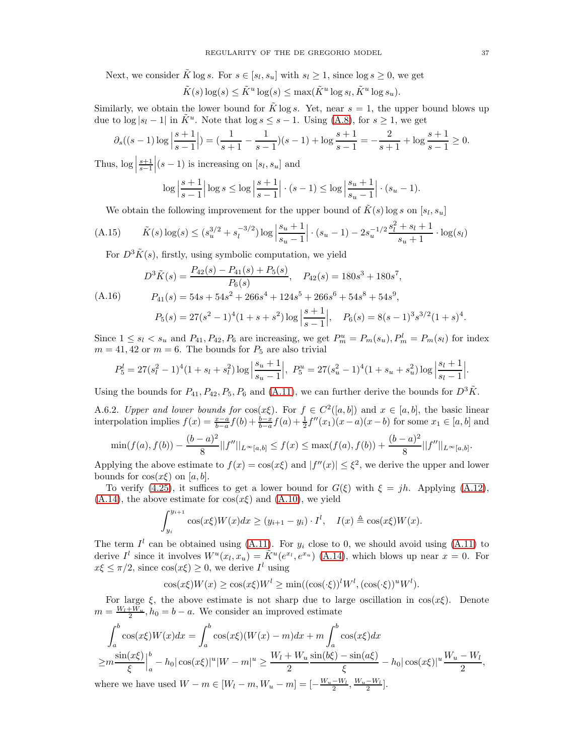Next, we consider  $\tilde{K} \log s$ . For  $s \in [s_l, s_u]$  with  $s_l \geq 1$ , since  $\log s \geq 0$ , we get

$$
\tilde{K}(s) \log(s) \le \tilde{K}^u \log(s) \le \max(\tilde{K}^u \log s_l, \tilde{K}^u \log s_u).
$$

Similarly, we obtain the lower bound for K log s. Yet, near  $s = 1$ , the upper bound blows up due to  $\log |s_l - 1|$  in  $\tilde{K}^u$ . Note that  $\log s \leq s - 1$ . Using [\(A.8\)](#page-32-6), for  $s \geq 1$ , we get

$$
\partial_s((s-1)\log\left|\frac{s+1}{s-1}\right|) = \left(\frac{1}{s+1} - \frac{1}{s-1}\right)(s-1) + \log\frac{s+1}{s-1} = -\frac{2}{s+1} + \log\frac{s+1}{s-1} \ge 0.
$$

Thus,  $\log \left| \frac{s+1}{s-1} \right|$  $|(s-1)$  is increasing on  $[s_l, s_u]$  and

$$
\log \left| \frac{s+1}{s-1} \right| \log s \le \log \left| \frac{s+1}{s-1} \right| \cdot (s-1) \le \log \left| \frac{s_u+1}{s_u-1} \right| \cdot (s_u-1).
$$

We obtain the following improvement for the upper bound of  $\tilde{K}(s)$  log s on  $[s_l, s_u]$ 

(A.15) 
$$
\tilde{K}(s) \log(s) \le (s_u^{3/2} + s_l^{-3/2}) \log \left| \frac{s_u + 1}{s_u - 1} \right| \cdot (s_u - 1) - 2s_u^{-1/2} \frac{s_l^2 + s_l + 1}{s_u + 1} \cdot \log(s_l)
$$

For  $D^3 \tilde{K}(s)$ , firstly, using symbolic computation, we yield

$$
D^{3}\tilde{K}(s) = \frac{P_{42}(s) - P_{41}(s) + P_{5}(s)}{P_{6}(s)}, \quad P_{42}(s) = 180s^{3} + 180s^{7},
$$

$$
(A.16) \t P41(s) = 54s + 54s2 + 266s4 + 124s5 + 266s6 + 54s8 + 54s9,
$$

<span id="page-36-0"></span>
$$
P_5(s) = 27(s^2 - 1)^4(1 + s + s^2)\log\left|\frac{s+1}{s-1}\right|, \quad P_6(s) = 8(s-1)^3s^{3/2}(1+s)^4.
$$

Since  $1 \leq s_l < s_u$  and  $P_{41}, P_{42}, P_6$  are increasing, we get  $P_m^u = P_m(s_u), P_m^l = P_m(s_l)$  for index  $m = 41, 42$  or  $m = 6$ . The bounds for  $P_5$  are also trivial

$$
P_5^l = 27(s_l^2 - 1)^4 (1 + s_l + s_l^2) \log \left| \frac{s_u + 1}{s_u - 1} \right|, \ P_5^u = 27(s_u^2 - 1)^4 (1 + s_u + s_u^2) \log \left| \frac{s_l + 1}{s_l - 1} \right|.
$$

Using the bounds for  $P_{41}$ ,  $P_{42}$ ,  $P_5$ ,  $P_6$  and [\(A.11\)](#page-35-2), we can further derive the bounds for  $D^3\tilde{K}$ .

A.6.2. Upper and lower bounds for  $\cos(x\xi)$ . For  $f \in C^2([a, b])$  and  $x \in [a, b]$ , the basic linear interpolation implies  $f(x) = \frac{x-a}{b-a} f(b) + \frac{b-x}{b-a} f(a) + \frac{1}{2} f''(x_1)(x-a)(x-b)$  for some  $x_1 \in [a, b]$  and

$$
\min(f(a), f(b)) - \frac{(b-a)^2}{8} ||f''||_{L^{\infty}[a,b]} \le f(x) \le \max(f(a), f(b)) + \frac{(b-a)^2}{8} ||f''||_{L^{\infty}[a,b]}.
$$

Applying the above estimate to  $f(x) = \cos(x\xi)$  and  $|f''(x)| \leq \xi^2$ , we derive the upper and lower bounds for  $cos(x\xi)$  on [a, b].

To verify [\(4.25\)](#page-15-1), it suffices to get a lower bound for  $G(\xi)$  with  $\xi = jh$ . Applying [\(A.12\)](#page-35-3),  $(A.14)$ , the above estimate for  $cos(x\xi)$  and  $(A.10)$ , we yield

$$
\int_{y_i}^{y_{i+1}} \cos(x\xi)W(x)dx \ge (y_{i+1} - y_i) \cdot I^l, \quad I(x) \triangleq \cos(x\xi)W(x).
$$

The term  $I^l$  can be obtained using [\(A.11\)](#page-35-2). For  $y_i$  close to 0, we should avoid using (A.11) to derive  $I^l$  since it involves  $W^u(x_l, x_u) = \tilde{K}^u(e^{x_l}, e^{x_u})$  [\(A.14\)](#page-35-4), which blows up near  $x = 0$ . For  $x\xi \leq \pi/2$ , since  $\cos(x\xi) \geq 0$ , we derive  $I^l$  using

$$
\cos(x\xi)W(x) \ge \cos(x\xi)W^l \ge \min((\cos(\cdot\xi))^l W^l, (\cos(\cdot\xi))^u W^l).
$$

For large  $\xi$ , the above estimate is not sharp due to large oscillation in cos $(x\xi)$ . Denote  $m = \frac{W_l + W_u}{2}$ ,  $h_0 = b - a$ . We consider an improved estimate

$$
\int_{a}^{b} \cos(x\xi)W(x)dx = \int_{a}^{b} \cos(x\xi)(W(x) - m)dx + m\int_{a}^{b} \cos(x\xi)dx
$$
  
\n
$$
\geq m\frac{\sin(x\xi)}{\xi}\Big|_{a}^{b} - h_{0}|\cos(x\xi)|^{u}|W - m|^{u} \geq \frac{W_{l} + W_{u}}{2}\frac{\sin(b\xi) - \sin(a\xi)}{\xi} - h_{0}|\cos(x\xi)|^{u}\frac{W_{u} - W_{l}}{2},
$$
  
\nwhere we have used  $W - m \in [W_{l} - m, W_{u} - m] = [-\frac{W_{u} - W_{l}}{2}, \frac{W_{u} - W_{l}}{2}].$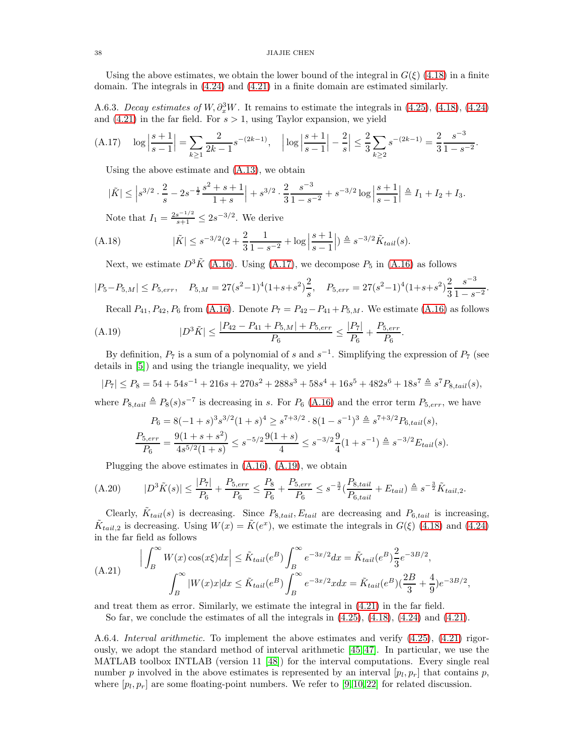### 38 JIAJIE CHEN

Using the above estimates, we obtain the lower bound of the integral in  $G(\xi)$  [\(4.18\)](#page-14-5) in a finite domain. The integrals in [\(4.24\)](#page-15-4) and [\(4.21\)](#page-14-3) in a finite domain are estimated similarly.

<span id="page-37-1"></span>A.6.3. Decay estimates of W,  $\partial_x^3 W$ . It remains to estimate the integrals in [\(4.25\)](#page-15-1), [\(4.18\)](#page-14-5), [\(4.24\)](#page-15-4) and  $(4.21)$  in the far field. For  $s > 1$ , using Taylor expansion, we yield

<span id="page-37-2"></span>(A.17) 
$$
\log \left| \frac{s+1}{s-1} \right| = \sum_{k \ge 1} \frac{2}{2k-1} s^{-(2k-1)}, \quad \left| \log \left| \frac{s+1}{s-1} \right| - \frac{2}{s} \right| \le \frac{2}{3} \sum_{k \ge 2} s^{-(2k-1)} = \frac{2}{3} \frac{s^{-3}}{1 - s^{-2}}.
$$

Using the above estimate and [\(A.13\)](#page-35-5), we obtain

$$
|\tilde{K}| \leq |s^{3/2} \cdot \frac{2}{s} - 2s^{-\frac{1}{2}} \frac{s^2 + s + 1}{1 + s}| + s^{3/2} \cdot \frac{2}{3} \frac{s^{-3}}{1 - s^{-2}} + s^{-3/2} \log \left| \frac{s + 1}{s - 1} \right| \triangleq I_1 + I_2 + I_3.
$$

Note that  $I_1 = \frac{2s^{-1/2}}{s+1} \leq 2s^{-3/2}$ . We derive

(A.18) 
$$
|\tilde{K}| \leq s^{-3/2} (2 + \frac{2}{3} \frac{1}{1 - s^{-2}} + \log \left| \frac{s + 1}{s - 1} \right|) \triangleq s^{-3/2} \tilde{K}_{tail}(s).
$$

Next, we estimate  $D^3\tilde{K}$  [\(A.16\)](#page-36-0). Using [\(A.17\)](#page-37-2), we decompose  $P_5$  in [\(A.16\)](#page-36-0) as follows

$$
|P_5 - P_{5,M}| \le P_{5,err}, \quad P_{5,M} = 27(s^2 - 1)^4(1 + s + s^2)\frac{2}{s}, \quad P_{5,err} = 27(s^2 - 1)^4(1 + s + s^2)\frac{2}{3}\frac{s^{-3}}{1 - s^{-2}}.
$$

<span id="page-37-3"></span>Recall  $P_{41}, P_{42}, P_6$  from [\(A.16\)](#page-36-0). Denote  $P_7 = P_{42}-P_{41}+P_{5,M}$ . We estimate (A.16) as follows

.

(A.19) 
$$
|D^3 \tilde{K}| \le \frac{|P_{42} - P_{41} + P_{5,M}| + P_{5,err}}{P_6} \le \frac{|P_7|}{P_6} + \frac{P_{5,err}}{P_6}
$$

By definition,  $P_7$  is a sum of a polynomial of s and  $s^{-1}$ . Simplifying the expression of  $P_7$  (see details in [\[5\]](#page-38-30)) and using the triangle inequality, we yield

$$
|P_7| \le P_8 = 54 + 54s^{-1} + 216s + 270s^2 + 288s^3 + 58s^4 + 16s^5 + 482s^6 + 18s^7 \triangleq s^7 P_{8, tail}(s),
$$

where  $P_{8,tail} \triangleq P_8(s) s^{-7}$  is decreasing in s. For  $P_6$  [\(A.16\)](#page-36-0) and the error term  $P_{5,err}$ , we have

$$
P_6 = 8(-1+s)^3 s^{3/2} (1+s)^4 \ge s^{7+3/2} \cdot 8(1-s^{-1})^3 \triangleq s^{7+3/2} P_{6, tail}(s),
$$
  

$$
\frac{P_{5, err}}{P_6} = \frac{9(1+s+s^2)}{4s^{5/2}(1+s)} \le s^{-5/2} \frac{9(1+s)}{4} \le s^{-3/2} \frac{9}{4} (1+s^{-1}) \triangleq s^{-3/2} E_{tail}(s).
$$

Plugging the above estimates in [\(A.16\)](#page-36-0), [\(A.19\)](#page-37-3), we obtain

$$
(A.20) \t|D^{3}\tilde{K}(s)| \leq \frac{|P_{7}|}{P_{6}} + \frac{P_{5,err}}{P_{6}} \leq \frac{P_{8}}{P_{6}} + \frac{P_{5,err}}{P_{6}} \leq s^{-\frac{3}{2}}(\frac{P_{8,tail}}{P_{6,tail}} + E_{tail}) \triangleq s^{-\frac{3}{2}}\tilde{K}_{tail,2}.
$$

Clearly,  $\tilde{K}_{tail}(s)$  is decreasing. Since  $P_{8,tail}$ ,  $E_{tail}$  are decreasing and  $P_{6,tail}$  is increasing,  $\tilde{K}_{tail,2}$  is decreasing. Using  $W(x) = \tilde{K}(e^x)$ , we estimate the integrals in  $G(\xi)$  [\(4.18\)](#page-14-5) and [\(4.24\)](#page-15-4) in the far field as follows

$$
(A.21) \qquad \left| \int_{B}^{\infty} W(x) \cos(x\xi) dx \right| \leq \tilde{K}_{tail}(e^{B}) \int_{B}^{\infty} e^{-3x/2} dx = \tilde{K}_{tail}(e^{B}) \frac{2}{3} e^{-3B/2},
$$
\n
$$
\int_{B}^{\infty} |W(x)x| dx \leq \tilde{K}_{tail}(e^{B}) \int_{B}^{\infty} e^{-3x/2} x dx = \tilde{K}_{tail}(e^{B}) (\frac{2B}{3} + \frac{4}{9}) e^{-3B/2},
$$

and treat them as error. Similarly, we estimate the integral in [\(4.21\)](#page-14-3) in the far field.

So far, we conclude the estimates of all the integrals in  $(4.25)$ ,  $(4.18)$ ,  $(4.24)$  and  $(4.21)$ .

<span id="page-37-0"></span>A.6.4. Interval arithmetic. To implement the above estimates and verify [\(4.25\)](#page-15-1), [\(4.21\)](#page-14-3) rigorously, we adopt the standard method of interval arithmetic [\[45,](#page-39-15) [47\]](#page-39-16). In particular, we use the MATLAB toolbox INTLAB (version 11 [\[48\]](#page-39-17)) for the interval computations. Every single real number p involved in the above estimates is represented by an interval  $[p_l, p_r]$  that contains p, where  $[p_l, p_r]$  are some floating-point numbers. We refer to [\[9,](#page-38-16) [10,](#page-38-8) [22\]](#page-38-31) for related discussion.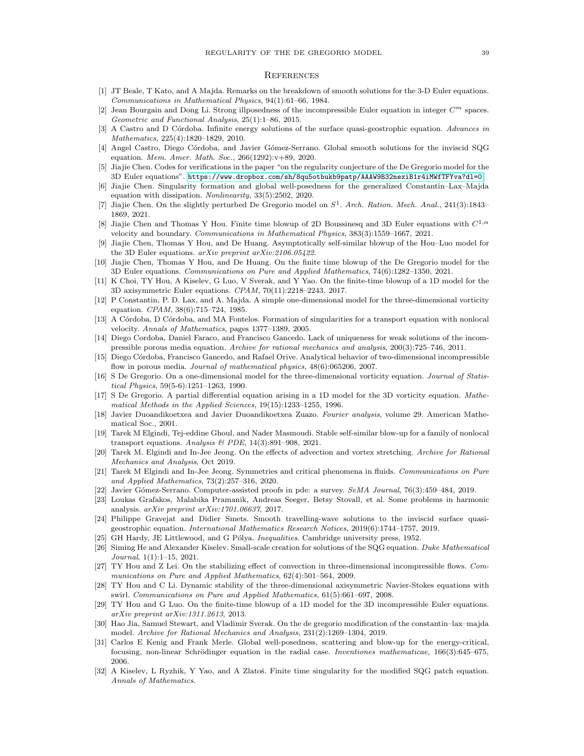#### **REFERENCES**

- <span id="page-38-26"></span>[1] JT Beale, T Kato, and A Majda. Remarks on the breakdown of smooth solutions for the 3-D Euler equations. *Communications in Mathematical Physics*, 94(1):61–66, 1984.
- <span id="page-38-17"></span>Jean Bourgain and Dong Li. Strong illposedness of the incompressible Euler equation in integer  $C^m$  spaces. *Geometric and Functional Analysis*, 25(1):1–86, 2015.
- <span id="page-38-22"></span>[3] A Castro and D C´ordoba. Infinite energy solutions of the surface quasi-geostrophic equation. *Advances in Mathematics*, 225(4):1820–1829, 2010.
- <span id="page-38-23"></span>[4] Angel Castro, Diego Córdoba, and Javier Gómez-Serrano. Global smooth solutions for the inviscid SQG equation. *Mem. Amer. Math. Soc.*, 266(1292):v+89, 2020.
- <span id="page-38-30"></span>[5] Jiajie Chen. Codes for verifications in the paper "on the regularity conjecture of the De Gregorio model for the 3D Euler equations". <https://www.dropbox.com/sh/8qu5otbukb9patp/AAAW9B32nexiB1r4iMWfTFYva?dl=0>.
- <span id="page-38-9"></span>[6] Jiajie Chen. Singularity formation and global well-posedness for the generalized Constantin–Lax–Majda equation with dissipation. *Nonlinearity*, 33(5):2502, 2020.
- <span id="page-38-10"></span>[7] Jiajie Chen. On the slightly perturbed De Gregorio model on S 1 . *Arch. Ration. Mech. Anal.*, 241(3):1843– 1869, 2021.
- <span id="page-38-12"></span>[8] Jiajie Chen and Thomas Y Hou. Finite time blowup of 2D Boussinesq and 3D Euler equations with  $C^{1,\alpha}$ velocity and boundary. *Communications in Mathematical Physics*, 383(3):1559–1667, 2021.
- <span id="page-38-16"></span>[9] Jiajie Chen, Thomas Y Hou, and De Huang. Asymptotically self-similar blowup of the Hou–Luo model for the 3D Euler equations. *arXiv preprint arXiv:2106.05422*.
- <span id="page-38-8"></span>[10] Jiajie Chen, Thomas Y Hou, and De Huang. On the finite time blowup of the De Gregorio model for the 3D Euler equations. *Communications on Pure and Applied Mathematics*, 74(6):1282–1350, 2021.
- <span id="page-38-14"></span>[11] K Choi, TY Hou, A Kiselev, G Luo, V Sverak, and Y Yao. On the finite-time blowup of a 1D model for the 3D axisymmetric Euler equations. *CPAM*, 70(11):2218–2243, 2017.
- <span id="page-38-0"></span>[12] P Constantin, P. D. Lax, and A. Majda. A simple one-dimensional model for the three-dimensional vorticity equation. *CPAM*, 38(6):715–724, 1985.
- <span id="page-38-15"></span>[13] A Córdoba, D Córdoba, and MA Fontelos. Formation of singularities for a transport equation with nonlocal velocity. *Annals of Mathematics*, pages 1377–1389, 2005.
- <span id="page-38-19"></span>[14] Diego Cordoba, Daniel Faraco, and Francisco Gancedo. Lack of uniqueness for weak solutions of the incompressible porous media equation. *Archive for rational mechanics and analysis*, 200(3):725–746, 2011.
- <span id="page-38-20"></span>[15] Diego Córdoba, Francisco Gancedo, and Rafael Orive. Analytical behavior of two-dimensional incompressible flow in porous media. *Journal of mathematical physics*, 48(6):065206, 2007.
- <span id="page-38-1"></span>[16] S De Gregorio. On a one-dimensional model for the three-dimensional vorticity equation. *Journal of Statistical Physics*, 59(5-6):1251–1263, 1990.
- <span id="page-38-2"></span>[17] S De Gregorio. A partial differential equation arising in a 1D model for the 3D vorticity equation. *Mathematical Methods in the Applied Sciences*, 19(15):1233–1255, 1996.
- <span id="page-38-28"></span>[18] Javier Duoandikoetxea and Javier Duoandikoetxea Zuazo. *Fourier analysis*, volume 29. American Mathematical Soc., 2001.
- <span id="page-38-11"></span>[19] Tarek M Elgindi, Tej-eddine Ghoul, and Nader Masmoudi. Stable self-similar blow-up for a family of nonlocal transport equations. *Analysis & PDE*, 14(3):891–908, 2021.
- <span id="page-38-4"></span>[20] Tarek M. Elgindi and In-Jee Jeong. On the effects of advection and vortex stretching. *Archive for Rational Mechanics and Analysis*, Oct 2019.
- <span id="page-38-25"></span>[21] Tarek M Elgindi and In-Jee Jeong. Symmetries and critical phenomena in fluids. *Communications on Pure and Applied Mathematics*, 73(2):257–316, 2020.
- <span id="page-38-31"></span><span id="page-38-5"></span>[22] Javier G´omez-Serrano. Computer-assisted proofs in pde: a survey. *SeMA Journal*, 76(3):459–484, 2019.
- [23] Loukas Grafakos, Malabika Pramanik, Andreas Seeger, Betsy Stovall, et al. Some problems in harmonic analysis. *arXiv preprint arXiv:1701.06637*, 2017.
- <span id="page-38-24"></span>[24] Philippe Gravejat and Didier Smets. Smooth travelling-wave solutions to the inviscid surface quasigeostrophic equation. *International Mathematics Research Notices*, 2019(6):1744–1757, 2019.
- <span id="page-38-29"></span><span id="page-38-18"></span>[25] GH Hardy, JE Littlewood, and G Pólya. *Inequalities*. Cambridge university press, 1952.
- [26] Siming He and Alexander Kiselev. Small-scale creation for solutions of the SQG equation. *Duke Mathematical Journal*, 1(1):1–15, 2021.
- <span id="page-38-6"></span>[27] TY Hou and Z Lei. On the stabilizing effect of convection in three-dimensional incompressible flows. *Communications on Pure and Applied Mathematics*, 62(4):501–564, 2009.
- <span id="page-38-7"></span>[28] TY Hou and C Li. Dynamic stability of the three-dimensional axisymmetric Navier-Stokes equations with swirl. *Communications on Pure and Applied Mathematics*, 61(5):661–697, 2008.
- <span id="page-38-21"></span>[29] TY Hou and G Luo. On the finite-time blowup of a 1D model for the 3D incompressible Euler equations. *arXiv preprint arXiv:1311.2613*, 2013.
- <span id="page-38-3"></span>[30] Hao Jia, Samuel Stewart, and Vladimir Sverak. On the de gregorio modification of the constantin–lax–majda model. *Archive for Rational Mechanics and Analysis*, 231(2):1269–1304, 2019.
- <span id="page-38-27"></span>[31] Carlos E Kenig and Frank Merle. Global well-posedness, scattering and blow-up for the energy-critical, focusing, non-linear Schrödinger equation in the radial case. *Inventiones mathematicae*, 166(3):645–675, 2006.
- <span id="page-38-13"></span>[32] A Kiselev, L Ryzhik, Y Yao, and A Zlatoš. Finite time singularity for the modified SQG patch equation. *Annals of Mathematics*.